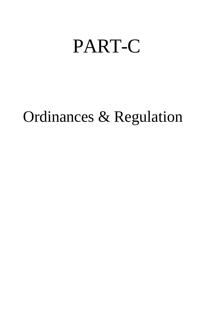# PART-C

# Ordinances & Regulation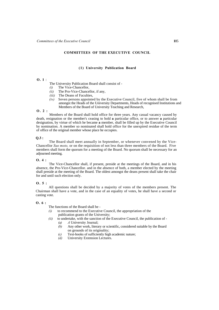### **COMMITTEES OF THE EXECUTIVE COUNCIL**

# **(1) University Publication Board**

# **O. 1** :

- The University Publication Board shall consist of -
- *(i)* The Vice-Chancellor,
- *(ii)* The Pro-Vice-Chancellor, if any,
- *(iii)* The Deans of Faculties,
- *(iv)* Seven persons appointed by the Executive Council, five of whom shall be from amongst the Heads of the University Departments, Heads of recognised Institutions and Members of the Board of University Teaching and Research,

# **O. 2 :**

Members of the Board shall hold office for three years. Any casual vacancy caused by death, resignation or the member's ceasing to hold **a** particular office, or to answer **a** particular designation, by virtue of which he became **a** member, shall be filled up by the Executive Council by nomination. A member so nominated shall hold office for the unexpired residue of the term of office of the original member whose place he occupies.

### **Q.3 :**

The Board shall meet annually in September, or whenever convened by the Vice-Chancellor *Suo moto,* or on the requisition of not less than three members of the Board. Five members shall form the quorum for a meeting of the Board. No quorum shall be necessary for an adjourned meeting.

# **O. 4 :**

The Vice-Chancellor shall, if present, preside at the meetings of the Board, and in his absence, the Pro-Vice-Chancellor. and in the absence of both, a member elected by the meeting shall preside at the meeting of the Board. The oldest amongst the deans present shall take the chair for and until such election only.

# **O. 5 :**

All questions shall be decided by a majority of votes of the members present. The Chairman shall have a vote, and in the case of an equality of votes, he shall have a second or casting vote.

### **O. 6 :**

The functions of the Board shall be -

- *(i)* to recommend to the Executive Council, the appropriation of the publication grants of the University;
- *(ii)* to undertake, with the sanction of the Executive Council, the publication of -*(a) A* University Journal;
	- *(b)* Any other work, literary or scientific, considered suitable by the Board on grounds of its originality;
	- *(c)* Text-books of sufficiently high academic nature;
	- *(d)* University Extension Lectures.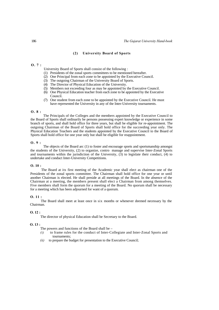# **(2) University Board of Sports**

### **O. 7 :**

- University Board of Sports shall consist of the following :
- (1) Presidents of the zonal sports committees to be mentioned hereafter.
- (2) One Principal from each zone to be appointed by the Executive Council.
- (3) The outgoing Chairman of the University Board of Sports.
- (4) The Director of Physical Education of the University.
- (5) Members not exceeding four as may be appointed by the Executive Council.
- (6) One Physical Education teacher from each zone to be appointed by the Executive Council.
- (7) One student from each zone to be appointed by the Executive Council. He must have represented the University in any of the Inter-University tournaments.

# **O. 8 :**

The Principals of the Colleges and the members appointed by the Executive Council to the Board of Sports shall ordinarily be persons possessing expert knowledge or experience in some branch of sports, and shall hold office for three years, but shall be eligible for re-appointment. The outgoing Chairman of the Board of Sports shall hold office for the succeeding year only. The Physical Education Teachers and the students appointed by the Executive Council to the Board of Sports shall hold office for one year only but shall be eligible for reappointment.

### **O. 9 :**

The objects of the Board arc (1) to foster and encourage sports and sportsmanship amongst the students of the University, (2) to organize, contro manage and supervise Inter-Zonal Sports and tournaments within the jurisdiction of the University, (3) to legislate their conduct, (4) to undertake and conduct Inter-University Competitions.

### **O. 10 :**

The Board at its first meeting of the Academic year shall elect as chairman one of the Presidents of the zonal sports committee. The Chairman shall hold office for one year or until another Chairman is elected. He shall preside at all meetings of the Board. In the absence of the Chairman at a meeting, the members present shall elect a Chairman from among themselves. Five members shall form the quorum for a meeting of the Board. No quorum shall be necessary for a meeting which has been adjourned for want of a quorum.

# **O. 11 :**

The Board shall meet at least once in six months or whenever deemed necessary by the Chairman.

### $0.12:$

The director of physical Education shall be Secretary to the Board.

# **O. 13 :**

The powers and functions of the Board shall be  $-$ 

- *(i)* to frame rules for the conduct of Inter-Collegiate and Inter-Zonal Sports and tournaments;
- *(ii)* to prepare the budget for presentation to the Executive Council;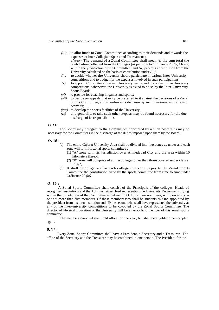- *(iii)* to allot funds to Zonal Committees according to their demands and towards the expenses of Inter-Collegiate Sports and Tournaments;
	- *[Note*  The demand of a Zonal Committee shall mean *(i)* the sum total the contribution collected from the Colleges [as per note to Ordinance 20 *(iv)]* lying within the jurisdiction of the Committee; and *(ii)* pro-rata contribution from the University calculated on the basis of contribution under *(i).}*
- *(iv)* to decide whether the University should participate in various Inter-University competitions and to budget for the expenses involved in such participations;
- *(v)* to appoint Comrnittees to select University teams, and to conduct Inter-University competitions, whenever; the University is asked to do so by the Inter-University Sports Board;
- *(vi)* to provide for coaching in games and sports;
- *(vii)* to decide on appeals that  $n \rightarrow y$  be preferred to it against the decisions of a Zonal Sports Committee, and to enforce its decision by such measures as the Board deems fit;
- *(viii)* to develop the sports facilities of the University;
- *(ix)* and generally, to take such other steps as may be found necessary for the due discharge of its responsibilities.

### **O. 14 :**

The Board may delegate to the Committees appointed by a such powers as may be necessary for the Committees in the discharge of the duties imposed upon them by the Board.

### **O. 15 :**

- (a) The entire Gujarat University Area shall be divided into two zones as under and each zone will form its zonal sports committee :
	- (1) "A" zone with its jurisdiction over Ahmedabad City and the area within 10 kilometers thereof.
	- (2) "B" zone will comprise of all the colleges other than those covered under clause *(a)(1).*
- (b) It shall be obligatory for each college in a zone to pay to the Zonal Sports Committee the contribution fixed by the sports committee from time to time under Ordinance 20 *(iii),*

# **O. 16 :**

A Zonal Sports Committee shall consist of the Principals of the colleges, Heads of recognised institutions and the Administrative Head representing the University Departments, lying within the jurisdiction of the Committee as defined in O. 15 or their nominees, with power to coopt not more than five members. Of these members two shall be students *(i)* One appointed by the president from his own institution and *(ii)* the second who shall have represented the university at any of the inter-university competitions to be co-opted by the Zonal Sports Committee. The director of Physical Education of the University will be an ex-officio member of this zonal sports committee.

The members co-opted shall hold office for one year, but shall be eligible to be co-opted again.

### **0. 17:**

Every Zonal Sports Committee shall have a President, a Secretary and a Treasurer. The office of the Secretary and the Treasurer may be combined in one person. The President for the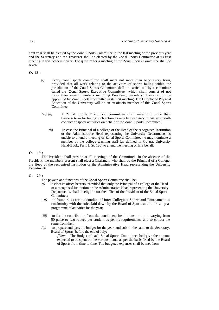next year shall be elected by the Zonal Sports Committee in the last meeting of the previous year and the Secretary and the Treasurer shall be elected by the Zonal Sports Committee at its first meeting in live academic year. The quorum for a meeting of the Zonal Sports Committee shall be seven.

# **O. 18 :**

- *(i)* Every zonal sports committee shall meet not more than once every term, provided that all work relating to the activities of sports falling within the jurisdiction of the Zonal Sports Committee shall be carried out by a committee called the "Zonal Sports Executive Committee" which shall consist of not more than seven members including President, Secretary, Treasurer, to be appointed by Zonal Spots Committee in its first meeting, The Director of Physical Education of the University will be an ex-officio member of this Zonal Sports Committee.
- *(ii) (a)* A Zonal Sports Executive Committee shall meet not more than twice a term for taking such action as may be necessary to ensure smooth conduct of sports activities on behalf of the Zonal Sports Committee.
	- *(b)* In case the Principal of a college or the Head of the recognised Institution or the Administrative Head representing the University Departments, is unable to attend a meeting of Zonal Sports Committee he may nominate a member of the college teaching staff (as defined in Gujarat University Hand-Book, Part II, St. 136) to attend the meeting on his behalf.

### **O. 19 :**

The President shall preside at all meetings of the Committee. In the absence of the President, the members present shall elect a Chairman, who shall be the Principal of a College, the Head of the recognised institution or the Administrative Head representing the University Departments,

# **O. 20 :**

- The powers and functions of the Zonal Sports Committee shall be-
- *(i)* to elect its office bearers, provided that only the Principal of a college or the Head of a recognised Institution or the Administrative Head representing the University Departments, shall be eligible for the office of the President of the Zonal Sports Committee<sup>,</sup>
- *(ii)* to frame rules for the conduct of Inter-Collegiate Sports and Tournament in conformity with the rules laid down by the Board of Sports and to draw-up a programme of activities for the year;
- *(iii)* to fix the contribution from the constituent Institutions, at a rate varying from 50 paise to two rupees per student as per its requirements, and to collect the same from them;
- *(iv)* to prepare and pass the budget for the year, and submit the same to the Secretary, Board of Sports, before the end of July;

*[Note.* - The Budget of each Zonal Sports Committee shall give the amount expected to be spent on the various items, as per the basis fixed by the Board of Sports from time to time. The budgeted expenses shall be met from: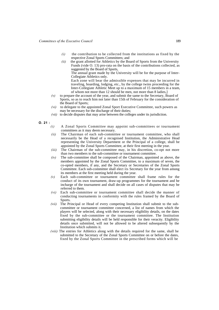- $(i)$  the contribution to be collected from the institutions as fixed by the respective Zonal Sports Committees; and
- *(ii)* the grant allotted for Athletics by the Board of Sports from the University Funds (vide O. 13) pro-rata on the basis of the contributions collected, as suggested by the Board of Sports,

The annual grant made by the University will be for the purpose of Inter-Collegiate Athletics only.

Each zone will bear the admissible expenses that may be incurred in traveling, boarding, lodging, etc., by the college twins proceeding for the Inter-Collegiate Athletic Meet up to a maximum of 15 members in a team, of whom not more than 12 should be men, not more than 8 ladies,]

- *(v)* to prepare the account of the year, and submit the same to the Secretary, Board of Sports, so as to reach him not later than 15th of February for the consideration of the Board of Sports;
- *(vi)* to delegate to the appointed Zonal Sport Executive Committee, such powers as may be necessary for the discharge of their duties;
- *(vii)* to decide disputes that may arise between the colleges under its jurisdiction.
- **O. 21 :**
	- *(i)* A Zonal Sports Committee may appoint sub-committees or tournament committees as it may deem necessary.
	- *(ii)* The Chairman of each sub-committee or tournament committee, who shall necessarily be the Head of a recognised Institution, the Administrative Head representing the University Department or the Principal of a college, shall be appointed by the Zonal Sports Committee, at their first meeting in the year.
	- *(iii)* The Chairman of the sub-committee may, in his discretion, co-opt not more than two members to the sub-committee or tournament committee.
	- *(iv)* The sub-committee shall be composed of the Chairman, appointed as above, the members appointed by the Zonal Sports Committee, to a maximum of seven, the co-opted members, if any, and the Secretary or Secretaries of the Zonal Sports Committee. Each sub-committee shall elect its Secretary for the year from among its members at the first meeting held during the year.
	- *(v)* Each sub-committee or tournament committee shall frame rules for the conduct of its own tournament, draw-up programmes for the tournament and be incharge of the tournament and shall decide on all cases of disputes that may be referred to them.
	- *(vi)* Each sub-committee or tournament committee shall decide the manner of conducting tournaments in conformity with the rules framed by the Board of Sports.
	- *(vii)* The Principal or Head of every competing Institution shall submit to the subcommittee or tournament committee concerned, a list of names from which the players will be selected, along with their necessary eligibility details, on the dates fixed by the sub-committee or the tournament committee. The Institution submitting eligibility details will be held responsible for their veracity. Eligibility details once submitted, will not be allowed to be altered subsequently by the Institution which submits it.
	- *(viii)* The entries for Athletics along with the details required for the same, shall be submitted to the Secretary of the Zonal Sports Committee on or before the dates, fixed by the Zonal Sports Committee in the prescribed forms which will be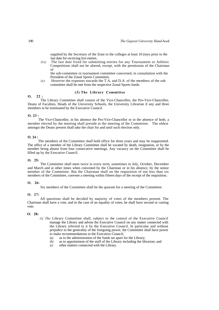supplied by the Secretary of the Zone to the colleges at least 10 (toys prior to the last date for receiving live entries.

*(ix)* The last date fixed for submitting entries for any Tournament or Athletic Competitions shall not be altered, except, with the permission of the Chairman of

the sub-committee or tournament committee concerned, in consultation with the President of the Zonal Sports Committee.

*(x)* However the expenses towards the T.A, and D.A. of the members of the sub committee shall be met from the respective Zonal Sports funds.

# **(3) The Library Committee**

# **O. 22 :**

The Library Committee shall consist of the Vice-Chancellor, the Pro-Vice-Chancellor, Deans of Faculties, Heads of the University Schools, the University Librarian if any and three members to be nominated by the Executive Council.

### **O. 23 :**

The Vice-Chancellor, in his absence the Pro-Vice-Chancellor or in the absence of both, a member elected by the meeting shall preside at the meeting of the Committee. The oldest amongst the Deans present shall take the chair for and until such election only.

### **O. 24 :**

The members of the Committee shall hold office for three years and may be reappointed. The office of a member of the Library Committee shall be vacated by death, resignation, or by the member being absent from four consecutive meetings. Any vacancy on the Committee shall be filled up by the Executive Council.

### **O. 25:**

The Committee shall meet twice in every term, sometimes in July, October, December and March and at other times when convened by the Chairman or in his absence, by the senior member of the Committee. But the Chairman shall on the requisition of not less than six members of the Committee, convene a meeting within fifteen days of the receipt of the requisition.

# **O. 26:**

Six members of the Committee shall be the quorum for a meeting of the Committee.

### **O. 27:**

All questions shall be decided by majority of votes of the members present. The Chairman shall have a vote, and in the case of an equality of votes, he shall have second or casting vote.

### **O. 28:**

- *(i) The* Library Committee shall, subject to the control of the Executive Council manage the Library and advise the Executive Council on any matter connected with the Library referred to it by the Executive Council. In particular and without prejudice to the generality of the foregoing power, the Committee shall have power to make recommendations to the Executive Council;
	- *(a)* as to the administration of the funds set apart for the Library;
	- $\langle b \rangle$  as to appointment of the staff of the Library including the librarian; and other matters connected with the Library.
	- *(c)* other matters connected with the Library.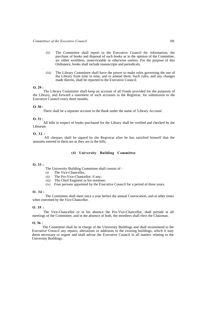- *(ii)* The Committee shall report to the Executive Council for information, the purchase of books and disposal of such books as in the opinion of the Committee, arc either worthless, unserviceable or otherwise useless. For the purpose of this Ordinance, books shall include manuscripts and periodicals.
- *(iii)* The Library Committee shall have the power to make rules governing the use of the Library from time to time, and to amend them, Such rules, and any changes made therein, shall be reported to the Executive Council.

# **O. 29 :**

The Library Committee shall keep an account of all Funds provided for the purposes of the Library, and forward a statement of such accounts to the Registrar, for submission to the Executive Council every three months.

### **O. 30 :**

There shall be a separate account in the Bank under the name of 'Library Account'.

### **O. 31 :**

All bills in respect of books purchased for the Library shall be verified and checked by the Librarian.

### **O. 32 :**

All cheques shall be signed by the Registrar after he has satisfied himself that the amounts entered in them are as they are in the bills.

# **(4) University Building Committee**

# **O. 33 :**

The University Building Committee shall consist of -

- *(i)* The Vice-Chancellor,
- *(ii)* The Pro-Vice-Chancellor, if any;
- *(iii)* The Chief Engineer or his nominee;
- *(iv)* Four persons appointed by the Executive Council for a period of three years.

### **O. 34 :**

The Committee shall meet once a year before the annual Convocation, and at other times when convened by the Vice-Chancellor.

### **O. 35 :**

The Vice-Chancellor or in his absence the Pro-Vice-Chancellor, shall preside at all meetings of the Committee, and in the absence of both, the members shall elect the Chairman.

### **O. 36 :**

The Committee shall be in charge of the University Buildings and shall recommend to the Executive Council any repairs, alterations or additions to the existing buildings, which it may deem necessary or urgent and shall advise the Executive Council in all matters relating to the University Buildings.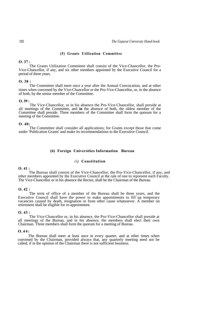### **(5) Grants Utilization Committee**

# **O. 37 :**

The Grants Utilization Committee shall consist of the Vice-Chancellor, the Pro-Vice-Chancellor, if any, and six other members appointed by the Executive Council for a period of three years.

### **O. 38 :**

The Committee shall meet once a year after the Annual Convocation, and at other times when convened by the Vice-Chancellor or the Pro-Vice-Chancellor, or, in the absence of both, by the senior member of the Committee.

# **O. 39 :**

The Vice-Chancellor, or in his absence the Pro-Vice-Chancellor, shall preside at all meetings of the Committee, and **in** the absence of both, the oldest member of the Committee shall preside. Three members of the Committee shall form the quorum for a meeting of the Committee.

### **O. 40:**

The Committee shall consider all applications; for Grants except those that come under 'Publication Grants' and make its recommendations to the Executive Council.

# **(6) Foreign Universities Information Bureau**

# *(i)* **Constitution**

# **O. 41 :**

The Bureau shall consist of the Vice-Chancellor, the Pro-Vice-Chancellor, if any, and other members appointed by the Executive Council at the rale of one to represent each Faculty. The Vice-Chancellor or in his absence the Rector, shall be the Chairman of the Bureau.

### **O. 42 :**

The term of office of a member of the Bureau shall be three years, and the Executive Council shall have the power to make appointments to fill up temporary vacancies caused by death, resignation or from other cause whatsoever. A member on retirement shall be eligible for re-appointment.

### **O. 43 :**

The Vice-Chancellor or, in his absence, the Pro-Vice-Chancellor shall preside at all meetings of the Bureau, and in his absence, the members shall elect their own Chairman. Three members shall form the quorum for a meeting of Bureau.

# **O.44:**

The Bureau shall meet at least once in every quarter, and at other times when convened by the Chairman, provided always that, any quarterly meeting need not be called, if in the opinion of the Chairman there is not sufficient business.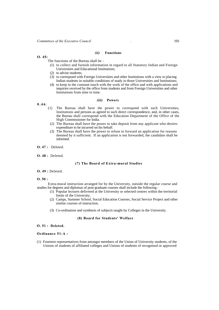### *(ii)* **Functions**

### **O. 45:**

The functions of the Bureau shall be -

- (1) to collect and furnish information in regard to all Statutory Indian and Foreign Universities and Educational Institutions;
- (2) to advise students;
- $(3)$  to correspond with Foreign Universities and other Institutions with a view to placing Indian students in suitable conditions of study in those Universities and Institutions;
- (4) to keep in the constant touch with the work of the office and with applications and inquiries received by the office from students and from Foreign Universities and other Institutions from time to time.

# *(iii)* **Powers**

# **0.46** :

- (1) The Bureau shall have the power to correspond with such Universities, Institutions and persons as agreed to such direct correspondence, and, in other cases, the Bureau shall correspond with the Education Department of the Office of the High Commissioner for India.
- (2) The Bureau shall have the power to take deposit from any applicant who desires expenditure to be incurred on his behalf.
- (3) The Bureau shall have the power to refuse to forward an application for reasons deemed by it sufficient. If an application is not forwarded, the candidate shall be informed.
- **O. 47 :** Deleted.
- **O. 48 :** Deleted.

# **(7) The Board of Extra-mural Studies**

# **O. 49 :** Deleted.

# **O. 50 :**

Extra-mural instruction arranged for by the University, outside the regular course and studies for degrees and diplomas of post-graduate courses shall include the following :

- (1) Popular lectures delivered at the University or selected centres within the territorial limits of the University.
- (2) Camps, Summer School, Social Education Courses, Social Service Project and other similar courses of instruction.
- (3) Co-ordination and synthesis of subjects taught by Colleges in the University.

### **(8) Board for Students' Welfare**

# **O. 51 : Deleted.**

### **Ordinance 51-A :**

(1) Fourteen representatives from amongst members of the Union of University students, of the Unions of students of affiliated colleges and Unions of students of recognised or approved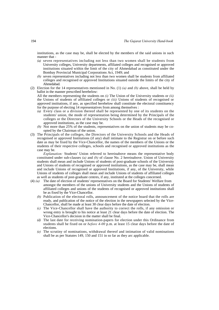institutions, as the case may be, shall be elected by the members of the said unions in such manner that -

- *(a)* seven representatives including not less than two women shall be students from University colleges, University departments, affiliated colleges and recognised or approved institutions situated within the limit of the city of Ahmedabad as constituted under the Bombay Provincial Municipal Corporations Act, 1949; and
- *(b)* seven representatives including not less than two women shall be students from affiliated colleges and recognised or approved Institutions situated outside the limits of the city of Ahmedabad.
- (2) Election for the 14 representatives mentioned in No. (1) *(a)* and *(b)* above, shall be held by ballot in the manner prescribed herebelow:

All the members representing the students on *(i)* The Union of the University students or *(ii)*  the Unions of students of affiliated colleges or *(iii)* Unions of students of recognised or approved institutions, if any, as specified herebelow shall constitute the electoral constituency for the purpose of electing 14 representatives from among themselves :

- *(a)* Every class or a division thereof shall be represented by one of its students on the students' union, the mode of representation being determined by the Principals of the colleges or the Directors of the University Schools or the Heads of the recognised or approved institutions, as the case may be.
- *(b)* Not more than 25% of the students, representatives on the union of students may be coopted by the Chairman of the union.
- (3) The Principals of the colleges, the Directors of the University Schools and the Heads of recognised or approved Institutions (if any) shall intimate to the Registrar on or before such date as may be fixed by the Vice-Chancellor, the names of the members of the Unions or the students of their respective colleges, schools and recognised or approved institutions as the case may be.

*Explanation:* Students' Union referred to hereinabove means the representative body constituted under sub-clauses *(a)* and *(b)* of clause No. 2 hereinabove. Union of University students shall mean and include Unions of students of post-graduate schools of the University and Unions of students of recognised or approved institutions, as the case may be, shall mean and include Unions of recognised or approved Institutions, if any, of the University, while Unions of students of colleges shall mean and include Unions of students of affiliated colleges as well as students of post-graduate centres, if any, instituted at the colleges concerned.

- (4) *(a)* The date of election of students' representatives on the Board for Students' Welfare from amongst the members of the unions of University students and the Unions of students of affiliated colleges and unions of the students of recognised or approved institutions shall be as fixed by the Vice-Chancellor.
	- *(b)* Publication of the electoral rolls, announcement of the notice board that the rolls are ready, and publication of the notice of the election in the newspapers selected by the Vice-Chancellor, shall be made at least 30 clear days before the date of election.
	- *(c)* The Vice-Chancellor shall have the authority to correct the rolls, if any omission or wrong entry is brought to his notice at least 21 clear days before the date of election. The Vice-Chancellor's decision in the matter shall be final.
	- *(d)* The last date for receiving nomination-papers for election under this Ordinance from students shall be fixed on or *before 4-00* p.m. at least 15 clear days before the date of elections.
	- *(e)* The scrutiny of nominations, withdrawal thereof and intimation of valid nominations shall be as per Statutes 149, 150 and 151 in so far as they arc applicable.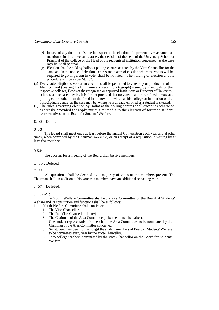- *(f)* In case of any doubt or dispute in respect of the election of representatives as voters as mentioned in the above sub-clauses, the decision of the head of the University School or Principal of the college or the Head of the recognised institution concerned, as the case may be, shall be final.
- *(g)* Election shall be held by ballot at polling centres as fixed by the Vice-Chancellor for the same and in the notice of election, centres and places of election where the voters will be required to go in person to vote, shall be notified. The holding of election and its procedure will be as per St. 162.
- (5) Every voter eligible to vote at an election shall be permitted to vote only on production of an Identity Card (bearing his full name and recent photograph) issued by Principals of the respective colleges, Heads of the recognised or approved Institutions or Directors of University schools, as the case may be. It is further provided that no voter shall be permitted to vote at a polling centre other than the fixed in the town, in which as his college or institution or the post-graduate centre, as the case may be, where he is already enrolled as a student is situated.
- (6) The rules governing election by Ballot at the polling centres shall except as otherwise expressly provided for apply mutatis mutandis to the election of fourteen student representatives on the Board for Students' Welfare.

0. 52 : Deleted.

0.53:

The Board shall meet once at least before the annual Convocation each year and at other times, when convened by the Chairman *suo moto,* or on receipt of a requisition in writing by at least five members.

0.54:

The quorum for a meeting of the Board shall be five members.

O. 55 : Deleted

O. 56 :

All questions shall be decided by a majority of votes of the members present. The Chairman shall, in addition to his vote as a member, have an additional or casting vote.

0. 57 : Deleted.

O. 57-A :

The Youth Welfare Committee shall work as a Committee of the Board of Students' Welfare and its constitution and functions shall be as follows:

1. Youth Welfare Committee shall consist of:

- 1. The Vice-Chancellor.
- 2. The Pro-Vice-Chancellor (if any).
- 3. The Chairman of the Area Committee (to be mentioned hereafter).
- 4. One student representative from each of the Area Committees to be nominated by the Chairman of the Area Committee concerned.
- 5. Six student members from amongst the student members of Board of Students' Welfare to be nominated every year by the Vice-Chancellor.
- 6. Two college teachers nominated by the Vice-Chancellor on the Board for Students' Welfare.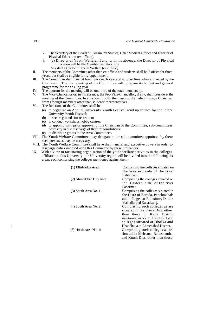- 7. The Secretary of the Board of Extramural Studies, Chief Medical Officer and Director of Physical Education (ex-officio).
- 8. (a) Director of Youth Welfare, if any, or in his absence, the Director of Physical Education will be the Member Secretary. (b)
- Assistant Director of Youth Welfare (ex-officio). II. The members of the Committee other than ex-officio and students shall hold office for three
- years, but shall be eligible for re-appointment.
- III. The Committee shall meet at least twice each year and at other time when convened by the Chairman. The first meeting of the Committee will prepare its budget and general programme for the ensuing year.
- IV. The quorum for the meeting will be one-third of the total membership.<br>
V. The Vice-Chancellor or in his absence, the Pro-Vice-Chancellor, if an
- The Vice-Chancellor or, in his absence, the Pro-Vice-Chancellor, if any, shall preside at the meeting of the Committee. In absence of both, the meeting shall elect its own Chairman from amongst members other than students' representatives.
- VI. The functions of the Committee shall be-
	- (a) to organise an Annual University Youth Festival send up entries for the Inter-University Youth Festival;
	- (b) to secure grounds for recreation;
	- (c) to conduct workshops hobby centres;
	- (d) to appoint, with prior approval of the Chairman of the Committee, sub-committees necessary in due discharge of their responsibilities;
	- (e) to distribute grants to the Area Committees.
- VII. The Youth Welfare Committee, may delegate to the sub-committee appointed by them, such powers as may be necessary.
- VIII. The Youth Welfare Committee shall have the financial and executive powers in order to discharge duties imposed upon this Committee by these ordinances.
- IX. With a view to facilitating organisation of the youth welfare activities in the colleges affiliated to this University, the University region will be divided into the following six areas, each comprising the colleges mentioned against them:

| (1) Ellisbridge Area:    | Comprising the colleges situated on<br>the Western side of the river |
|--------------------------|----------------------------------------------------------------------|
|                          | Sabarmati.                                                           |
| (2) Ahmedabad City Area: | Comprising the colleges situated on                                  |
|                          | the Eastern side of the river<br>Sabarmati.                          |
| $(3)$ South Area No. 1:  | Comprising the colleges situated in                                  |
|                          | the Dist.; of Baroda, Panchmahals                                    |
|                          | and colleges at Balasinor, Dakor,                                    |
|                          | Mahudha and Kapadwanj.                                               |
| $(4)$ South Area No. 2:  | Comprising such colleges as are                                      |
|                          | situated in the Kaira Dist. other                                    |
|                          | than those in Kaira District                                         |
|                          | mentioned in South Area No. 1 and                                    |
|                          | colleges situated at Dholka and                                      |
|                          | Dhandhuka in Ahmedabad District.                                     |
| $(5)$ North Area No. 1:  | Comprising such colleges as are                                      |
|                          | situated in Mehsana, Banaskantha                                     |
|                          | and Kutch Dist, other than those                                     |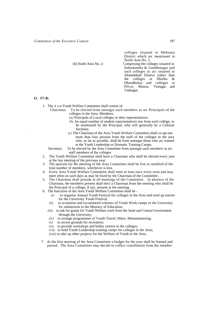colleges situated in Mehsana District which arc mentioned in North Area No. 2.

(6) North Area No. 2: Comprising the colleges situated in Sabarkantha & Gandhinagar and such colleges as arc situated in Ahmedabad District (other than the colleges at Dholka & Dhandhuka) and colleges at Pilvai, Mansa, Visnagar and Vadnagar.

### **O. 57-B:**

- 1. The *A re*a Youth Welfare Committee shall consist of:
	- Chairman: To be elected from amongst such members as arc Principals of the colleges in the Area. Members:
		- *(a)* Principals of Local colleges or their representatives.
		- *(b)* An equal number of student representatives one from each college, to be nominated by the Principal, who will generally be a Cultural **Secretary**
		- . *(c)* The Chairman of the Area Youth Welfare Committee shall co-opt not more than four persons from the staff of the colleges in the area who, as far as possible, shall be from amongst those who arc trained at the Youth Leadership or Dramatic Training Camps.
	- Secretary: To be elected by the Area Committee from amongst such members as arc staff members of the colleges.
- 2. The Youth Welfare Committee shall have a Chairman who shall be elected every year at the last meeting of the previous year.
- 3. The quorum for the meeting of the Area Committee shall be five or onethird of the total number of members, whichever is less.
- 4. Every Area Youth Welfare Committee shall meet at least once every term and may meet often on such days as may be fixed by the Chairman of the Committee.
- 5. The Chairman shall preside at all meetings of the Committee. In absence of the Chairman, the members present shall elect a Chairman from the meeting who shall be the Principal of a college, if any, present at the meeting.
- 6. The functions of the Area Youth Welfare Committee shall be
	- *(i)* to organise Annual Youth Festival for colleges in the Area and send up entries for the University Youth Festival;
	- *(ii)* to scrutinize and recommend schemes of Youth Work camps to the University for submission to the Ministry of Education;
	- *(iii)* to ask for grants for Youth Welfare work from the Suite and Central Government through the University;
	- *(iv)* to arrange programmes of Youth Travel, Hikes, Mountaineering;
	- *(v)* to secure grounds for recreation;
	- *(vi)* to provide workshops and hobby centres in the colleges;
	- *(vii)* to hold Youth Leadership training camps for colleges in the Area;
	- *(viii)* to take up other projects for the Welfare of Youth in the Area.
- 7. At the first meeting of the Area Committee a budget for the year shall be framed and passed. The Area Committee may decide to collect contribution from the member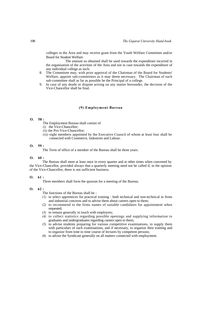colleges in the Area and may receive grant from the Youth Welfare Committee and/or Board for Student Welfare.

The amount so obtained shall be used towards the expenditure incurred in the organisation of the activities of the Area and not in case towards the expenditure of any individual college as such.

- 8. The Committee may, with prior approval of the Chairman of the Board for Students' Welfare, appoint sub-committees as it may deem necessary. The Chairman of each sub-committee shall as far as possible be the Principal of a college.
- 9. In case of any doubt or dispute arising on any matter hereunder, the decision of the Vice-Chancellor shall be final.

# **(9) Employment Bureau**

# **O. 58 :**

The Employment Bureau shall consist of

- *(i)* the Vice-Chancellor;
- *(ii)* the Pro-Vice-Chancellor;
- *(iii)* eight members appointed by the Executive Council of whom at least four shall be connected with Commerce, Industries and Labour.

### **O. 59 :**

The Term of office of a member of the Bureau shall be three years.

### **O. 60 :**

The Bureau shall meet at least once in every quarter and at other times when convened by the Vice-Chancellor, provided always that a quarterly meeting need not be called if, in the opinion of the Vice-Chancellor, there is not sufficient business.

### **O. 61 :**

Three members shall form the quorum for a meeting of the Bureau.

# **O. 62 :**

The functions of the Bureau shall be -

- *(1)* to select apprentices for practical training both technical and non-technical in firms and industrial concerns and to advise them about careers open to them;
- *(2)* to recommend to the firms names of suitable candidates for appointment when requested;
- *(3)* to remain generally in touch with employers;
- *(4)* to collect statistics regarding possible openings and supplying information to graduates and undergraduates regarding careers open to them;
- *(5)* to advise students preparing for various competitive examinations, to supply them with particulars of such examinations, and if necessary, to organize their training and to organize from time to time course of lectures by competent persons;
- *(6)* to advise the Syndicate generally on all matters connected with employment.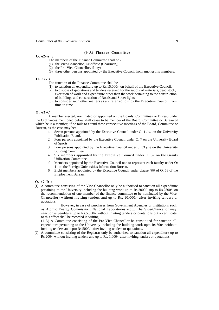### **(9-A) Finance Committee**

# **O. 62-A :**

The members of the Finance Committee shall be -

- (1) the Vice-Chancellor, Ex-officio (Chairman);
- (2) the Pro-Vice-Chancellor, if any;
- (3) three other persons appointed by the Executive Council from amongst its members.

### **O. 62-B :**

- The function of the Finance Committee shall be -
- (1) to sanction all expenditure up to Rs.15,000/- on behalf of the Executive Council.
- (2) to dispose of quotations and tenders received for the supply of materials, dead stock, execution of work and expenditure other than the work pertaining to the construction of buildings and construction of Roads and Street lights,
- (3) to consider such other matters as arc referred to it by the Executive Council from time to time.

### **O. 62-C :**

A member elected, nominated or appointed on the Boards, Committees or Bureau under the Ordinances mentioned below shall cease to be member of the Board, Committee or Bureau of which he is a member, if he fails to attend three consecutive meetings of the Board, Committee or Bureau, as the case may be:

- 1. Seven persons appointed by the Executive Council under O. 1 *(iv)* on the University Publication Board.
- 2. Four persons appointed by the Executive Council under O. 7 on the University Board of Sports.
- 3. Four persons appointed by the Executive Council under 0. 33 *(iv)* on the University Building Committee.
- 4. Six members appointed by the Executive Council under O. 37 on the Grants Utilization Committee.
- *5.* Members appointed by the Executive Council one to represent each faculty under O: 41 on the Foreign Universities Information Bureau.
- 6. Eight members appointed by the Executive Council under clause *(iii)* of O. 58 of the Employment Bureau.
- **O. 62-D :**
- (1) A committee consisting of the Vice-Chancellor only be authorised to sanction all expenditure pertaining to the University including the building work up to Rs.2000/- (up to Rs.2500/- on the recommendation of one member of the finance committee to be nominated by the Vice-Chancellor) without inviting tenders and up to Rs. 10,000/- after inviting tenders or quotations.

However, in case of purchases from Government Agencies or institutions such as Atomic Energy Commission, National Laboratories etc.... The Vice-Chancellor may sanction expenditure up to Rs.5,000/- without inviting tenders or quotations but a certificate to this effect shall be recorded in writing.

(1-A) A Committee consisting of the Pro-Vice-Chancellor be constituted for sanction all expenditure pertaining to the University including the building work upto Rs.500/- without inviting tenders and upto Rs.5000/- after inviting tenders or quotations.

(2) A committee consisting of the Registrar only be authorised to sanction all expenditure up to Rs.200/- without inviting tenders and up to Rs. 1,000/- after inviting tenders or quotations.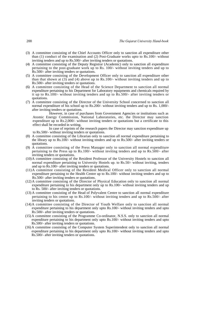- (3) A committee consisting of the Chief Accounts Officer only to sanction all expenditure other than (1) conduct of the examination and (2) Post-Graduate works upto to Rs.100/- without inviting tenders and up to Rs.500/- after inviting tenders or quotations.
- (4) A committee consisting of the Deputy Registrar (Academic) only to sanction all expenditure pertaining to the post-graduate work up to Rs. 100/- without inviting tenders and up to Rs.500/- after inviting tenders or quotations.
- (5) A committee consisting of the Development Officer only to sanction all expenditure other than that shown at (3) and (4) above up to Rs.100/- without inviting tenders and up to Rs.500/- after inviting tenders or quotations.
- (6) A committee consisting of the Head of the Science Department to sanction all normal expenditure pertaining to his Department for Laboratory equipments and chemicals required by it up to Rs.100/- without inviting tenders and up to Rs.500/- after inviting tenders or quotations.
- (7) A committee consisting of the Director of the University School concerned to sanction all normal expenditure of his school up to Rs.200/- without inviting tenders and up to Rs. 1,000/ after inviting tenders or quotations.

However, in case of purchases from Government Agencies or institutions such as Atomic Energy Commission, National Laboratories, etc. the Director may sanction expenditure up to Rs.2,000/- without inviting tenders or quotations but a certificate to this effect shall be recorded in writing.

In case of reprints of the research papers the Director may sanction expenditure up to Rs.500/- without inviting tenders or quotations.

- (8) A committee consisting of the Librarian only to sanction all normal expenditure pertaining to the library up to Rs.100/- without inviting tenders and up to Rs.500/- after inviting tenders or quotations.
- (9) A committee consisting of the Press Manager only to sanction all normal expenditure pertaining to the Press up to Rs.100/- without inviting tenders and up to Rs.500/- after inviting tenders or quotations.
- (10)A committee consisting of the Resident Professor of the University Hostels to sanction all normal expenditure pertaining to University Hostels up. to Rs.50/- without inviting, tenders and up to Rs.100/- after inviting tenders or quotations.
- (11) A committee consisting of the Resident Medical Officer only to sanction all normal expenditure pertaining to the Health Centre up to Rs.100/- without inviting tenders and up to Rs.500/- after inviting tenders or quotations.
- (12) A committee consisting of the Director of Physical Education only to sanction all normal expenditure pertaining to his department only up to Rs.100/- without inviting tenders and up to Rs. 500/- after inviting tenders or quotations.
- (13) A committee consisting of the Head of Polyvalent Centre to sanction all normal expenditure pertaining to his centre up to Rs.100/- without inviting tenders and up to Rs.500/- after inviting tenders or quotations.
- (14) A committee consisting of the Director of Youth Welfare only to sanction all normal expenditure pertaining to his department only upto Rs.100/- without inviting tenders and upto Rs.500/- after inviting tenders or quotations.
- (15) A committee consisting of the Programme Co-ordinator, N.S.S. only to sanction all normal expenditure pertaining to his department only upto Rs.100/- without inviting tenders and upto Rs.500/- after inviting tenders or quotations.
- (16) A committee consisting of the Computer System Superintendent only to sanction all normal expenditure pertaining to his department only upto Rs.100/- without inviting tenders and upto Rs.500/- after inviting tenders or quotations.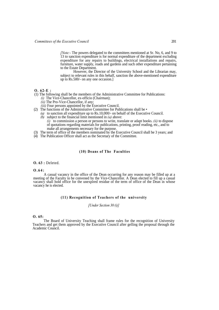*[Note:-* The powers delegated to the committees mentioned at Sr. No, 6, and 9 to 13 to sanction expenditure is for normal expenditure of the department excluding expenditure for any repairs to buildings, electrical installations and repairs, furniture, water supply, roads and gardens and such other expenditure pertaining to the Estate Department.

However, the Director of the University School and the Librarian may, subject to relevant rules in this behalf, sanction the above-mentioned expenditure up to Rs.500/- on any one occasion.]

- **O. 62-E :**
- (1) The following shall be the members of the Administrative Committee for Publications: *(i)* The Vice-Chancellor, ex-officio (Chairman);
	- *(ii)* The Pro-Vice-Chancellor, if any;

*(iii)* Four persons appointed by the Executive Council.

- (2) The functions of the Administrative Committee for Publications shall be
	- *(a)* to sanction all expenditure up to Rs.10,000/- on behalf of the Executive Council. *(b)* subject to the financial limit mentioned in *(a)* above:
		- *(i)* to commission a person or persons to write, translate or adapt books. *(ii)* to dispose of quotations regarding materials for publications, printing, proof reading, etc., and to make all arrangements necessary for the purpose.
- (3) The term of office of the members nominated by the Executive Council shall be 3 years; and
- (4) The Publication Officer shall act as the Secretary of the Committee.

# **(10) Deans of The Faculties**

# **O. 63 :** Deleted.

### **O.64:**

A casual vacancy in the office of the Dean occurring for any reason may be filled up at a meeting of the Faculty to be convened by the Vice-Chancellor. A Dean elected to fill up a casual vacancy shall hold office for the unexpired residue of the term of office of the Dean in whose vacancy he is elected.

# **(11) Recognition of Teachers of the university**

### *[Under Section 30 (i)]*

# **O. 65:**

The Board of University Teaching shall frame rules for the recognition of University Teachers and get them approved by the Executive Council after gelling the proposal through the Academic Council.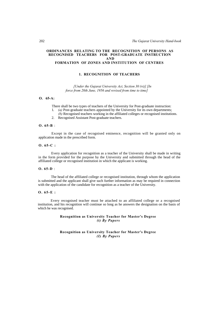### **ORDINANCES RELATING TO THE RECOGNITION OF PERSONS AS RECOGNISED TEACHERS FOR POST-GRADUATE INSTRUCTION AND FORMATION OF ZONES AND INSTITUTION OF CENTRES**

# **1. RECOGNITION OF TEACHERS**

*[Under the Gujarat University Act, Section 30 (vi)] [In force from 20th June, 1956 and revised from time to time]*

# **O. 65-A:**

There shall be two types of teachers of the University for Post-graduate instruction:

- 1. *(a)* Post-graduate teachers appointed by the University for its own departments;
- *(b)* Recognised teachers working in the affiliated colleges or recognised institutions.
- 2. Recognised Assistant Post-graduate teachers.

# **O. 65-B** :

Except in the case of recognised eminence, recognition will be granted only on application made in the prescribed form.

## **O. 65-C :**

Every application for recognition as a teacher of the University shall be made in writing in the form provided for the purpose by the University and submitted through the head of the affiliated college or recognised institution in which the applicant is working.

### **O. 65-D** :

The head of the affiliated college or recognised institution, through whom the application is submitted and the applicant shall give such further information as may be required in connection with the application of the candidate for recognition as a teacher of the University.

### **O. 65-E :**

Every recognised teacher must be attached to an affiliated college or a recognised institution, and his recognition will continue so long as he answers the designation on the basis of which he was recognised.

# **Recognition as University Teacher for Master's Degree**  *(t) By Papers*

# **Recognition as University Teacher for Master's Degree**  *(I) By Papers*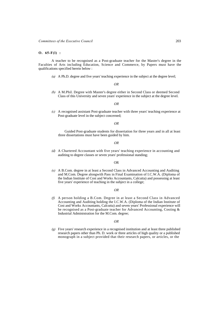**O. 65-F(l) :** 

A teacher to be recognised as a Post-graduate teacher for the Master's degree in the Faculties of Arts including Education, Science and Commerce, by Papers must have the qualifications specified herein below :

*(a)* A Ph.D. degree and five years' teaching experience in the subject at the degree level;

*OR*

*(b)* A M.Phil. Degree with Master's degree either in Second Class or deemed Second Class of this University and seven years' experience in the subject at the degree level.

*OR*

*(c)* A recognised assistant Post-graduate teacher with three years' teaching experience at Post-graduate level in the subject concerned;

*OR*

Guided Post-graduate students for dissertation for three years and in all at least three dissertations must have been guided by him.

*OR*

*(d)* A Chartered Accountant with five years' teaching experience in accounting and auditing to degree classes or seven years' professional standing;

### OR

*(e)* A B.Com. degree in at least a Second Class in Advanced Accounting and Auditing and M.Com. Degree alongwith Pass in Final Examination of I.C.W.A. (Diploma of the Indian Institute of Cost and Works Accountants, Calcutta) and possessing at least five years' experience of teaching in the subject in a college;

### *OR*

*(f)* A person holding a B.Com. Degree in at least a Second Class in Advanced Accounting and Auditing holding the I.C.W.A. (Diploma of the Indian Institute of Cost and Works Accountants, Calcutta) and seven years' Professional experience will be recognised as a Post-graduate teacher for Advanced Accounting, Costing & Industrial Administration for the M.Com. degree;

### *OR*

*(g)* Five years' research experience in a recognised institution and at least three published research papers other than Ph. D. work or three articles of high quality or a published monograph in a subject provided that their research papers, or articles, or the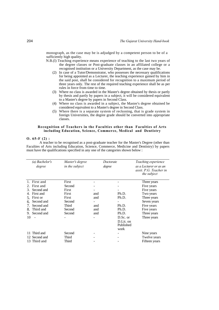monograph, as the case may be is adjudged by a competent person to be of a sufficiently high quality.

- N.B.(l) Teaching experience means experience of teaching to the last two years of the degree classes or Post-graduate classes in an affiliated college or a recognised institution or a University Department, as the case may be.
	- (2) In case of a Tutor/Demonstrator, who possesses the necessary qualifications for being appointed as a Lecturer, the teaching experience gained by him in the said post, shall be considered for recognition to a maximum period of three years only. The rest of the required teaching experience shall be as per rules in force from time to time.
	- (3) Where no class is awarded in the Master's degree obtained by thesis or partly by thesis and partly by papers in a subject, it will be considered equivalent to a Master's degree by papers in Second Class.
	- (4) Where no class is awarded in a subject, the Master's degree obtained be considered equivalent to a Master's degree in Second Class.
	- (5) Where there is a separate system of reckoning, that is grade system in foreign Universities, the degree grade should be converted into appropriate classes.

# **Recognition of Teachers in the Faculties other than Faculties of Arts including Education, Science, Commerce, Medical and Dentistry**

# **O. 65-F (2) :**

A teacher to be recognised as a post-graduate teacher for the Master's Degree (other than Faculties of Arts including Education, Science, Commerce, Medicine and Dentistry) by papers must have the qualifications specified in any one of the categories shown below :

| (a) Bachelor's<br>degree | in the subject | Master's degree | Doctorate<br>degree            | Teaching experience<br>as a Lecturer or as an<br>assit, P.G. Teacher in<br><i>the subject</i> |
|--------------------------|----------------|-----------------|--------------------------------|-----------------------------------------------------------------------------------------------|
| 1. First and             | First          |                 |                                | Three years                                                                                   |
| First and<br>$2_{-}$     | Second         |                 |                                | Five years                                                                                    |
| Second and<br>3.         | First          |                 |                                | Five years                                                                                    |
| First and                | First          | and             | Ph.D.                          | Two years                                                                                     |
| First or                 | First          | and             | Ph.D.                          | Three years                                                                                   |
| Second and<br>6.         | Second         |                 |                                | Seven years                                                                                   |
| Second and               | <b>Third</b>   | and             | Ph.D.                          | Five years                                                                                    |
| Third and<br>8.          | Second         | and             | Ph.D.                          | Five years                                                                                    |
| Second and<br>9.         | Second         | and             | Ph.D.                          | Three years                                                                                   |
| 10                       |                |                 | D.Sc. or                       | Three years                                                                                   |
|                          |                |                 | D.Lit. on<br>Published<br>work |                                                                                               |
| 11 Third and             | Second         |                 |                                | Nine years                                                                                    |
| 12 Second and            | Third          |                 |                                | Twelve years                                                                                  |
| Third and<br>13          | Third          |                 |                                | Fifteen years                                                                                 |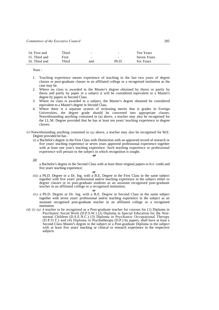| 14. First and | Third | $\overline{\phantom{a}}$ | $\overline{\phantom{a}}$ | Ten Years   |
|---------------|-------|--------------------------|--------------------------|-------------|
| 15. Third and | First | $\overline{\phantom{a}}$ | $\overline{\phantom{a}}$ | Seven Years |
| 16. Third and | Third | and                      | Ph.D                     | Six Years   |

Note :

- 1. Teaching experience means experience of teaching to the last two years of degree classes or post-graduate classes in an affiliated college or a recognised institution as the case may be.
- 2. Where no class is awarded in the Master's degree obtained by thesis or partly by thesis and partly by paper in a subject it will be considered equivalent to a Master's degree by papers in Second Class.
- 3. Where no class is awarded in a subject, the Master's degree obtained be considered equivalent to a Master's degree in Second Class.
- 4. Where there is a separate system of reckoning merits that is grades in Foreign Universities, the degree grade should be converted into appropriate classes. Notwithstanding anything contained in (a) above, a teacher may also be recognised for the LL.M. Degree provided that he has at least ten years' teaching experience to degree classes.
- $(c)$  Notwithstanding anything contained in  $(a)$  above, a teacher may also be recognised for M.E. Degree provided he has -
	- *(i)* a Bachelor's degree in the First Class with Distinction with an approved record of research or five years' teaching experience or seven years approved professional experience together with at least one year's teaching experience. Such teaching experience or professional experience will pertain to the subject in which recognition is sought.

*(ii)*

a Bachelor's degree in the Second Class with at least three original papers to his credit and five years' teaching experience;

### *or*

*or*

*or*

- *(iii)* a Ph.D. Degree or a Dr. Ing. with a B.E. Degree in the First Class in the same subject together with five years' professional and/or teaching experience in the subject either to degree classes or to post-graduate students as an assistant recognised post-graduate teacher in an affiliated college or a recognised institution;
- *(iv)* a Ph.D. Degree or Dr. Ing. with a B.E. Degree in Second Class in the same subject together with seven years' professional and/or teaching experience in the subject as an assistant recognised post-graduate teacher in an affiliated college or a recognised institution.
- *(d) (i) (a) A* teacher to be recognised as a Post-graduate teacher for courses for (1) Diploma in Psychiatric Social Work (D.P.S.W.) (2) Diploma in Special Education for the Nonnormal Children (D.S.E.N.C.) (3) Diploma in Psychiatric Occupational Therapy (D.P.O.T.) and (4) Diploma in Psychotherapy (D.P.) by papers, shall have at least a Second Class Master's degree in the subject or a Post-graduate Diploma in the subject with at least five years' teaching or clinical or research experience in the respective subjects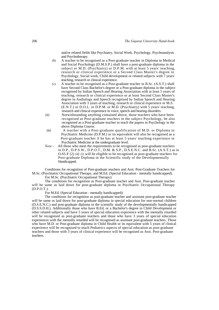and/or related fields like Psychiatry, Social Work, Psychology, Psychoanalysis and Psychotherapy.

- *(b)* A teacher to be recognised as a Post-graduate teacher in Diploma in Medical and Social Psychology (D.M.S.P.) shall have a post-graduate diploma in the subject or M.D. (Psychiatry) or D.P.M. with at least 5 years' teaching, research or clinical experience or a Second Class Master's degree in Psychology, Social work, Child development or related subjects with 7 years' teaching, research or clinical experience.
- *(c)* A teacher to be recognised as a Post-graduate teacher in B.Sc. (A.S.T.) shall have Second Class Bachelor's degree or a Post-graduate diploma in the subject recognised by Indian Speech and Hearing Association with at least 5 years of teaching, research or clinical experience or at least Second Class Master's degree in Audiology and Speech recognised by Indian Speech and Hearing Association with 3 years of teaching, research or clinical experience or M.S. (E.N.T.) or D.O.L. or D.P.M. or M.D. (Psychiatry) with 5 years' teaching, research and clinical experience in voice, speech and hearing disorders.
- *(ii)* Notwithstanding anything contained above, those teachers who have been recognised as Post-graduate teachers in the subject Psychology, be also recognised as a Post-graduate teacher to teach the papers in Psychology in the above Diploma Course.
- *(iii)* A teacher with a Post-graduate qualification of M.D. or Diploma in Psychiatric Medicine (D.P.M.) or its equivalent will also be recognised as a Post-graduate teacher if he has at least 5 years' teaching experience in Psychiatric Medicine at the undergraduate level.
- *Note:-* All those who meet the requirements to be recognised as post-graduate teachers in D.P., D.P.S.W., D.P.O.T., D.M. & S.P., D.S.E.N.C. and B.Sc. (A.S.T.) as in O.65-F (2) *(d) (i)* will be eligible to be recognised as post-graduate teachers for Post-graduate Diploma in the Scientific study of the Developmentally Handicapped.

Conditions for recognition of Post-graduate teachers and Asst. Post-Graduate Teachers for M.Sc. (Psychiatric Occupational Therapy, and M.Ed. (Special Education - mentally handicapped).

For M.Sc. (Psychiatric Occupational Therapy):

The conditions for recognition as Post-graduate teacher and Asst. Post-graduate teacher will be same as laid down for post-graduate diploma in Psychiatric Occupational Therapy (D.P.O.T.).

For M.Ed. (Special Education - mentally handicapped):

The conditions for recognition as post-graduate teacher and assistant post-graduate teacher will be same as laid down for post-graduate diploma in special education for non-normal children (D.S.E.N.C.) and post-graduate diploma in the scientific study of the developmentally handicapped (D.S.S.D.H.). Additionally those who have B.Ed, or a Bachelor's degree in Child Development or other related subjects and have 5 years of special education experience with the mentally retarded will be recognised as post-graduate teachers and those who have 3 years of special education experiences with the mentally retarded will be recognised as assistant post-graduate teachers. Those who have M.D. or Post-graduate diploma in Child Health or its equivalent with 5 years of clinical experience will be recognised to teach Pediatrics aspects of special education as post-graduate teachers and those with 3 years of clinical experience will be recognised as Asst. Post-graduate teachers.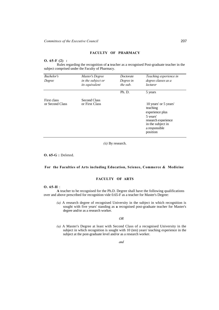### **FACULTY OF PHARMACY**

# **O. 65-F (2) :**

Rules regarding the recognition of **a** teacher as a recognised Post-graduate teacher in the subject comprised under the Faculty of Pharmacy.

| Bachelor's<br>Degree           | Master's Degree<br>in the subject or<br>its equivalent | Doctorate<br>Degree in<br>the sub. | Teaching experience in<br>degree classes as a<br>lecturer                                                                                 |
|--------------------------------|--------------------------------------------------------|------------------------------------|-------------------------------------------------------------------------------------------------------------------------------------------|
|                                |                                                        | Ph. D.                             | 5 years                                                                                                                                   |
| First class<br>or Second Class | Second Class<br>or First Class                         |                                    | 10 years' or 5 years'<br>teaching<br>experience plus<br>5 years'<br>research experience<br>in the subject in<br>a responsible<br>position |

*(ii)* By research.

**O. 65-G :** Deleted.

# **For the Faculties of Arts including Education, Science, Commerce & Medicine**

# **FACULTY OF ARTS**

# **O. 65-H** :

**A** teacher to be recognised for the Ph.D. Degree shall have the following qualifications over and above prescribed for recognition vide 0.65-F as a teacher for Master's Degree:

*(a)* A research degree of recognised University in the subject in which recognition is sought with five years' standing as **a** recognised post-graduate teacher for Master's degree and/or as a research worker.

*OR*

*(a)* A Master's Degree at least with Second Class of a recognised University in the subject in which recognition is sought with 10 (ten) years' teaching experience in the subject at the post-graduate level and/or as a research worker.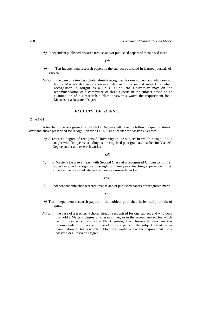*(b)* Independent published research treatise and/or published papers of recognised merit.

*OR*

- *(b)* Ten independent research papers in the subject published in learned journals of repute.
- *Note*:- In the case of a teacher/scholar already recognised for one subject and who does not hold a Master's degree or a research degree in the second subject for which recognition is sought as a Ph.D. guide, the University may on the recommendation of a committee of three experts in the subject based on an examination of his research publications/works waive the requirement for a Master's or a Research Degree.

# **FACULTY OF SCIENCE**

# **O. 65-H :**

A teacher to be recognised for the Ph.D. Degree shall have the following qualifications over and above prescribed for recognition vide O, 65-F as a teacher for Master's Degree:

*(a)* A research degree of recognised University in the subject in which recognition is sought with five years' standing as a recognised post-graduate teacher for Master's Degree and/or as a research worker.

### *OR*

*(a) A* Master's Degree at least with Second Class of a recognised University in the subject in which recognition is sought with ten years' teaching experience in the subject at the post-graduate level and/or as a research worker.

### *AND*

*(b)* Independent published research treatise and/or published papers of recognised merit.

### *OR*

- *(b)* Ten independent research papers in the subject published in learned journals of repute.
- *Note.-* In the case of a teacher/ Scholar already recognised for one subject and who docs not hold a Master's degree or a research degree in the second subject for which recognition is sought as a Ph.D. guide, the University may on the recommendation of a committee of three experts in the subject based on an examination of his research publications/works waive the requirement for a Master's or a Research Degree.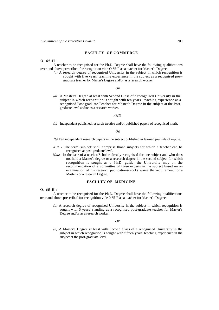### **FACULTY OF COMMERCE**

### **O. 65-H :**

A teacher to be recognised for the Ph.D. Degree shall have the following qualifications over and above prescribed for recognition vide O.65-F as a teacher for Master's Degree:

*(a)* A research degree of recognised University in the subject in which recognition is sought with five years' teaching experience in the subject as a recognised postgraduate teacher for Master's Degree and/or as a research worker.

### *OR*

*(a)* A Master's Degree at least with Second Class of a recognised University in the subject in which recognition is sought with ten years' teaching experience as a recognised Post-graduate Teacher for Master's Degree in the subject at the Post graduate level and/or as a research worker.

### *AND*

*(b)* Independent published research treatise and/or published papers of recognised merit.

# *OR*

*(b)* Ten independent research papers in the subject published in learned journals of repute.

- *N.B.* The term 'subject' shall comprise those subjects for which a teacher can be recognised at post-graduate level.
- *Note.-* In the case of a teacher/Scholar already recognised for one subject and who does not hold a Master's degree or a research degree in the second subject for which recognition is sought as a Ph.D. guide, the University may on the recommendation of a committee of three experts in the subject based on an examination of his research publications/works waive the requirement for a Master's or a research Degree.

# **FACULTY OF MEDICINE**

# **O. 65-H :**

A teacher to be recognised for the Ph.D. Degree shall have the following qualifications over and above prescribed for recognition vide 0.65-F as a teacher for Master's Degree:

*(a)* A research degree of recognised University in the subject in which recognition is sought with 5 years' standing as a recognised post-graduate teacher for Master's Degree and/or as a research worker.

### *OR*

*(a)* A Master's Degree at least with Second Class of a recognised University in the subject in which recognition is sought with fifteen years' teaching experience in the subject at the post-graduate level.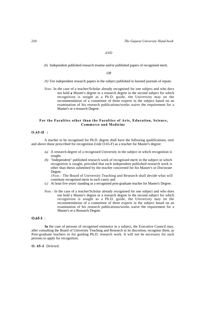### *AND*

*(b)* Independent published research treatise and/or published papers of recognised merit.

*OR* 

*(b)* Ten independent research papers in the subject published in learned journals of repute.

*Note-* In the case of a teacher/Scholar already recognised for one subject and who docs not hold **a** Master's degree or a research degree in the second subject for which recognition is sought as a Ph.D. guide, the University may on the recommendation of a committee of three experts in the subject based on an examination of his research publications/works waive the requirement for a Master's or a research Degree.

# **For the Faculties other than the Faculties of Arts, Education, Science, Commerce and Medicine**

# **O.65-H :**

A teacher to be recognised for Ph.D. degree shall have the following qualifications, over and above those prescribed for recognition (vide O.65-F) as a teacher for Master's degree:

- *(a)* A research degree of a recognised University in the subject in which recognition is sought.
- *(b)* "Independent" published research work of recognised merit in the subject in which recognition is sought, provided that such independent published research work is other than thesis submitted by the teacher concerned for his Master's or Doctorate Degree.

*(Note.-* The Board of University Teaching and Research shall decide what will constitute recognised merit in each case); and

- *(c)* At least five years' standing as a recognised post-graduate teacher for Master's Degree.
- *Note.-* In the case of a teacher/Scholar already recognised for one subject and who does not hold a Master's degree or a research degree in the second subject for which recognition is sought as a Ph.D. guide, the University may on the recommendation of a committee of three experts in the subject based on an examination of his research publications/works waive the requirement for a Master's or a Research Degree.

# **O.65-I** :

**In** the case of persons of recognised eminence in a subject, the Executive Council may, after consulting the Board of University Teaching and Research in its discretion, recognise them, as Post-graduate teachers or for guiding Ph.D. research work. It will not be necessary for such persons to apply for recognition.

**O. 65-J** Deleted.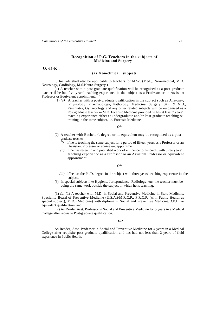# **Recognition of P.G. Teachers in the subjects of Medicine and Surgery**

 **O. 65-K :**

# **(a) Non-clinical subjects**

 (This rule shall also be applicable to teachers for M.Sc. (Med.), Non-medical, M.D. Neurology, Cardiology, M.S.Neuro-Surgery.)

(1) A teacher with a post-graduate qualification will be recognised as a post-graduate teacher if he has five years' teaching experience in the subject as a Professor or an Assistant Professor or Equivalent appointment. '

 (1) *(a)* A teacher with a post-graduate qualification in the subject such as Anatomy, Physiology, Pharmacology, Pathology, Medicine, Surgery, Skin & V.D., Psychiatry, Gynaecology and any other related subjects will be recognised as a Post-graduate teacher in M.D. Forensic Medicine provided he has at least 7 years' teaching experience either at undergraduate and/or Post-graduate teaching & training in the same subject, i.e. Forensic Medicine.

### *OR*

- (2) A teacher with Bachelor's degree or its equivalent may be recognised as a post graduate teacher -
	- *(i)* if he is teaching the same subject for a period of fifteen years as a Professor or an Assistant Professor or equivalent appointment.
	- *(ii)* if he has research and published work of eminence to his credit with three years' teaching experience as a Professor or an Assistant Professor or equivalent appointment

# *OR*

- *(iii)* if he has the Ph.D. degree in the subject with three years' teaching experience in the subject.
- (3) In special subjects like Hygiene, Jurisprudence, Radiology, etc. the teacher must be doing the same work outside the subject in which he is teaching.

(3) *(a)* (1) A teacher with M.D. in Social and Preventive Medicine in State Medicine, Speciality Board of Preventive Medicine (U.S.A.)/M.R.C.P., F.R.C.P. (with Public Health as special subject), M.D. (Medicine) with diploma in Social and Preventive Medicine/D.P.H. or equivalent qualification; and

 (2) As Reader Asst. Professor in Social and Preventive Medicine for 5 years in a Medical College after requisite Post-graduate qualification.

# *OR*

As Reader, Asst. Professor in Social and Preventive Medicine for 4 years in a Medical College after requisite post-graduate qualification and has had not less than 2 years of field experience in Public Health.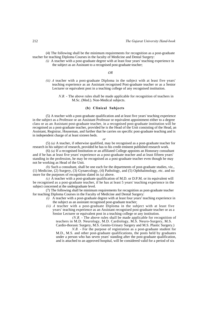(4) The following shall be the minimum requirements for recognition as a post-graduate teacher for teaching Diploma Courses in the faculty of Medicine and Dental Surgery:

*(i)* A teacher with a post-graduate degree with at least four years' teaching experience in the subject as an Assistant to a recognised post-graduate teacher;

# *OR*

*(ii) A* teacher with a post-graduate Diploma in the subject with at least five years' teaching experience as an Assistant recognised Post-graduate teacher or as a Senior Lecturer or equivalent post in a teaching college of any recognised institution.

*N.B.* - The above rules shall be made applicable for recognition of teachers in M.Sc. (Med.). Non-Medical subjects.

# **(b) Clinical Subjects**

(5) A teacher with a post-graduate qualification and at least five years' teaching experience in the subject as a Professor or an Assistant Professor or equivalent appointment either to a degree class or as an Assistant post-graduate teacher, in a recognised post-graduate institution will be recognised as a post-graduate teacher, provided he is the Head of the Unit consisting of the Head, an Assistant, Registrar, Houseman, and further that he carries on specific post-graduate teaching and is in independent charge of at least sixteen beds.

### *or*

(5) *(a)* A teacher, if otherwise qualified, may be recognised as a post-graduate teacher for research in his subject of research, provided he has to his credit eminent published research work.

(6) *(a)* If a recognised Institution or an affiliated College appoints an Honorary consultant and if he has at least five years' experience as a post-graduate teacher and at least fifteen years' standing in the profession, he may be recognised as a post-graduate teacher even though he may not be working as Head of the Unit.

*(b)* Such a consultant, shall be one each for the departments of post-graduate studies, viz., (1) Medicine, (2) Surgery, (3) Gynaecology, (4) Pathology, and (5) Ophthalmology, etc. and no more for the purposes of recognition slated in *(a)* above.

*(c)* A teacher with a post-graduate qualification of M.D. or D.P.M. or its equivalent will be recognised as a post-graduate teacher, if he has at least 5 years' teaching experience in the subject concerned at the undergraduate level.

(7) The following shall be minimum requirements for recognition as post-graduate teacher for teaching Diploma Courses in the Faculty of Medicine and Dental Surgery:

- *(i)* A teacher with a post-graduate degree with at least four years' teaching experience in the subject as an assistant recognised post-graduate teacher;
- *(ii) A* teacher with a post-graduate Diploma in the subject with at least five years' teaching experience as an Assistant recognised post-graduate teacher or as a Senior Lecturer or equivalent post in a teaching college or any institution.

*(N.B.* - The above rules shall be made applicable for recognition of teachers in M.D. Neurology, M.D. Cardiology, M.S. Neuro-Surgery, M.S. Cardio-thorasic Surgery, M.S. Genito-Urinary Surgery and M.S. Plastic Surgery.)

*N.B.* - For the purpose of registration as a post-graduate student for M.D., M.S. and other post-graduate qualifications, the posts held by graduates under a person who has seven years' standing after the post-graduate qualification, and is attached to an approved hospital, will be considered valid for a period of six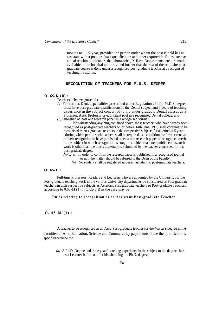months to 1 1/2 year, provided the person under whom the post is held has an assistant with **a** post-graduate'qualification and other required facilities, such as actual teaching, guidance, the laboratories, X-Rays Departments, etc. are made available at the hospital and provided further that the rest of the requisite postgraduate course is done under a recognised post-graduate teacher at a recognised teaching institution.

# **RECOGNITION OF TEACHERS FOR M.D.S. DEGREE**

### **O. 65-K (B) :**

Teachers to be recognised for -

*(a)* For various Dental specialities prescribed under Regulation 260 for M.D.S. degree must have post-graduate qualifications in the Dental subject and 5 years of teaching experience in the subject concerned to the under-graduate Dental classes as a Professor, Asstt. Professor or equivalent post in a recognised Dental college; and *(b)* Published at least one research paper in a recognised journal:

Notwithstanding anything contained above, those teachers who have already been recognised as post-graduate teachers on or before 14th June, 1973 shall continue to be recognised as post-graduate teachers in their respective subjects for a period of 5 years during which period such teachers shall be required as a condition for further renewal of their recognition to have published at least one research paper of recognised merit in the subject in which recognition is sought provided that such published research work is other than the thesis dissertation, submitted by the teacher concerned for his post-graduate degree.

- *Note.- (i)* In order to confirm the research paper is published in a recognised journal or not, the matter should be referred to the Dean of the Faculty.
	- *(ii)* No student shall be registered under an assistant to post-graduate teachers.

# **O. 65-L :**

Full-time Professors, Readers and Lecturers who are appointed by the University for the Post-graduate teaching work in the various University departments be considered as Post-graduate teachers in their respective subjects as Assistant Post-graduate teachers or Post-graduate Teachers according to  $0.65-M(1)$  or  $0.65-F(1)$  as the case may be.

# **Rules relating to recognition as an Assistant Post-graduate Teacher**

*\* **O. 65-M (1) :** 

A teacher to be recognised as an Asst. Post-graduate teacher for the Master's degree in the faculties of Arts, Education, Science and Commerce by papers must have the qualifications specified hereinbelow:

 *(a)* A Ph.D. Degree and three years' teaching experience in the subject to the degree class as a Lecturer before or after his obtaining the Ph.D. degree;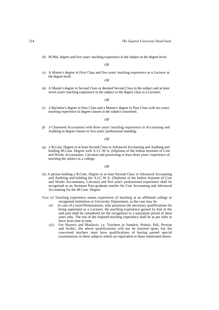*(b)* M.Phil. degree and five years' teaching experience in the subject at the degree level;

*OR*

*(c)* A Master's degree in First Class and five years' teaching experience as a Lecturer at the degree level;

*OR*

*(d)* A Master's degree in Second Class or deemed Second Class in the subject and at least seven years' teaching experience in the subject to the degree class as a Lecturer,

*OR*

*(e) A* Bachelor's degree in Pass Class and a Master's degree in Pass Class with ten years' teaching experience in degree classes in the subject concerned.

*OR*

*(f) A* Chartered Accountant with three years' teaching experience in Accounting and Auditing in degree classes or five years' professional standing;

*OR*

*(g) A* B.Com. Degree in at least Second Class in Advanced Accounting and Auditing and holding M.Com. Degree with A.I.C.W.A. (Diploma of the Indian Institute of Cost and Works Accountants, Calcutta) and possessing at least three years' experience of teaching the subject in a college;

### *OR*

- *(h)* A person holding a B.Com. Degree in at least Second Class in Advanced Accounting and Auditing and holding the A.I.C.W.A. (Diploma of the Indian Institute of Cost and Works Accountants, Calcutta) and five years' professional experience shall be recognised as an Assistant Post-graduate teacher for Cost Accounting and Advanced Accounting for the M.Com. Degree.
- *Note (i)* Teaching experience means experience of leaching at an affiliated college or recognised institution or University Department, as the case may be.
	- *(ii)* In case of a tutor/Demonstrator, who possesses the necessary qualifications for being appointed as a Lecturer, the teaching experience gained by him in the said post shall be considered for the recognition to a maximum period of three years only. The rest of the required teaching experience shall be as per rules in force from time to time.
	- *(iii)* For Shastris and Maulavis, i.e. Teachers in Sanskrit, Prakrit, Pali, Persian and Arabic, the above qualifications will not be insisted upon, but the concerned teachers must have qualifications of having passed special examinations in these subjects which are equivalent to those mentioned above.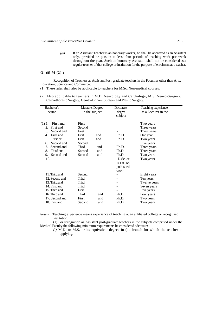*(iv)* If an Assistant Teacher is an honorary worker, he shall be approved as an Assistant only, provided he puts in at least four periods of teaching work per week throughout the year. Such an honorary Assistant shall not be considered as a regular teacher of that college or institution for the purpose of enrolment as a teacher.

# **O. 65-M (2) :**

Recognition of Teachers as Assistant Post-graduate teachers in the Faculties other than Arts, Education, Science and Commerce:

(1) These rules shall also be applicable to teachers for M.Sc. Non-medical courses.

(2) Also applicable to teachers in M.D. Neurology and Cardiology, M.S. Neuro-Surgery, Cardiothorasic Surgery, Genito-Urinary Surgery and Plastic Surgery.

| Bachelor's<br>degree                                                                                                                                                                                                  | Master's Degree<br>in the subject                                                 |                                 | Doctorate<br>degree<br>subject                                                  | Teaching experience<br>as a Lecturer in the                                                                                            |
|-----------------------------------------------------------------------------------------------------------------------------------------------------------------------------------------------------------------------|-----------------------------------------------------------------------------------|---------------------------------|---------------------------------------------------------------------------------|----------------------------------------------------------------------------------------------------------------------------------------|
| $(1)$ 1.<br>First and<br>First and<br>2.<br>3.<br>Second and<br>First and<br>4.<br>5.<br>First or<br>Second and<br>6.<br>Second and<br>$7_{\scriptscriptstyle{\ddots}}$<br>8.<br>Third and<br>9.<br>Second and<br>10. | First<br>Second<br>First<br>First<br>First<br>Second<br>Third<br>Second<br>Second | and<br>and<br>and<br>and<br>and | Ph.D.<br>Ph.D.<br>Ph.D.<br>Ph.D.<br>Ph.D.<br>D.Sc. or<br>D.Lit. on<br>published | Two years<br>Three years<br>Three years<br>One year<br>Two years<br>Five years<br>Three years<br>Three years<br>Two years<br>Two years |
| 11. Third and<br>12. Second and<br>13. Third and<br>14. First and<br>15. Third and<br>16. Third and<br>17. Second and<br>18. First and                                                                                | Second<br>Third<br>Third<br>Third<br>First<br><b>Third</b><br>First<br>Second     | and<br>and<br>and               | work<br>Ph.D.<br>Ph.D.<br>Ph.D.                                                 | Eight years<br>Ten years<br>Twelve years<br>Seven years<br>Five years<br>Four years<br>Two years<br>Two years                          |

*Note.-* Teaching experience means experience of teaching at an affiliated college or recognised institution.

(1) For recognition as Assistant post-graduate teachers in the subjects comprised under the Medical Faculty the following minimum requirements be considered adequate:

*(i)* M.D. or M.S. or its equivalent degree in (he branch for which the teacher is applying.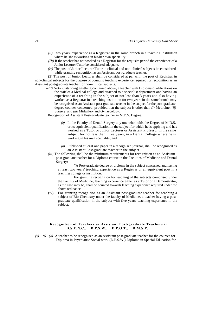- *(ii)* Two years' experience as a Registrar in the same branch in a teaching institution where he/she is working in his/her own speciality.
- *(Hi)* If the teacher has not worked as a Registrar for the requisite period the experience of a Junior Lecturer/Tutor be considered adequate.
- *(iv)* The post of Junior Lecturer/Tutor in clinical and non-clinical subjects be considered while granting recognition as an Assistant post-graduate teacher.

(2) The post of Junior Lecturer shall be considered at par with the post of Registrar in non-clinical subjects for the purpose of counting teaching experience required for recognition as an Assistant post-graduate teacher for non-clinical subjects.

*--(it)* Notwithstanding anything contained above, a teacher with Diploma qualifications on the staff of a Medical college and attached to a specialist department and having an experience of a teaching in the subject of not less than 3 years and also having worked as a Registrar in a teaching institution for two years in the same branch may be recognised as an Assistant post-graduate teacher in the subject for the post-graduate degree courses concerned, provided that the subject is other than *(i)* Medicine, *(ii)*  Surgery, and *(iii)* Midwifery and Gynaecology.

Recognition of Assistant Post-graduate teacher in M.D.S. Degree.

- *(a)* In the Faculty of Dental Surgery any one who holds the Degree of M.D.S. or its equivalent qualification in the subject for which he is applying and has worked as a Tutor or Junior Lecturer or Assistant Professor in the same subject for not less than three years, in a Dental College where he is working in his own speciality, and
- *(b)* Published at least one paper in a recognised journal, shall be recognised as an Assistant Post-graduate teacher in the subject.
- *(iii)* The following shall be the minimum requirements for recognition as an Assistant post-graduate teacher for a Diploma course in the Faculties of Medicine and Dental Surgery:

"A Post-graduate degree or diploma in the subject concerned and having at least two years' teaching experience as a Registrar or an equivalent post in a teaching college or institution."

For granting recognition for teaching of the subjects comprised under the Faculty of Medicine, leaching experience either as a Tutor or a Demonstrator, as the case may be, shall be counted towards teaching experience required under the above ordinance.

(iv) For granting recognition as an Assistant post-graduate teacher for teaching a subject of Bio-Chemistry under the faculty of Medicine, a teacher having a postgraduate qualification in the subject with five years' teaching experience in the subject.

# **Recognition of Teachers as Assistant Post-graduate Teachers in D.S.E.N.C., D.P.S.W., D.P.O.T., D.M.S.P.**

*(v) (i) (a)* A teacher to be recognised as an Assistant post-graduate teacher for the courses for Diploma in Psychiatric Social work (D.P.S.W.) Diploma in Special Education for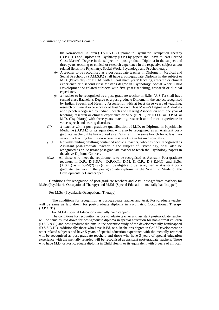the Non-normal Children (D.S.E.N.C.) Diploma in Psychiatric Occupation Therapy (D.P.O.T.) and Diploma in Psychiatry (D.P.) by papers shall have at least Second Class Master's Degree in the subject or a post-graduate Diploma in the subject and three years' teaching or clinical or research experience in the respective subject and/or related fields like Psychiatry, Social Work, Psychology and Psychotherapy.

- *(b)* A teacher to be recognised as a post-graduate teacher in Diploma in Medical and Social Psychology (D.M.S.P.) shall have a post-graduate Diploma in the subject or M.D. (Psychiatry) or D.P.M. with at least three years' teaching, research or clinical experience or a second class Master's degree in Psychology, Social Work, Child Development or related subjects with five years' teaching, research or clinical experience.
- *(c) A* teacher to be recognised as a post-graduate teacher in B.Sc. (A.S.T.) shall have second class Bachelor's Degree or a post-graduate Diploma in the subject recognised by Indian Speech and Hearing Association with at least three years of teaching, research or clinical experience or at least Second Class Master's Degree in Audiology and Speech recognised by Indian Speech and Hearing Association with one year of teaching, research or clinical experience or M.S. (E.N.T.) or D.O.L. or D.P.M. or M.D. (Psychiatry) with three years' teaching, research and clinical experience in voice, speech and hearing disorders.
- *(ii) A* teacher with a post-graduate qualification of M.D. or Diploma in Psychiatric Medicine (D.P.M.) or its equivalent will also be recognised as an Assistant postgraduate teacher, if he has worked as a Registrar in the same branch for at least two years in a teaching Institution where he is working in his own speciality.
- *(iii)* Notwithstanding anything contained above a teacher, who has been recognised as Assistant post-graduate teacher in the subject of Psychology, shall also be recognised as an Assistant post-graduate teacher to teach the Psychology papers in the above Diploma Courses.
- *Note.* All those who meet the requirements to be recognised as Assistant Post-graduate teachers in D.P., D.P.S.W., D.P.O.T., D.M. & C.P., D.S.E.N.C. and B.Sc.  $(A.S.T.)$  as in 65-M(2) (v) (i) will be eligible to be recognised as Assistant postgraduate teachers in the post-graduate diploma in the Scientific Study of the Developmentally Handicapped.

Conditions for recognition of post-graduate teachers and Asst. post-graduate teachers for M.Sc. (Psychiatric Occupational Therapy) and M.Ed. (Special Education - mentally handicapped).

For M.Sc. (Psychiatric Occupational Therapy).

The conditions for recognition as post-graduate teacher and Asst. Post-graduate teacher will be same as laid down for post-graduate diploma in Psychiatric Occupational Therapy (D.P.O.T.).

For M.Ed. (Special Education - mentally handicapped).

The conditions for recognition as post-graduate teacher and assistant post-graduate teacher will be same as laid down for post-graduate diploma in special education for non-normal children (D.S.E.N.C.) and post-graduate diploma in the scientific study of the developmentally handicapped (D.S.S.D.H.). Additionally those who have B.Ed, or a Bachelor's degree in Child Development or other related subjects and have 5 years of special education experience with the mentally retarded will be recognised as post-graduate teachers and those who have 3 years of special education experience with the mentally retarded will be recognised as assistant post-graduate teachers. Those who have M.D. or Post-graduate diploma in Child Health or its equivalent with 5 years of clinical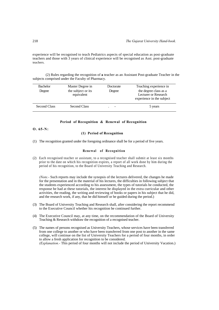experience will be recognised to teach Pediatrics aspects of special education as post-graduate teachers and those with 3 years of clinical experience will be recognised as Asst. post-graduate teachers.

(2) Rules regarding the recognition of **a** teacher as an Assistant Post-graduate Teacher in the subjects comprised under the Faculty of Pharmacy.

| <b>Bachelor</b> | Master Degree in                 | Doctorate | Teaching experience in                                                     |
|-----------------|----------------------------------|-----------|----------------------------------------------------------------------------|
| Degree          | the subject or its<br>equivalent | Degree    | the degree class as a<br>Lecturer or Research<br>experience in the subject |
| Second Class    | Second Class                     |           | 5 years                                                                    |

### **Period of Recognition & Renewal of Recognition**

**O. 65-N:**

# **(1) Period of Recognition**

(1) The recognition granted under the foregoing ordinance shall be for a period of five years.

# **Renewal of Recognition**

(2) Each recognised teacher or assistant, to a recognised teacher shall submit at least six months prior to the date on which his recognition expires, a report of all work done by him during the period of his recognition, to the Board of University Teaching and Research.

*(Note.-* Such reports may include the synopsis of the lectures delivered, the changes he made for the presentation and in the material of his lectures, the difficulties in following subject that the students experienced according to his assessment, the types of tutorials he conducted, the response he had at these tutorials, the interest he displayed in the extra curricular and other activities, the reading, the writing and reviewing of books or papers in his subject that he did, and the research work, if any, that he did himself or he guided during the period.)

- (3) The Board of University Teaching and Research shall, after considering the report recommend to the Executive Council whether his recognition be continued further.
- (4) The Executive Council may, at any time, on the recommendation of the Board of University Teaching & Research withdraw the recognition of a recognised teacher.
- (5) The names of persons recognised as University Teachers, whose services have been transferred from one college to another or who have been transferred from one post to another in the same college, will continue on the list of University Teachers for a period of four months, in order to allow a fresh application for recognition to be considered. *(Explanation.-* This period of four months will not include the period of University Vacation.)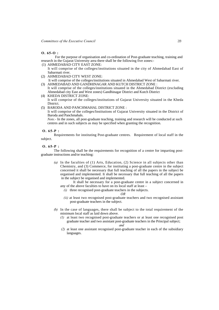#### **O. 65-O :**

 For the purpose of organisation and co-ordination of Post-graduate teaching, training and research in the Gujarat University area there shall be the following five zones:-

- (1) AHMEDABAD CITY EAST ZONE:
- It will comprise of the colleges/institutions situated in the city of Ahmedabad East of Sabarmati river.
- (2) AHMEDABAD CITY WEST ZONE:
- It will comprise of the colleges/institutions situated in Ahmedabad West of Sabarmati river. (3) AHMEDABAD AND GANDHINAGAR AND KUTCH DISTRICT ZONE :
- It will comprise of the colleges/institutions situated in the Ahmedabad District (excluding Ahmedabad city East and West zones) Gandhinagar District and Kutch District
- (4) KHEDA DISTRICT ZONE: It will comprise of the colleges/institutions of Gujarat University situated in the Kheda District.
- (5) BARODA AND PANCHMAHAL DISTRICT ZONE :

It will comprise of the colleges/Institutions of Gujarat University situated in the District of Baroda and Panchmahals.

*Note.-* In the zones, all post-graduate teaching, training and research will be conducted at such centres and in such subjects as may be specified when granting the recognition.

## **O. 65-P :**

Requirements for instituting Post-graduate centres. Requirement of local staff in the subject.

#### **O. 65-P :**

The following shall be the requirements for recognition of a centre for imparting postgraduate instructions and/or teaching:

*(a)* In the faculties of (1) Arts, Education, (2) Science in all subjects other than Chemistry, and (3) Commerce, for instituting a post-graduate centre in the subject concerned it shall be necessary that full teaching of all the papers in the subject be organised and implemented. It shall be necessary that full teaching of all the papers in the subject be organised and implemented.

It shall be necessary for a post-graduate centre in a subject concerned in any of the above faculties to have on its local staff at least –

*(i)* three recognised post-graduate teachers in the subjects.

#### *OR*

- *(ii)* at least two recognised post-graduate teachers and two recognised assistant post-graduate teachers in the subject.
- *(b)* In the case of languages, there shall be subject to the total requirement of the minimum local staff as laid down above.
	- *(1)* at least two recognised post-graduate teachers or at least one recognised post graduate teacher and two assistant post-graduate teachers in the Principal subject; *and*

*(2)* at least one assistant recognised post-graduate teacher in each of the subsidiary languages.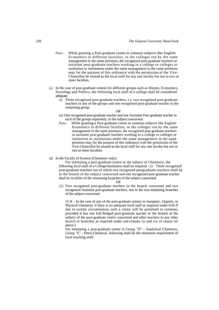- *Note.-* While granting a Post-graduate centre in common subjects like English-Economics in different faculties, in the colleges run by the same management in the same premises, the recognised post-graduate teachers or assistant post-graduate teachers working in a college or colleges or institution or institutions under the same management in the same premises may for the purpose of this ordinance with the permission of the Vice-Chancellor be treated as the local staff for any one faculty but not in two or more faculties.
- *(c)* In the case of post-graduate centres for different groups such as History, Economics, Sociology and Politics, the following local staff of a college shall be considered adequate:
	- *(i)* Three recognised post-graduate teachers, i.e. two recognised post-graduate teachers in any of the groups and one recognised post-graduate teacher in the remaining group.
		- *OR*
	- *(ii)* One recognised post-graduate teacher and one Assistant Post-graduate teacher in each of the groups separately, in the subject concerned.
	- *Note.-* While granting a Post-graduate centre in common subjects like English-Economics in different faculties, in the colleges run by the same management in the same premises, the recognised post-graduate teachers or assistant post-graduate teachers working in a college or colleges or institution or institutions under the same management in the same premises may for the purpose of this ordinance with the permission of the Vice-Chancellor be treated as the local staff for any one faculty but not in two or more faculties.
- *(d)* In the Faculty of Science (Chemistry only):

For instituting a post-graduate centre in the subject of Chemistry, the following local staff of a College/Institution shall be required : *(i)* Three recognised post-graduate teachers out of which two recognised postgraduate teachers shall be in the branch of the subject concerned and one recognised post-graduate teacher shall be in either of the remaining branches of the subject concerned.

#### *OR*

*(ii)* Two recognised post-graduate teachers in the branch concerned and two recognised Assistant post-graduate teachers, one in the two remaining branches of the subject concerned.

*(N.B. -* In the case of any of the post-graduate centres in Inorganic, Organic, or Physical Chemistry if there is no adequate local staff as required under 0.65-P due to certain circumstances such a centre will be permitted to continue, provided it has one full-fledged post-graduate teacher in the branch of the subject of the post-graduate centre concerned and other teachers in any other branch or branches as required under sub-clauses *(i)* and *(ii)* of clause *(d)*  above.)

For instituting a post-graduate centre in Group "D" - Analytical Chemistry, Group "E" - Petro-Chemical, following shall be the minimum requirement of local teaching staff: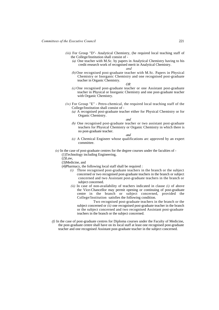- *(iii)* For Group "D"- Analytical Chemistry, (he required local teaching staff of the College/Institution shall consist of -
	- *(a)* One teacher with M.Sc. by papers in Analytical Chemistry having to his credit research work of recognised merit in Analytical Chemistry.

*and*

*(b)* One recognised post-graduate teacher with M.Sc. Papers in Physical Chemistry or Inorganic Chemistry and one recognised post-graduate teacher in Organic Chemistry.

*OR*

- *(c)* One recognised post-graduate teacher or one Assistant post-graduate teacher in Physical or Inorganic Chemistry and one post-graduate teacher with Organic Chemistry.
- *(iv)* For Group "E" Petro-chemical, the required local teaching staff of the College/Institution shall consist of -
	- *(a)* A recognised post-graduate teacher either for Physical Chemistry or for Organic Chemistry.

*and*

*(b)* One recognised post-graduate teacher or two assistant post-graduate teachers for Physical Chemistry or Organic Chemistry in which there is no post-graduate teacher.

*and*

- *(c)* A Chemical Engineer whose qualifications arc approved by an expert committee.
- *(e)* In the case of post-graduate centres for the degree courses under the faculties of
	- (1)Technology including Engineering,

 $(2)$ Law,

(3)Medicine, and

- (4)Pharmacy, the following local staff shall be required :
	- *(i)* Three recognised post-graduate teachers in the branch or the subject concerned or two recognised post-graduate teachers in the branch or subject concerned and two Assistant post-graduate teachers in the branch or subject concerned.
	- *(ii)* In case of non-availability of teachers indicated in clause *(i)* of above the Vice-Chancellor may permit opening or continuing of post-graduate centre in the branch or subject concerned, provided the College/Institution satisfies the following condition.

Two recognised post-graduate teachers in the branch or the subject concerned or *(ii)* one recognised post-graduate teacher in the branch or the subject concerned and two recognised Assistant post-graduate teachers in the branch or the subject concerned.

*(f)* In the case of post-graduate centres for Diploma courses under the Faculty of Medicine, the post-graduate centre shall have on its local staff at least one recognised post-graduate teacher and one recognised Assistant post-graduate teacher in the subject concerned.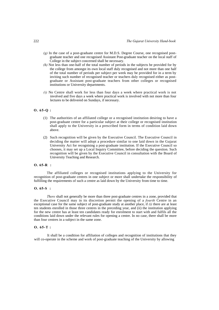- *(g)* In the case of a post-graduate centre for M.D.S. Degree Course, one recognised postgraduate teacher and one recognised Assistant Post-graduate teacher on the local staff of College in the subject concerned shall be necessary.
- *(h)* Not less than one-half of the total number of periods in the subjects be provided for by the college from amongst its own local staff duly recognised and not more than one half of the total number of periods per subject per week may be provided for in a term by inviting such number of recognised teacher or teachers duly recognised either as postgraduate or Assistant post-graduate teachers from other colleges or recognised institutions or University departments.
- *(i)* No Centre shall work for less than four days a week where practical work is not involved and five days a week where practical work is involved with not more than four lectures to be delivered on Sundays, if necessary.

# **O. 65-Q :**

- (1) The authorities of an affiliated college or a recognised institution desiring to have a post-graduate centre for a particular subject at their college or recognised institution shall apply to the University in a prescribed form in terms of condition laid down above.
- (2) Such recognition will be given by the Executive Council. The Executive Council in deciding the matter will adopt a procedure similar to one laid down in the Gujarat University Act for recognising a post-graduate institution. If the Executive Council so chooses, it may set up a Local Inquiry Committee, before deciding the question. Such recognition will be given by the Executive Council in consultation with the Board of University Teaching and Research.

# **O. 65-R :**

The affiliated colleges or recognised institutions applying to the University for recognition of post-graduate centres in one subject or more shall undertake the responsibility of fulfilling the requirements of such a centre as laid down by the University from time to time.

# **O. 65-S :**

*There* shall not generally be more than three post-graduate centres in a zone, provided that the Executive Council may in its discretion permit the opening of a *fourth* Centre in an exceptional case for the same subject of post-graduate study at another place, if *(i)* there are at least ten students enrolled in those three centres in the preceding year, and (ii) the institution applying for the new centre has at least ten candidates ready for enrolment to start with and fulfils all the conditions laid down under the relevant rules for opening a centre. In no case, there shall be more than four centres in a subject in the same zone.

## **O. 65-T :**

It shall be a condition for affiliation of colleges and recognition of institutions that they will co-operate in the scheme and work of post-graduate teaching of the University by allowing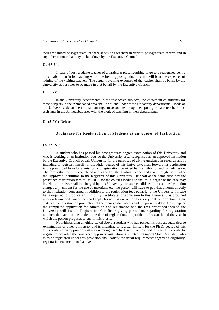their recognised post-graduate teachers as visiting teachers in various post-graduate centres and in any other manner that may be laid down by the Executive Council.

#### **O. 65-U :**

In case of post-graduate teacher of a particular place requiring to go to a recognised centre for collaboration in its teaching work, the inviting post-graduate centre will bear the expenses of lodging of the visiting teachers. The actual travelling expenses of the teacher shall be borne by the University as per rules to be made in that behalf by the Executive Council.

## **O. 65-V :**

In the University departments in the respective subjects, the enrolment of students for those subjects in the Ahmedabad area shall be at and under these University departments. Heads of the University departments shall arrange to associate recognised post-graduate teachers and assistants in the Ahmedabad area with the work of teaching in their departments.

#### **O. 65-W :** Deleted.

#### **Ordinance for Registration of Students at an Approved Institution**

## **O. 65-X :**

A student who has passed his post-graduate degree examination of this University and who is working at an institution outside the University area, recognised as an approved institution by the Executive Council of this University for the purposes of giving guidance in research and is intending to register himself for the Ph.D. degree of this University, shall forward his application in the prescribed form for admission and registration, provided he is eligible for such an admission. The forms shall be duly completed and signed by the guiding teacher and sent through the Head of the Approved Institution to the Registrar of this University. He shall at the same time pay the prescribed registration fees of Rs. 100/- for the courses leading to the Ph.D. degree as the case may be. No tuition fees shall bd charged by this University for such candidates. In case, the Institution charges any amount for the use of materials, etc. the person will have to pay that amount directly to the Institution concerned in addition to the registration fees payable to the University. In case he is required to produce an Eligibility Certificate for admission to this University as provided under relevant ordinances, he shall apply for admission to the University, only after obtaining the certificate in question on production of the required documents and the prescribed fee. On receipt of the completed application for admission and registration and the fees prescribed thereof, the University will issue a Registration Certificate giving particulars regarding the registration number, the name of the student, the dale of registration, the problem of research and the year in which the person proposes to submit his thesis.

Notwithstanding anything stated above a student who has passed his post-graduate degree examination of other University and is intending to register himself for the Ph.D. degree of this University in an approved institution recognised by Executive Council of this University be registered provided the concerned approved institution is situated in Gujarat State. A student who is to be registered under this provision shall satisfy the usual requirements regarding eligibility, registration etc. mentioned above.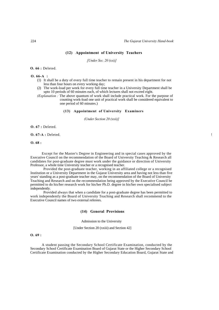## **(12) Appointment of University Teachers**

*[Under Sec. 20 (xxi)]* 

**O. 66 :** Deleted.

**O. 66-A :** 

- (1) It shall be a duty of every full time teacher to remain present in his department for not less than four hours on every working day;
- (2) The work-load per week for every full time teacher in a University Department shall be upto 10 periods of 60 minutes each, of which lectures shall not exceed eight.
- *(Explanation :* The above quantum of work shall include practical work. For the purpose of counting work-load one unit of practical work shall be considered equivalent to one period of 60 minutes.)

# **(13) Appointment of University Examiners**

*(Under Section 20 (xxii)]* 

**O. 67 :** Deleted.

**O. 67-A :** Deleted. !

**O. 68 :**

Except for the Master's Degree in Engineering and in special cases approved by the Executive Council on the recommendation of the Board of University Teaching & Research all candidates for post-graduate degree must work under the guidance or direction of University Professor, a whole time University teacher or a recognised teacher.

Provided the post-graduate teacher, working in an affiliated college or a recognised Institution or a University Department in the Gujarat University area and having not less than five years' standing as a post-graduate teacher may, on the recommendation of the Board of University Teaching and Research and on the recommendation being approved by the Executive Council be permitted to do his/her research work for his/her Ph.D. degree in his/her own specialised subject independently.

Provided always that when a candidate for a post-graduate degree has been permitted to work independently the Board of University Teaching and Research shall recommend to the Executive Council names of two external referees.

## **(14) General Provisions**

Admission to the University

[Under Section 20 (xxiii) and Section 42]

## **O. 69 :**

A student passing the Secondary School Certificate Examination, conducted by the Secondary School Certificate Examination Board of Gujarat State or the Higher Secondary School Certificate Examination conducted by the Higher Secondary Education Board, Gujarat State and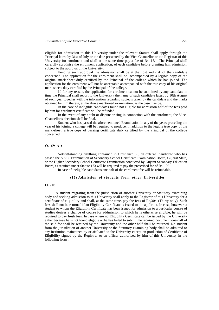eligible for admission to this University under the relevant Statute shall apply through the Principal latest by 31st of July or the date presented by the Vice-Chancellor or the Registrar of this University for enrolment and shall at the same time pay a fee of Rs. 15/-. The Principal shall carefully scrutinise the enrolment application, of each candidate before granting him admission, subject to the approval of the University.

Pending such approval the admission shall be at the cost and risk of the candidate concerned. The application for the enrolment shall be. accompanied by a legible copy of the original mark-sheet duly certified by the Principal of the college which he has joined. The application for the enrolment will not be acceptable accompanied with the true copy of his original mark sheets duly certified by the Principal of the college.

If, for any reason, the application for enrolment cannot be submitted by any candidate in time the Principal shall report to the University the name of such candidate latest by 10th August of each year together with the information regarding subjects taken by the candidate and the marks obtained by him therein, at the above mentioned examination, as the case may be.

In the case of ineligible candidates found not eligible for admission half of the fees paid by him for enrolment certificate will be refunded.

In the event of any doubt or dispute arising in connection with the enrolment, the Vice-Chancellor's decision shall be final.

Student who has passed the aforementioned Examination in any of the years preceding the year of his joining a college will be required to produce, in addition to the legible true copy of the mark-sheet, a true copy of passing certificate duly certified by the Principal of the college concerned

#### **O. 69-A :**

Notwithstanding anything contained in Ordinance 69, an external candidate who has passed the S.S.C. Examination of Secondary School Certificate Examination Board, Gujarat Slate, or the Higher Secondary School Certificate Examination conducted by Gujarat Secondary Education Board, as required under Statute 173 will be required to pay the prescribed fee of Rs. 10/-.

In case of ineligible candidates one-half of the enrolment fee will be refundable.

#### **(15) Admission of Students from other Universities**

## **O.70:**

A student migrating from the jurisdiction of another University or Statutory examining body and seeking admission to this University shall apply to the Registrar of this University for a certificate of eligibility and shall, at the same time, pay the fees of Rs,30/- (Thirty only). Such fees shall not be returned if an Eligibility Certificate is issued to the applicant. In case, however, a student to whom the Eligibility Certificate has been issued for admission to a particular course of studies desires a change of course for addmission to which he is otherwise eligible, he will be required to pay fresh fees. In case where no Eligibility Certificate can be issued by the University either because he is not found eligible or he has failed to submit the required document, one-half of the said fee shall be retained by the University and the other half shall be returned. No student from the jurisdiction of another University or the Statutory examining body shall be admitted to any institution maintained by or affiliated to the University except on production of Certificate of Eligibility signed by the Registrar or an officer authorised by him of this University in the following form :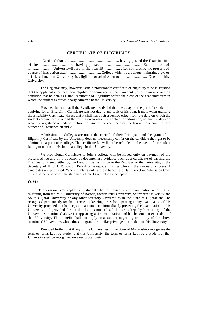#### **CERTIFICATE OF ELIGIBILITY**

"Certified that ............................................................ having passed the Examination of the ................................ or having passed the ..................................... Examination of ........................... University/Board in the year 19 ................. after completing the prescribed course of instruction at.......................................... College which is a college maintained by, or affiliated to, that University is eligible for admission to the ...................... Class in this University."

The Registrar may, however, issue a provisional\* certificate of eligibility if he is satisfied that the applicant is primea facie eligible for admission to this University, at his own risk, and on condition that he obtains a final certificate of Eligibility before the close of the academic term in which the student is provisionally admitted to the University.

Provided further that if the Syndicate is satisfied that the delay on the part of a student in applying for an Eligibility Certificate was not due to any fault of his own, it may, when granting the Eligibility Certificate, direct that it shall have retrospective effect from the date on which the student commenced to attend the institution to which he applied for admission, so that the days on which he registered attendance before the issue of the certificate can be taken into account for the purpose of Ordinance 78 and 79.

Admissions to Colleges are under the control of their Principals and the grant of an Eligibility Certificate by the University does not necessarily confer on the candidate the right to be admitted to a particular college. The certificate fee will not be refunded in the event of the student failing to obtain admission to a college in this University.

\*A provisional Certificate to join a college will be issued only on payment of the prescribed fee and on production of documentary evidence such as a certificate of passing the Examination issued either by the Head of the Institution or the Registrar of the University, or the Secretary of H. & I. Education Board or newspaper cutting wherein the names of successful candidates are published. When numbers only are published, the Hall Ticket or Admission Card must also be produced. The statement of marks will also be accepted.

## **O. 71 :**

The term or-terms kept by any student who has passed S.S.C. Examination with English migrating from the M.S. University of Baroda, Sardar Patel University, Saurashtra University and South Gujarat University or any other statutory Universities in the State of Gujarat shall be recognised permanently for the purposes of keeping terms for appearing at any examination of this University provided that he keeps at least one term immediately preceding the examination in this University and provided further that he has not utilised the terms kept by him at any of the Universities mentioned above for appearing at its examination and has become an ex-student of that University. This benefit shall not apply to a student migrating from any of the above mentioned Universities which docs not grant the similar privilege to a student of this University.

Provided further that if any of the Universities in the State of Maharashtra recognises the term or terms kept by students at this University, the term or terms kept by a student at that University shall be recognised on a reciprocal basis.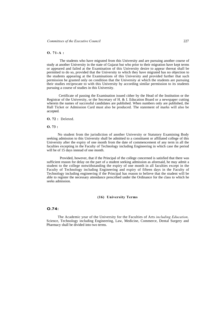#### **O. 71-A :**

The students who have migrated from this University and are pursuing another course of study at another University in the state of Gujarat but who prior to their migration have kept terms or appeared and failed at the Examination of this University desire to appear thereat shall be permitted to do so, provided that the University to which they have migrated has no objection to the students appearing at the Examinations of this University and provided further that such permission be granted only on condition that the University at which the students are pursuing their studies reciprocate to with this University by according similar permission to its students pursuing a course of studies in this University.

Certificate of passing the Examination issued cither by the Head of the Institution or the Registrar of the University, or the Secretary of H. & I. Education Board or a newspaper cutting wherein the names of successful candidates are published. When numbers only are published, the Hall Ticket or Admission Card must also be produced. The statement of marks will also be accepted.

**O. 72 :** Deleted.

#### **O. 73 :**

No student from the jurisdiction of another University or Statutory Examining Body seeking admission to this University shall be admitted to a constituent or affiliated college of this University after the expiry of one month from the date of commencement of any term in all the faculties excepting in the Faculty of Technology including Engineering in which case the period will be of 15 days instead of one month.

Provided, however, that if the Principal of the college concerned is satisfied that there was sufficient reason for delay on the part of a student seeking admission as aforesaid, he may admit a student to the college notwithstanding the expiry of one month in all faculties except in the Faculty of Technology including Engineering and expiry of fifteen days in the Faculty of Technology including engineering if the Principal has reason to believe that the student will be able to register the necessary attendance prescribed under the Ordinance for the class to which he seeks admission.

## **(16) University Terms**

## **O.74:**

The Academic year of the University for the Faculties of Arts *including Education,*  Science, Technology including Engineering, Law, Medicine, Commerce, Dental Surgery and Pharmacy shall be divided into two terms.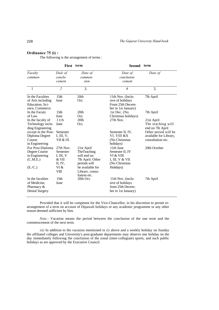# **Ordinance 75 (i) :**

The following is the arrangement of terms :

|                     | <b>First</b>     | term                             | <b>Second</b>                    | term                   |
|---------------------|------------------|----------------------------------|----------------------------------|------------------------|
| Faculty             | Dale of          | Date of                          | Date of                          | Date of                |
| commen-             | conclu-          | commen-                          | conclusion                       |                        |
|                     | cement           | sion                             | cement                           |                        |
| 1                   | $\overline{2}$   | 3                                | $\overline{4}$                   | 5                      |
| In the Faculties    | 15 <sub>th</sub> | 20th                             | 11th Nov. (Inclu-                | 7lh April              |
| of Arts including   | June             | Oct.                             | sive of holidays                 |                        |
| Education, Sci-     |                  |                                  | From 25th Decem-                 |                        |
| ence, Commerce      |                  |                                  | ber to 1st January)              |                        |
| In the Facuty       | 15 <sub>th</sub> | 20th                             | 1st Dec. (No.                    | 7th April              |
| of Law              | June             | Oct.                             | Christmas holidays)              |                        |
| In the faculty of   | 11th             | 20 <sub>lh</sub>                 | 27th Nov.                        | 21st April             |
| Technology inclu-   | June             | Oct.                             |                                  | The teaching will      |
| ding Engineering    |                  |                                  |                                  | end on 7lh April       |
| except in the Post- | Semester         |                                  | Semester II, IV,                 | Other period will be   |
| Diploma Degree      | I, III, $V$ ,    |                                  | VI, VIII &X                      | available for Library, |
| Course              | VII & IX         |                                  | (No Christmas                    | consultation etc.      |
| in Engineering      |                  |                                  | holidays)                        |                        |
| For Post-Diploma    | 27th Nov.        | 21st April                       | 11th June                        | 20th October           |
| Degree Course       | Semester         | TheTeaching<br>will end on       | Semester II, IV                  |                        |
| in Engineering      | I, III, V        |                                  | VI & VIII                        |                        |
| (C.M.E.)            | & VII<br>II, IV, | 7lh April. Other<br>periods will | I, III, V & VII<br>(No Christmas |                        |
| (E./C.)             | VI &             | be available for                 |                                  |                        |
|                     | VШ               | Library, consu-                  | Holidays)                        |                        |
|                     |                  | Itation etc.                     |                                  |                        |
| In the faculties    | 15 <sub>th</sub> | 20th Oct.                        | 11th Nov. (inclu-                | 7th April              |
| of Medicine,        | June             |                                  | sive of holidays                 |                        |
| Pharmacy $&$        |                  |                                  | from 25th Decem-                 |                        |
| Denial Surgery      |                  |                                  | ber to 1st January)              |                        |
|                     |                  |                                  |                                  |                        |

Provided that it will be competent for the Vice-Chancellor, in his discretion to permit rearrangement of a term on account of Dipawali holidays or any academic programme or any other reason deemed sufficient by him.

*Note.-* Vacation means the period between the conclusion of the one term and the commencement of the next term.

*(ii)* In addition to the vacation mentioned in *(i)* above and a weekly holiday on Sunday the affiliated colleges and University's post-graduate departments may observe one holiday on the day immediately following the conclusion of the zonal (inter-collegiate) sports, and such public holidays as are approved by the Executive Council.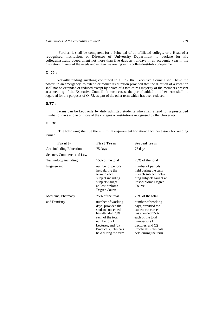Further, it shall be competent for a Principal of an affiliated college, or a Head of a recognised institution, or Director of University Department to declare for his college/institution/department not more than five days as holidays in an academic year in his discretion in view of the needs and exigencies arising in his college/institution/department

# **O. 76 :**

Notwithstanding anything contained in O. 75, the Executive Council shall have the power, in an emergency, to extend or reduce its duration provided that the duration of a vacation shall not be extended or reduced except by a vote of a two-thirds majority of the members present at a meeting of the Executive Council. In such cases, the period added to either term shall be regarded for the purposes of O. 78, as part of the other term which has been reduced.

# **0.77 :**

Terms can be kept only by duly admitted students who shall attend for a prescribed number of days at one or more of the colleges or institutions recognised by the University.

# **O. 78:**

terms : The following shall be the minimum requirement for attendance necessary for keeping

| Faculty                   | <b>First Term</b>                                                                                                                                                                              | Second term                                                                                                                                                                                      |
|---------------------------|------------------------------------------------------------------------------------------------------------------------------------------------------------------------------------------------|--------------------------------------------------------------------------------------------------------------------------------------------------------------------------------------------------|
| Arts including Education, | 75 days                                                                                                                                                                                        | 75 days                                                                                                                                                                                          |
| Science, Commerce and Law |                                                                                                                                                                                                |                                                                                                                                                                                                  |
| Technology including      | 75% of the total                                                                                                                                                                               | 75% of the total                                                                                                                                                                                 |
| Engineering               | number of periods<br>held during the<br>term in each<br>subject including<br>subjects taught<br>at Post-diploma<br>Degree Course                                                               | number of periods<br>held during the term<br>in each subject inclu-<br>ding subjects taught at<br>Post-diploma Degree<br>Course                                                                  |
| Medicine, Pharmacy        | 75% of the total                                                                                                                                                                               | 75% of the total                                                                                                                                                                                 |
| and Dentistry             | number of working<br>days, provided the<br>student concerned<br>has attended 75%<br>each of the total<br>number of $(1)$<br>Lectures, and (2)<br>Practicals, Clinicals<br>held during the term | number of working<br>days, provided the<br>student concerned<br>has attended 75%<br>each of the total<br>number of $(1)$<br>Lectures, and $(2)$<br>Practicals, Clinicals<br>held during the term |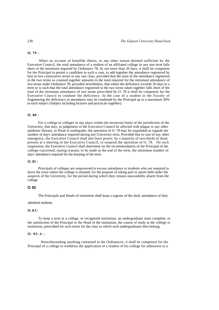#### **O. 79 :**

When on account of bonafide illness, or any other reason deemed sufficient by the Executive Council, the total attendance of a student of an affiliated college in any one term falls short of the minimum required by Ordinance 78, by not more than 20 days, it shall be competent for the Principal to permit a candidate in such a case, to add together the attendance registered by him in two consecutive terms in any one class, provided that the total of the attendance registered in the two terms so counted together amounts to the total required for the minimum attendance of two terms under Ordinance 78; provided nevertheless, that where the deficiency exceeds 20 days in a term or is such that the total attendance registered in the two terms taken together falls short of the total of the minimum attendance of two terms prescribed by O. 78 it shall be competent for the Executive Council to condone the deficiency. In the case of a student in the Faculty of Engineering the deficiency in attendance may be condoned by the Principal up to a maximum 30% in each subject (Subject including lectures and practicals together).

# **O. 80 :**

For a college or colleges in any place within the territorial limits of the jurisdiction of the University, that may, in judgement of the Executive Council be affected with plague or any other epidemic disease, or flood or earthquake, the operation of O. 78 may be suspended as regards the number of days' attendance required during any University term. Provided that in case of any other emergency, the Executive Council shall also have power, by a majority of two-thirds of those present at a meeting of the Executive Council, to suspend the operation of O. 78. On such suspension, the Executive Council shall determine on the recommendation of the Principal of the college concerned, stating reasons, to be made at the end of the term, the minimum number of days' attendance required for the keeping of the term.

#### **O. 81 :**

Principals of colleges are empowered to excuse attendance to students who are required to leave the town where the college is situated, for the purpose of taking part in sports held under the auspices of the University, for the period during which they remain unavoidably absent from the college.

# **O. 82**

The Principals and Heads of institution shall keep a register of the daily attendance of duly

#### admitted students.

#### **O.83:**

To keep a term at a college, or recognised institution, an undergraduate must complete, to the satisfaction of the Principal or the Head of the institution, the course of study at the college or institution, prescribed for such terms for the class to which such undergraduates then belong.

## **O. 83-A :**

Notwithstanding anything contained in the Ordinances, it shall be competent for the Principal of a college to withdraw the application of a student of his college for admission to a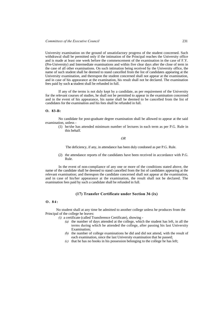University examination on the ground of unsatisfactory progress of the student concerned. Such withdrawal shall be permitted only if the intimation of the Principal reaches the University office and is made at least one week before the commencement of the examination in the case of F.Y. (Pre-University) and Intermediate examinations and within five clear days after the close of term in the case of all other examinations. On such intimation being received by the University office, the name of such student shall be deemed to stand cancelled from the list of candidates appearing at the University examination, and thereupon the student concerned shall not appear at the examination, and in case of his appearance at the examination, his result shall not be declared. The examination fees paid by such **a** student shall be refunded in full.

If any of the terms is not duly kept by a candidate, as per requirement of the University for the relevant courses of studies, he shall not be permitted to appear in the examination concerned and in the event of his appearance, his name shall be deemed to be cancelled from the list of candidates for the examination and his fees shall be refunded in full.

## **O. 83-B:**

No candidate for post-graduate degree examination shall be allowed to appear at the said examination, unless -

(1) he/she has attended minimum number of lectures in each term as per P.G. Rule in this behalf.

#### *OR*

The deficiency, if any, in attendance has been duly condoned as per P.G. Rule.

(2) the attendance reports of the candidates have been received in accordance with P.G. Rule.

In the event of non-compliance of any one or more of the conditions stated above, the name of the candidate shall be deemed to stand cancelled from the list of candidates appearing at the relevant examination; and thereupon the candidate concerned shall not appear at the examination, and in case of his/her appearance at the examination, the result shall not be declared. The examination fees paid by such a candidate shall be refunded in full.

#### **(17) Transfer Certificate under Section 36 (ix)**

#### **O. 84:**

No student shall at any time be admitted to another college unless he produces from the Principal of the college he leaves:

- *(i)* a certificate (called Transference Certificate), showing
	- *(a)* the number of days attended at the college, which the student has left, in all the terms during which he attended the college, after passing his last University Examination;
	- *(b)* the number of college examinations he did and did not attend, with the result of each examination, since the last University examination that he passed;
	- *(c)* that he has no books in his possession belonging to the college he has left;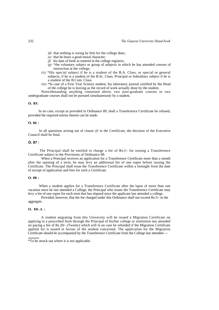- *(d)* that nothing is owing by him for the college dues;
- *(e)* that he bears a good moral character;
- *(f)* his date of birth as entered in the college registers;
- *(g)* \*the voluntary subject or group of subjects in which he has attended courses of instruction at the college;
- *(ii)* \*His special subject if he is a student of the B.A. Class, or special or general subjects, if he is a student of the B.Sc. Class, Principal or Subsidiary subject if he is a student of the B.Com. Class.
- *(iii)* \*In case of a First Year Science student, his laboratory journal certified by the Head of the college he is leaving as the record of work actually done by the student.

Notwithstanding anything contained above, two post-graduate courses or two undergraduate courses shall not be pursued simultaneously by a student.

## **O. 85:**

In no case, except as provided in Ordinance 89, shall a Transference Certificate be refused, provided the required entries therein can be made.

### **O. 86 :**

In all questions arising out of clause *(f)* in the Certificate, the decision of the Executive Council shall be final.

## **O. 87 :**

The Principal shall be entitled to charge a fee of Re.l/- for issuing a Transference Certificate subject to the Provisions of Ordinance 88.

When a Principal receives an application for a Transference Certificate more than a month after the opening of a term, he may levy an additional fee of one rupee before issuing the Certificate. The Principal shall issue the Transference Certificate within a fortnight from the date of receipt of application and fees for such a Certificate.

#### **O. 88 :**

When a student applies for a Transference Certificate after the lapse of more than one vacation since he last attended a College, the Principal who issues the Transference Certificate may levy a fee of one rupee for each term that has elapsed since the applicant last attended a college.

Provided, however, that the fee charged under this Ordinance shall not exceed Rs.5/- in the aggregate.

#### **O. 88-A :**

A student migrating from this University will be issued a Migration Certificate on applying in a prescribed form through the Principal of his/her college or institution last attended on paying a fee of Rs.20/- (Twenty) which will in no case be refunded if the Migration Certificate applied for is issued in favour of the student concerned. The application for the Migration Certificate should be accompanied by the Transference Certificate from the College last attended —

<sup>\*</sup>To be struck out where it is not applicable.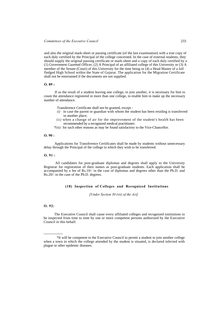and also the original mark-sheet or passing certificate (of the last examination) with a true copy of each duly certified by the Principal of the college concerned. In the case of external students, they should supply the original passing certificate or mark-sheet and a copy of each duly certified by a (1) Government Gazetted Officer, (2) A Principal of an affiliated college of this University or (3) A member of the Senate (Court) of this University for the time being or (4) a Head Master of a full fledged High School within the State of Gujarat. The application for the Migration Certificate shall not be entertained if the documents are not supplied.

#### **O. 89 :**

If as the result of a student leaving one college, to join another, it is necessary for him to count the attendance registered in more than one college, to enable him to make up the necessary number of attendance.

Transference Certificate shall not be granted, except -

- *(i)* in case the parent or guardian with whom the student has been residing is transferred to another place;
- *(ii)* when a change of air for the improvement of the student's health has been recommended by a recognized medical practitioner;
- *\*(iii)* for such other reasons as may be found satisfactory to the Vice-Chancellor.

## **O. 90 :**

Applications for Transference Certificates shall be made by students without unnecessary delay through the Principal of the college to which they wish to be transferred.

## **O. 91 :**

All candidates for post-graduate diplomas and degrees shall apply to the University Registrar for registration of their names as post-graduate students. Each application shall be accompanied by a fee of Rs.10/- in the case of diplomas and degrees other than the Ph.D. and Rs.20/- in the case of the Ph.D. degrees.

# **(18) Inspection of Colleges and Recognized Institutions**

*[Under Section 30 (vii) of the Act]*

## **O. 92:**

----------------

The Executive Council shall cause every affiliated colleges and recognized institutions to be inspected from time to time by one or more competent persons authorized by the Executive Council in this behalf.

<sup>\*</sup>It will be competent to the Executive Council to permit a student to join another college when a town in which the college attended by the student is situated, is declared infected with plague or other epidemic diseases.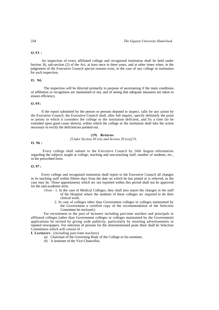#### **O.93 :**

An inspection of every affiliated college and recognized institution shall be held under Section 36, sub-section (2) of the Act, at least once in three years, and at other times when, in the judgement of the Executive Council special reasons exist, in the case of any college or institution for such inspection.

## **O. 94:**

The inspection will be directed primarily to purpose of ascertaining if the main conditions of affiliation or recognition are maintained or not, and of seeing that adequate measures are taken to ensure efficiency.

#### **O.95:**

If the report submitted by the person or persons deputed to inspect, calls for any action by the Executive Council, the Executive Council shall, after full inquiry, specify definitely the point or points in which it considers the college or the institution deficient, and fix a time (to be extended upon good cause shown), within which the college or the institution shall lake the action necessary to rectify the deficiencies pointed out.

## **(19) Returns**

#### *[Under Section 30 (vii) and Section 20 (xvi)]* O.

# **O. 96 :**

Every college shall submit to the Executive Council by 16th August information regarding the subjects taught at college, teaching and non-teaching staff, number of students, etc., in the prescribed form.

## **O. 97 :**

Every college and recognised institution shall report to the Executive Council all changes in its teaching staff within fifteen days from the date on which he has joined or is relieved, as the case may be. Those appointments which arc not reported within this period shall not be approved for the said academic term.

- *(Note.-* 1. In the case of Medical Colleges, they shall also report the changes in the staff of the Hospital where the students of these colleges arc required to do their clinical work.
	- 2. In case of colleges other than Government colleges or colleges maintained by the Government a certified copy of the recommendation of the Selection Committee be enclosed.)

For recruitment to the post of lecturers including part-time teachers and principals in affiliated colleges (other than Government colleges or colleges maintained by the Government) applications be invited by giving wide publicity, particularly by inserting advertisements in reputed newspapers. For selection of persons for the aforementioned posts there shall be Selection Committees which will consist of -

**I. Lecturers** : (including part-time teachers)

- *(a)* Chairman of the Governing Body of the College or his nominee,
- *(b)* A nominee of the Vice-Chancellor,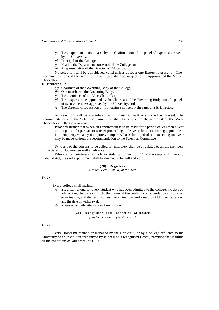- *(c)* Two experts to be nominated by the Chairman out of the panel of experts approved by the University,
- *(d)* Principal of the College,
- *(e)* Head of the Department concerned of the College, and
- *(f)* A representative of the Director of Education.

No selection will be considered valid unless at least one Expert is present. The recommendations of the Selection Committee shall be subject to the approval of the Vice-Chancellor.

**II. Principal** :

- *(a)* Chairman of the Governing Body of the College;
- *(b)* One member of the Governing Body,
- *(c)* Two nominees of the Vice-Chancellor,
- *(d)* Two experts to be appointed by the Chairman of the Governing Body, out of a panel of twenty members approved by the University, and
- *(e)* The Director of Education or his nominee not below the rank of a Jt. Director.

No selection will be considered valid unless at least one Expert is present. The recommendations of the Selection Committee shall be subject to the approval of the Vice-Chancellor and the Government.

Provided further that When an appointment is to be made for a period of less than a year or in a place of a permanent teacher proceeding on leave or for an officiating appointment in a temporary vacancy on a purely temporary basis for a period not exceeding one year may be made without the recommendation to the Selection Committee.

Synopsis of the persons to be called for interview shall be circulated to all the members of the Selection Committee well in advance.

Where an appointment is made in violation of Section 14 of the Gujarat University Tribunal Act, the said appointment shall be deemed to be null and void.

#### **(20) Registers**

*[Under Section 30 (xi) of the Act]*

**O. 98 :** 

Every college shall maintain -

- *(a)* a register, giving for every student who has been admitted to the college, the date of admission, the date of birth, the name of the birth place, attendance at college examination, and the results of such examinations and a record of University career and the date of withdrawal;
- *(b)* a register of daily attendance of each student.

**(21) Recognition and Inspection of Hostels** *[Under Section 30 (v) of the Act]*

**O. 99 :** 

Every Hostel maintained or managed by the University or by a college affiliated to the University or an institution recognized by it, shall be a recognised Hostel, provided that it fulfils all the conditions as laid down in O. 100.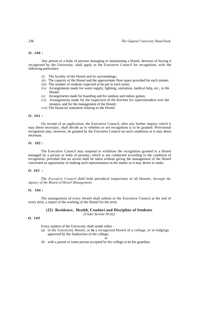## **O. 100 :**

Any person or a body of persons managing or maintaining a Hostel, desirous of having it recognised by the University, shall apply to the Executive Council for recognition, with the following particulars:

- *(i)* The locality of the Hostel and its surroundings;
- *(ii)* The capacity of the Hostel and the approximate floor space provided for each inmate;
- *(iii)* The number of students expected to be put in each room;
- *(iv)* Arrangements made for water supply, lighting, sanitation, medical help, etc., in the Hostel;
- *(v)* Arrangements made for boarding and for outdoor and indoor games;
- *(vi)* Arrangements made for the inspection of the Kitchen for superintendent over the inmates, and for the management of the Hostel;
- *(vii)* The financial statement relating to the Hostel.

# **O. 101 :**

On receipt of an application, the Executive Council, after any further inquiry which it may deem necessary, shall decide as to whether or not recognition is to be granted. Provisional recognition may, however, be granted by the Executive Council on such conditions as it may deem necessary.

# **O. 102 :**

The Executive Council may suspend or withdraw the recognition granted to a Hostel managed by a person or body of persons, which is not conducted according to the condition of recognition, provided that no action shall be taken without giving the management of the Hostel concerned an opportunity of making such representation in the matter as it may desire to make.

### **O. 103 :**

The *Executive Council* shall hold periodical inspections of all Hostels, *through the Agency of the Board of Hostel Management.*

## **O. 104 :**

The management of every Hostel shall submit to the Executive Council at the end of every term, a report of the working of the Hostel for the term.

# **(22) Residence, Health, Conduct and Discipline of Students**

*[Under Section 30 (ii)]* 

#### **O. 105**

Every student of the University shall reside either -

*(a)* in the University Hostel, or **in** a recognized Hostel of a college, or in lodgings approved by the Authorities of the college;

#### or

*(b)* with a parent or some person accepted by his college to be his guardian.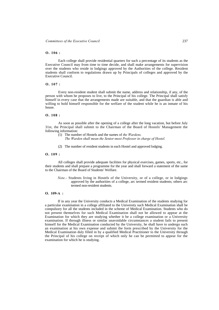## **O. 106 :**

Each college shall provide residential quarters for such a percentage of its students as the Executive Council may from time to time decide, and shall make arrangements for supervision over the students who reside in lodgings approved by the Authorities of the college. Resident students shall conform to regulations drawn up by Principals of colleges and approved by the Executive Council.

#### **O. 107 :**

Every non-resident student shall submit the name, address and relationship, if any, of the person with whom he proposes to live, to the Principal of his college. The Principal shall satisfy himself in every case that the arrangements made are suitable, and that the guardian is able and willing to hold himself responsible for the welfare of the student while he is an inmate of his house.

# **O. 108 :**

As soon as possible after the opening of a college after the long vacation, but before July 31st, the Principal shall submit to the Chairman of the Board of Hostels' Management the following information:

- (1) The number of Hostels and the names of *the Wardens.*
	- *The Warden shall mean the Senior-most Professor in charge of Hostel.*
- (2) The number of resident students in each Hostel and approved lodging.

#### **O. 109 :**

All colleges shall provide adequate facilities for physical exercises, games, sports, etc., for their students and shall prepare a programme for the year and shall forward a statement of the same to the Chairman of the Board of Students' Welfare.

*Note.-* Students living in Hostels of the University, or of a college, or in lodgings approved by the authorities of a college, arc termed resident students; others arc termed non-resident students.

#### **O. 109-A :**

If in any year the University conducts a Medical Examination of the students studying for a particular examination in a college affiliated to the University such Medical Examination shall be compulsory for all the students included in the scheme of Medical Examination. Students who do not present themselves for such Medical Examination shall not be allowed to appear at the Examination for which they are studying whether it be a college examination or a University examination. If through illness or similar unavoidable circumstances a student fails to present himself for the Medical Examination conducted by the University, he shall have to undergo such an examination at his own expense and submit the form prescribed by the University for the Medical Examination duly filled in by a qualified Medical Practitioner to the University through the Principal of his college on receipt of which only he can be permitted to appear for the examination for which he is studying.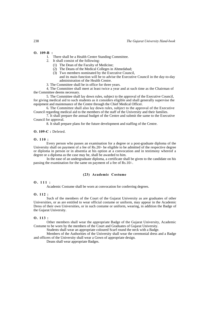#### **O. 109-B :**

- 1. There shall be a Health Centre Standing Committee.
- 2. It shall consist of the following:
	- (1) The Dean of the Faculty of Medicine;
	- (2) The Deans of the Medical Colleges in Ahmedabad;
	- (3) Two members nominated by the Executive Council,
	- and its main function will be to advise the Executive Council in the day-to-day administration of the Health Centre.
- 3. The Committee shall be in office for three years.

4. The Committee shall meet at least twice a year and at such time as the Chairman of the Committee deems necessary.

5. The Committee shall lay down rules, subject to the approval of the Executive Council, for giving medical aid to such students as it considers eligible and shall generally supervise the equipment and maintenance of the Centre through the Chief Medical Officer.

6. The Committee shall also lay down rules, subject to the approval of the Executive Council regarding medical aid to the members of the staff of the University and their families.

7. It shall prepare the annual budget of the Centre and submit the same to the Executive Council for approval.

8. It shall prepare plans for the future development and staffing of the Centre.

#### **O. 109-C :** Deleted.

#### **O. 110 :**

Every person who passes an examination for a degree or a post-graduate diploma of the University shall on payment of a fee of Rs.20/- be eligible to be admitted of the respective degree or diploma in person or in absentia at his option at a convocation and in testimony whereof a degree or a diploma as the case may be, shall be awarded to him.

In the ease of an undergraduate diploma, a certificate shall be given to the candidate on his passing the examination for the same on payment of a fee of Rs.10/-.

#### **(23) Academic Costume**

#### **O. 111 :**

Academic Costume shall be worn at convocation for conferring degrees.

#### **O. 112 :**

Such of the members of the Court of the Gujarat University as are graduates of other Universities, or as are entitled to wear official costume or uniform, may appear in the Academic Dress of their own Universities, or in such costume or uniform, wearing, in addition the Badge of the Gujarat University.

#### **O. 113 :**

Other members shall wear the appropriate Badge of the Gujarat University, Academic Costume to be worn by the members of the Court and Graduates of Gujarat University.

Students shall wear an appropriate coloured Scarf round the neck with a Badge.

Members of the Authorities of the University shall wear the ceremonial dress and a Badge and officers of the University shall wear a Gown of appropriate design.

Deans shall wear appropriate Badges.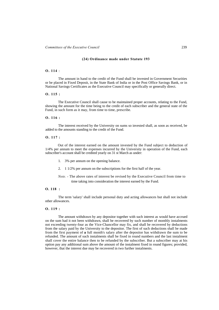#### **(24) Ordinance made under Statute 193**

# **O. 114** :

The amount in hand to the credit of the Fund shall be invested in Government Securities or be placed in Fixed Deposit, in the State Bank of India or in the Post Office Savings Bank, or in National Savings Certificates as the Executive Council may specifically or generally direct.

#### **O. 115 :**

The Executive Council shall cause to be maintained proper accounts, relating to the Fund, showing the amount for the time being to the credit of each subscriber and the general state of the Fund, in such form as it may, from time to time, prescribe.

#### **O. 116 :**

The interest received by the University on sums so invested shall, as soon as received, be added to the amounts standing to the credit of the Fund.

#### **O. 117 :**

Out of the interest earned on the amount invested by the Fund subject to deduction of 1/4% per annum to meet the expenses incurred by the University in operation of the Fund, each subscriber's account shall be credited yearly on 31 st March as under:

- 1. 3% per annum on the opening balance.
- 2. 1 1/2% per annum on the subscriptions for the first half of the year.

*Note. -* The above rates of interest be revised by the Executive Council from time to time taking into consideration the interest earned by the Fund.

## **O. 118 :**

The term 'salary' shall include personal duty and acting allowances but shall not include other allowances.

#### **O. 119 :**

The amount withdrawn by any depositor together with such interest as would have accrued on the sum had it not been withdrawn, shall be recovered by such number of monthly instalments not exceeding twenty-four as the Vice-Chancellor may fix, and shall be recovered by deductions from the salary paid by the University to the depositor. The first of such deductions shall be made from the first payment of **a** full month's salary after the depositor has withdrawn the sum to be refunded. The amount of such instalments shall be fixed in round numbers and the last instalment shall cover the entire balance then to be refunded by the subscriber. But a subscriber may at his option pay any additional sum above the amount of the instalment fixed in round figures; provided, however, that the interest due may be recovered in two further instalments.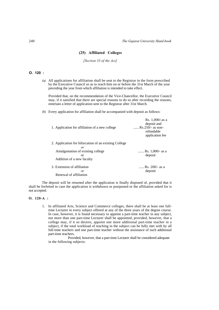# **(25) Affiliated Colleges**

#### *[Section 33 of the Act]*

# **O. 120 :**

*(a)* All applications for affiliation shall be sent to the Registrar in the form prescribed by the Executive Council so as to reach him on or before the 31st March of the year preceding the year from which affiliation is intended to take effect.

Provided that, on the recommendation of the Vice-Chancellor, the Executive Council may, if it satisfied that there are special reasons to do so after recording the reasons, entertain a letter of application sent to the Registrar after 31st March.

*(b)* Every application for affiliation shall be accompanied with deposit as follows:

| 1. Application for affiliation of a new college             | Rs. $1,000$ /-as a<br>deposit and<br>, $Rs.250/-$ as non-<br>refundable<br>application fee |
|-------------------------------------------------------------|--------------------------------------------------------------------------------------------|
| 2. Application for bifurcation of an existing College<br>or |                                                                                            |
| Amalgamation of existing college<br>or                      | Rs. $1,000/$ - as a<br>deposit                                                             |
| Addition of a new faculty                                   |                                                                                            |
| 3. Extension of affiliation<br>or<br>Renewal of affiliation | , Rs. 200/- as a<br>deposit                                                                |

The deposit will be returned after the application is finally disposed of, provided that it shall be forfeited in case the application is withdrawn or postponed or the affiliation asked for is not accepted.

#### **O. 120-A :**

1. In affiliated Arts, Science and Commerce colleges, there shall be at least one fulltime Lecturer in every subject offered at any of the three years of the degree course. In case, however, it is found necessary to appoint a part-time teacher in any subject, not more than one part-time Lecturer shall be appointed, provided, however, that a college may, if it so desires, appoint one more additional part-time teacher in a subject, if the total workload of teaching in the subject can be fully met with by all full-time teachers and one part-time teacher without the assistance of such additional part-time teachers.

Provided, however, that a part-time Lecturer shall be considered adequate in the following subjects: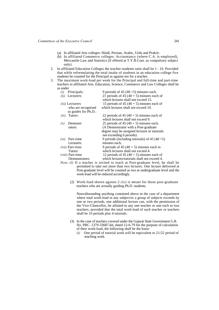- (a) In affiliated Arts colleges: Hindi, Persian, Arabic, Urdu and Prakrit.
- (b) In affiliated Commerce colleges: Accountancy (where C.A. is employed), Mercantile Law and Statistics (if offered at T.Y.B.Com. as compulsory subject only).
- 2. In affiliated Education Colleges the teacher-students ratio shall be 1 : 10. Provided that while reformulating the total intake of students in an education college five students be counted for the Principal as against ten for a teacher.
- 3. The maximum work-load per week for the Principal and full-time and part-time teachers in affiliated Arts, Education, Science, Commerce and Law Colleges shall be as under

| (i)<br>Principals:      |                      | 9 periods of 45 $(40 + 5)$ minutes each.       |
|-------------------------|----------------------|------------------------------------------------|
| Lecturers:<br>(ii)      |                      | 21 periods of 45 (40 + 5) minutes each of      |
|                         |                      | which lectures shall not exceed 15.            |
| <i>(iii)</i> Lecturers  |                      | 15 periods of 45 $(40 + 5)$ minutes each of    |
|                         | who are recognised   | which lectures shall not exceed 10.            |
|                         | as guides for Ph.D.: |                                                |
| Tutors:<br>(iv)         |                      | 22 periods of 45 $(40 + 5)$ minutes each of    |
|                         |                      | which lectures shall not exceed 9.             |
| Demonst-<br>(v)         |                      | 25 periods of 45 $(40 + 5)$ minutes each.      |
| rators:                 |                      | (A Demonstrator with a Post-graduate)          |
|                         |                      | degree may be assigned lectures or tutorials   |
|                         |                      | not exceeding 6 periods).                      |
| Part-time<br>(vi)       |                      | 9 periods (including tutorials) of 45 $(40+5)$ |
| Lecturers:              |                      | minutes each.                                  |
| <i>(vii)</i> Part-time  |                      | 9 periods of 45 (40 + 5) minutes each in       |
| Tutors:                 |                      | which lectures shall not exceed 4.             |
| <i>(viii)</i> Part-time |                      | 12 periods of 45 (40 + 5) minutes each of      |
|                         | Demonstrators:       | which lectures/tutorials shall not exceed 4.   |

- *Note.-(l)* If a teacher is invited to teach at Post-graduate level, he shall be permitted to take not more than two lectures. One lecture delivered at Post-graduate level will be counted as two at undergraduate level and the work-load will be reduced accordingly.
	- (2) Work-load shown against 2 *(iii)* is meant for those post-graduate teachers who are actually guiding Ph.D. students.

Notwithstanding anything contained above in the case of a department where total work-load in any subject/or a group of subjects exceeds by one or two periods, one additional lecture can, with the permission of the Vice-Chancellor, be allotted to any one teacher or one each to two teachers, provided that the total work-load of such teacher or teachers shall be 16 periods plus 4 tutorials.

- (3) In the case of teachers covered under the Gujarat State Government G.R. No. PRC. 1379-33687-kh, dated 12-6-79 for the purpose of calculation of their work-load, the following shall be the basis:
	- *(i)* One period of tutorial work will be equivalent to 21/22 period of teaching work.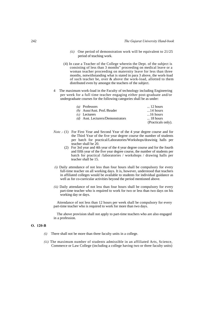- *(ii)* One period of demonstration work will be equivalent to 21/25 period of teaching work.
- (4) In case a Teacher of the College wherein the Dept. of the subject is consisting of less than 3 months" proceeding on medical leave or a woman teacher proceeding on maternity leave for less than three months, notwithstanding what is stated in para 3 above, the work-load of such teacher be, over & above the work-load, allotted to them distributed even by amongst the teachers of the subject.
- 4 The maximum work-load in the Faculty of technology including Engineering per week for a full time teacher engaging either post-graduate and/or undergraduate courses for the following categories shall be as under:

| (a) Professors                    | $\ldots$ 12 hours  |
|-----------------------------------|--------------------|
| (b) Asso/Asst. Prof./Reader       | $\dots$ 14 hours   |
| $(c)$ Lecturers                   | $16$ hours         |
| (d) Asst. Lecturers/Demonstrators | $\ldots$ 18 hours  |
|                                   | (Practicals only). |

- *Note* .- (1) For First Year and Second Year of the 4 year degree course and for the Third Year of the five year degree course the number of students per batch for practical/Laboratories/Workshops/drawinig halls per teacher shall be 20.
	- (2) For 3rd year and 4th year of the 4 year degree course and for the fourth and fifth year of the five year degree course, the number of students per batch for practical /laboratories / workshops / drawing halls per teacher shall be 15.
- *(i)* Daily attendance of not less than four hours shall be compulsory for every full-time teacher on all working days. It is, however, understood that teachers in affiliated colleges would be available to students for individual guidance as well as for co-curricular activities beyond the period mentioned above.
- *(ii)* Daily attendance of not less than four hours shall be compulsory for every part-time teacher who is required to work for two or less than two days on his working day or days.

Attendance of not less than 12 hours per week shall be compulsory for every part-time teacher who is required to work for more than two days.

The above provision shall not apply to part-time teachers who are also engaged in a profession.

# **O. 120-B**

- *(i)* There shall not be more than three faculty units in a college.
- *(ii)* The maximum number of students admissible in an affiliated Arts, Science, Commerce or Law College (including a college having two or three faculty units)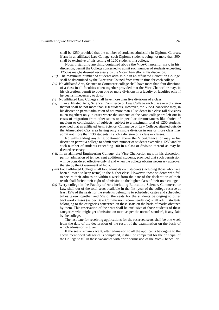shall be 1250 provided that the number of students admissible in Diploma Courses, if any in an affiliated Law College, such Diploma students being not more than 300 shall be exclusive of this ceiling of 1250 students in a college.

Notwithstanding anything contained above the Vice-Chancellor may, in his discretion, permit the College concerned to admit such number of students exceeding 1250 as may,be deemed necessary by the Vice-Chancellor in his discretion.

- *(iii)* The maximum number of students admissible in an affiliated Education College shall be determined by the Executive Council from time to time for each college.
- *(iv)* No affiliated Arts, Science or Commerce college shall have more than four divisions of a class in all faculties taken together provided that the Vice-Chancellor may, in his discretion, permit to open one or more divisions in a faculty or faculties only if he deems it necessary to do so.
- *(v)* No affiliated Law College shall have more than five divisions of a class.
- *(vi)* In an affiliated Arts, Science, Commerce or Law College each class or a division thereof shall be not more than 100 students, However, the Vice-Chancellor may, in his discretion permit admission of not more than 10 students in a class (all divisions taken together) only in cases where the students of the same college are left out in cases of migration from other states or in peculiar circumstances like choice of medium or combination of subjects, subject to a maximum total of 1250 students provided that an affiliated Arts, Science, Commerce or Law College, situated outside the Ahmedabad City area having only a single division in one or more class may admit not more than 130 students in such a division of a class or classes.

Notwithstanding anything contained above the Vice-Chancellor may in his discretion permit a college to admit such number of students exceeding 1250 and/or such number of students exceeding 100 in a class or division thereof as may be deemed necessary.

- *(vii)* In an affiliated Engineering College, the Vice-Chancellor may, in his discretion, permit admission of ten per cent additional students, provided that such permission will be considered effective only if and when the college obtains necessary approval thereto by the Government of India.
- *(viii)* Each affiliated College shall first admit its own students (including those who have been allowed to keep terms) to the higher class. However, those students who fail to secure their admission within a week from the date of the declaration of their result shall forfeit their right of admission to the higher class of their own college.
- *(ix)* Every college in the Faculty of Arts including Education, Science, Commerce or Law shall out of the total seats available in the first year of the college reserve at least 15% of the seats for the students belonging to scheduled castes and scheduled tribes taken together and 5% of the seats for the students belonging to other backward classes (as per Baxi Commission recommendation) shall admit students belonging to the categories concerned on these seats on the basis of marks obtained by them. This reservation of the seats shall be exclusive of those students of these categories who might get admission on merit as per the normal standard, if any, laid by the college.

The last date for receiving applications for the reserved seats shall be one week from the date of the declaration of the result of the examination on the basis of which admission is given.

If the seats remain vacant, after admission to all the applicants belonging to the above mentioned categories is completed, it shall be competent for the principal of the College to fill in these vacancies with prior permission of the Vice-Chancellor.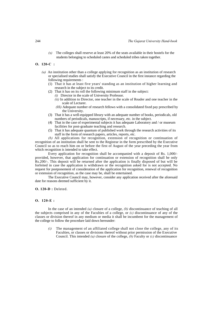*(x)* The colleges shall reserve at least 20% of the seats available in their hostels for the students belonging to scheduled castes and scheduled tribes taken together.

# **O. 120-C :**

- *(a)* An institution other than a college applying for recognition as an institution of research or specialised studies shall satisfy the Executive Council in the first instance regarding the following requirements :
	- (1) That it has at least five years' standing as an institution of higher learning and research in the subject to its credit.
	- (2) That it has on its roll the following minimum staff in the subject:
		- *(i)* Director in the scale of University Professor.
		- *(ii)* In addition to Director, one teacher in the scale of Reader and one teacher in the scale of Lecturer.
		- *(Hi)* Adequate number of research fellows with a consolidated fixed pay prescribed by the University.
	- (3) That it has a well-equipped library with an adequate number of books, periodicals, old numbers of periodicals, manuscripts, if necessary, etc. in the subject.
	- (4) That in the case of experimental subjects it has adequate Laboratory and / or museum facilities for post-graduate teaching and research.
	- (5) That it has adequate quantum of published work through the research activities of its staff in the form of research papers, articles, reports, etc.

*(b)* All applications for recognition, extension of recognition or continuation of recognition of an institution shall be sent to the Registrar in the form prescribed by the Executive Council so as to reach him on or before the first of August of the year preceding the year from which recognition is intended to take effect.

Every application for recognition shall be accompanied with a deposit of Rs. 1,000/ provided, however, that application for continuation or extension of recognition shall be only Rs.200/-. This deposit will be returned after the application is finally disposed of but will be forfeited in case the application is withdrawn or the recognition asked for is not accepted. No request for postponement of consideration of the application for recognition, renewal of recognition or extension of recognition, as the case may be, shall be entertained.

The Executive Council may, however, consider any application received after the aforesaid date for reasons deemed sufficient by it.

**O. 120-D :** Deleted.

# **O. 120-E :**

In the case of an intended *(a)* closure of a college, *(b)* discontinuance of teaching of all the subjects comprised in any of the Faculties of a college, or *(c)* discontinuance of any of the classes or division thereof in any medium or media it shall be incumbent for the management of the college to follow the procedure laid down hereunder:

*(i)* The management of an affiliated college shall not close the college, any of its Faculties, or classes or divisions thereof without prior permission of the Executive Council. This intended *(a)* closure of the college, *(b)* Faculty or *(c)* discontinuance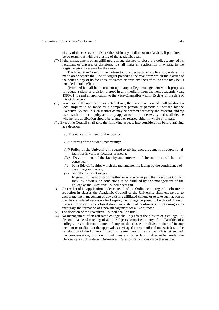of any of the classes or divisions thereof in any medium or media shall, if permitted, be co-terminous with the closing of the academic year.

*(ii)* If the management of an affiliated college desires to close the college, any of its faculties, or classes, or divisions, it shall make an application in writing to the Registrar giving reasons for the same.

The Executive Council may refuse to consider such an application, unless it is made on or before the 31st of August preceding the year from which the closure of the college, any of its faculties, or classes or divisions thereof as the case may be, is intended to take effect

(Provided it shall be incumbent upon any college management which proposes to reduce a class or division thereof in any medium from the next academic year, 1980-81 to send an application to the Vice-Chancellor within 15 days of the date of this Ordinance.)

- *(iii)* On receipt of the application as stated above, the Executive Council shall *(a)* direct a local inquiry to be made by a competent person or persons authorised by the Executive Council in such manner as may be deemed necessary and relevant, and *(b)*  make such further inquiry as it may appear to it to be necessary and shall decide whether the application should be granted or refused either in whole or in part.
- *(iv)* Executive Council shall take the following aspects into consideration before arriving at a decision:
	- *(i)* The educational need of the locality;
	- *(ii)* Interests of the student community;
	- *(iii)* Policy of the University in regard to giving encouragement of educational facilities in various faculties or media;
	- *(iv)* Development of the faculty and interests of the members of the staff concerned;
	- *(v)* bona fide difficulties which the management is facing by the continuance of the college or classes;
	- *(vi)* any other relevant matter.
		- In granting the application either in whole or in part the Executive Council may lay down such conditions to be fulfilled by the management of the college as the Executive Council deems fit.
- $(v)$  On receipt of an application under clause 1 of the Ordinance in regard to closure or reduction in classes the Academic Council of the University shall endeavour to encourage the management of any existing affiliated college or to take such action as may be considered necessary for keeping the college proposed to be closed down or classes proposed to be closed down in a state of continuous functioning or to encourage the formation of a new management for a like purpose.
- *(vi)* The decision of the Executive Council shall be final.
- *(vii)* No management of an affiliated college shall *(a)* effect the closure of a college, *(b)*  discontinuance of teaching of all the subjects comprised in any of the Faculties of a college, or  $(c)$  discontinuance of any of the classes or division thereof in any medium or media after the approval as envisaged above until and unless it has to the satisfaction of the University paid to the members of its staff which is retrenched, the compensation, provident fund dues and other lawful dues either under the University Act of Statutes, Ordinances, Rules or Resolutions made thereunder.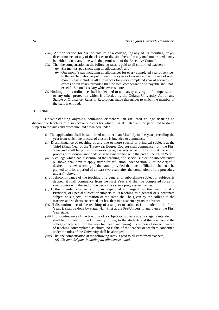- *(viii)* An application for *(a)* the closure of a college, *(b)* any of its faculties, or *(c)* discontinuance of any of the classes or division thereof in any medium or media may be withdrawn at any time with the permission of the Executive Council.
- *(ix)* That the compensation at the following rates is paid to all confirmed teachers :
	- *(a)* Six months' pay (including all allowances), and
		- *(b)* One month's pay including all allowances for every completed year of service to the teacher who has put in ten or less years of service and at the rate of one month's pay including all allowances for every completed year of services in excess of ten years, provided that the total compensation so payable shall not exceed 15 months' salary whichever is more.
- *(x)* Nothing in this ordinance shall be deemed to take away any right of compensation or any other protection which is afforded by the Gujarat University Act or any Statute or Ordinance, Rules or Resolutions made thereunder to which the member of the staff is entitled.

# **O. 120-F :**

Notwithstanding anything contained elsewhere, an affiliated college desiring to discontinue teaching of a subject or subjects for which it is affiliated will be permitted to do so subject to the rules and procedure laid down hereunder:

- *(i)* The application shall be submitted not later than 31st July of the year preceding the year from which the process of closure is intended to commence.
- *(ii)* Discontinuance of teaching of any one or more special or principal subjects at the Third (Final Year of the Three-year Degree Course) shall commence from the First Year and shall be put into operation progressively so as to ensure that the entire process of discontinuance ends so as to synchronise with the end of the Third Year.
- *(iii)* A college which had discontinued the teaching of a special subject or subjects under *(i)* above, shall have to apply afresh for affiliation under Section 33 of the Act; if it desires to renew teaching of the same provided that such affiliation shall not be granted to it for a period of at least two years after the completion of the procedure under *(i)* above.
- *(iv)* If discontinuance of the teaching of a general or subordinate subject or subjects is desired, it shall commence from the First Year and shall be completed so as to synchronise with the end of the Second Year in a progressive manner.
- *(v)* If the intended change is only in respect of a change from the teaching of a Principal, or Special subject or subjects to its teaching as a general or subordinate subject or subjects, intimation of the same shall be given by the college to the teachers and students concerned not less than two academic years in advance.
- *(vi)* If discontinuance of the teaching of a subject or subjects is intended at the First Year, it shall be done by stage, viz., First at the Pre-University and then at the First Year stage.
- *(vii)* If discontinuance of the teaching of a subject or subjects at any stage is intended, it shall be intimated to the University Office, to the students and the teachers of the college concerned, from the very first year, and during this process of discontinuance of teaching contemplated as above, no rights of the teacher or teachers concerned under the rules of the University shall be abridged.
- *(viii)* That the compensation at the following rates is paid to all confirmed teachers; *(a) Six months' pay (including all allowances), and*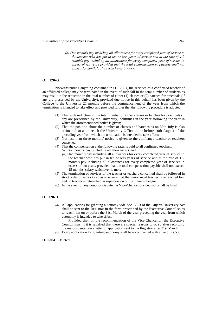*(b) One month's pay including all allowances for every completed year of service to the teacher who has put in ten or less years of service and at the rate of 1/2 month's pay including all allowances for every completed year of service in excess of ten years provided that the total compensation so payable shall not exceed 15 months' salary whichever is more.*

## **O. 120-G:**

Notwithstanding anything contained in O. 120-D, the services of a confirmed teacher of an affiliated college may be terminated in the event of such fall in the total number of students as may result in the reduction in the total number of either (1) classes or (2) batches for practicals (if any are prescribed by the University), provided due notice in this behalf has been given by the College to the University 21 months before the commencement of the year from which the termination is intended to take effect and provided further that the following procedure is adopted :

- (1) That such reduction in the total number of either classes or batches for practicals (if any are prescribed by the University) continues in the year following the year in which the aforementioned notice is given;
- (2) That the position about the number of classes and batches as on 30th July is also intimated so as to reach the University Office on or before 10th August of the preceding year from which the termination is intended to take effect;
- (3) Not less than three months' notice is given to the confirmed teacher or teachers concerned;
- (4) That the compensation at the following rates is paid to all confirmed teachers:
	- *(i)* Six months' pay (including all allowances), and
	- *(ii)* One month's pay including all allowances for every completed year of service to the teacher who has put in ten or less years of service and at the rate of 1/2 month's pay including all allowances for every completed year of services in excess of ten years, provided that the total compensation payable shall not exceed 15 months' salary whichever is more.
- (5) The termination of services of the teacher or teachers concerned shall be followed in strict order of seniority so as to ensure that the junior most teacher is retrenched first and no teacher is retrenched in supercession of his junior colleague;
- (6) In the event of any doubt or dispute the Vice-Chancellor's decision shall be final.

## **O. 120-H :**

*(a)* All applications for granting autonomy vide Sec. 38-B of the Gujarat University Act shall be sent to the Registrar in the form prescribed by the Executive Council so as to reach him on or before the 31st March of the year preceding the year from which autonomy is intended to take effect.

Provided that, on the recommendation of the Vice-Chancellor, the Executive Council may, if it is satisfied that there are special reasons to do so after recording the reasons, entertain a letter of application sent to the Registrar after 31st March.

*(b)* Every application for granting autonomy shall be accompanied with a fee of Rs.500.

# **O. 120-I** Deleted.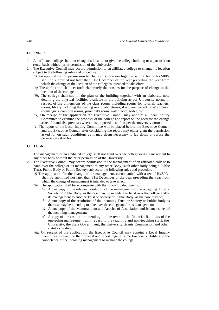## **O . 120-J :**

- 1. An affiliated college shall not change its location or give the college building or a part of it on rental basis without prior permission of the University.
- 2. The Executive Council may accord permission to an affiliated college to change its location subject to the following rules and procedure :
	- *(i)* An application for permission to change its location together with a fee of Rs.500/ shall be submitted not later than 31st December of the year preceding the year from which the change of the location of the college is intended to take effect.
	- *(ii)* The application shall set forth elaborately the reasons for the purpose of change in the location of the college.
	- *(iii)* The college shall submit the plan of the building together with an elaborate note detailing the physical facilities available in the building as per University norms in respect of the dimensions of the class rooms including rooms for tutorial, teachers' rooms, library including the reading room, laboratories, if any are needed, boys' common rooms, girls' common rooms, principal's room, water room, toilet, etc.
	- *(iv)* On receipt of the application the Executive Council may appoint a Local Inquiry Committee to examine the proposal of the college and report on the need for the change asked for and also premises where it is proposed to shift as per the university norms.
	- *(v)* The report of the Local Inquiry Committee will be placed before the Executive Council and the Executive Council after considering the report may either grant the permission asked for on such conditions as it may deem necessary to lay down or refuse the permission asked for.

#### **O . 120-K :**

- 1. The management of an affiliated college shall not hand over the college or its management to any other body without the prior permission of the University.
- 2. The Executive Council may accord permission to the management of an affiliated college to hand over the college or its management to any other Body, such other Body being a Public Trust, Public Body or Public Society, subject to the following rules and procedure :
	- *(i)* The application for the change of the management, accompanied with a fee of Rs.500/ shall be submitted not later than 31st December of the year preceding the year from which the change of management is intended to take effect.
	- *(ii)* The application shall be accompanie with the following documents:
		- *(a)* A true copy of the relevant resolution of the management of the out-going Trust or Society or Public Body, as the case may be intending to hand over the college and/or its management to another Trust or Society or Public Body, as the case may be;
		- *(b)* A true copy of the resolution of the incoming Trust or Society or Public Body as the case may be intending to take over the college and/or its management;
		- *(c)* A true copy of the Memorandum and Articles of Association and balance sheet of the incoming management;
		- *(d)* A copy of the resolution intending to take over all the financial liabilities of the out-going management with regard to the teaching and non-teaching staff, the University, the State Government, the University Grants Commission and other statutory bodies.
	- *(iii)* On receipt of the application, the Executive Council may appoint a Local Inquiry Committee to examine the proposal and report regarding the financial viability and the competence of the incoming management to manage the college.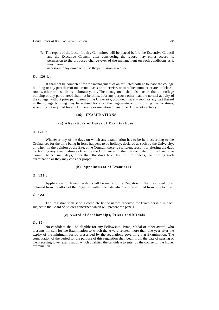*(iv)* The report of the Local Inquiry Committee will be placed before the Executive Council and the Executive Council, after considering the report, may either accord its permission to the proposed change-over of the management on such conditions as it may deem

necessary to lay down or refuse the permission asked for.

## **O. 120-L** :

It shall not be competent for the management of an affiliated college to lease the college building or any part thereof on a rental basis or otherwise, or to reduce number or area of classrooms, other rooms, library, laboratory, etc. The management shall also ensure that the college building or any part thereof shall not be utilised for any purpose other than the normal activity of the college, without prior permission of the University, provided that any room or any part thereof in the college building may be utilised for any other legitimate activity during the vacations, when it is not required for any University examination or any other University activity.

## **(26) EXAMINATIONS**

# **(a) Alterations of Dates of Examinations**

# **O. 121 :**

Whenever any of the days on which any examination has to be held according to the Ordinances for the time being in force happens to be holiday, declared as such by the University, or, when, in the opinion of the Executive Council, there is sufficient reason for altering the days for holding any examination as fixed by the Ordinances, it shall be competent to the Executive Council to fix such days, other than the days fixed by the Ordinances, for holding such examination as they may consider proper.

# **(b) Appointment of Examiners**

## **O. 122 :**

Application for Examinership shall be made to the Registrar in the prescribed form obtained from the office of the Registrar, within the date which will be notified from time to time.

## **O. 123 :**

The Registrar shall send a complete list of names received for Examinership in each subject to the Board of Studies concerned which will prepare the panels.

# **(c) Award of Scholarships, Prizes and Medals**

#### **O. 124 :**

No candidate shall be eligible for any Fellowship, Prize, Medal or other award, who presents himself for the Examination to which the Award relates, more than one year after the expiry of the minimum period prescribed by the regulations governing that Examination. The computation of the period for the purpose of this regulation shall begin from the date of passing of the preceding lower examination which qualified the candidate to enter on the course for the higher examination.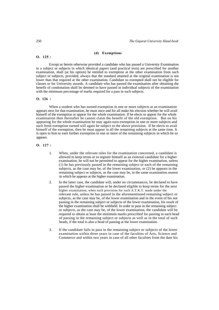#### **(d) Exemptions**

Except as herein otherwise provided a candidate who has passed a University Examination in a subject or subjects in which identical papers (and practical tests) are prescribed for another examination, shall (at his option) be entitled to exemption at the other examination from such subject or subjects, provided, always that the standard attained at the original examination is not lower than that required at the other examination. Candidate so exempted shall not be eligible for classes or for University awards. A candidate who has passed the examination after obtaining the benefit of condonation shall be deemed to have passed in individual subjects of the examination with the minimum percentage of marks required for a pass in such subjects.

#### **O. 126 :**

When a student who has earned exemption in one or more subjects at an examination appears next for that examination, he must once and for all make his election whether he will avail himself of the exemption or appear for the whole examination. If he elects to appear for the whole examination then thereafter he cannot claim the benefit of the old exemption. But on his appearing for the whole examination he may again earn exemption in one or more subjects and such fresh exemption earned will again be subject to the above provision. If he elects to avail himself of the exemption, then he must appear in all the remaining subjects at the same time. It is open to him to earn further exemption in one or more of the remaining subjects in which he so appears.

**O. 127 :** 

- 1. When, under the relevant rules for the examination concerned, a candidate is allowed to keep terms or to register himself as an external candidate for a higher examination, he will not be permitted to appear for the higher examination, unless (1) he has previously passed in the remaining subject or each of the remaining subjects, as the case may be, of the lower examination, or (2) he appears in the remaining subject or subjects, as the case may be, in the same examination season in which he appears at the higher examination.
- 2. In the latter case, the candidate will, under no circumstances, be declared to have passed the higher examination or be declared eligible to keep terms for the next higher examination, when such provision for such A.T.K.T. made under the relevant rule, unless he has passed in the aforementioned remaining subject or subjects, as the case may be, of the lower examination and in the event of his not passing in the remaining subject or subjects of the lower examination, his result of the higher examination shall be withheld. In order to pass in the remaining subject or subjects, as the case may be, of the lower examination, the candidate will be required to obtain at least the minimum marks prescribed for passing in each head of passing in the remaining subject or subjects as well as in the total of such heads, if the total is also a head of passing at the lower examination.
- 3. If the candidate fails to pass in the remaining subject or subjects of the lower examination within three years in case of the faculties of Arts, Science and Commerce and within two years in case of all other faculties from the date his

**O. 125 :**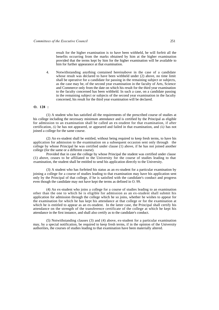result for the higher examination is to have been withheld, he will forfeit all the benefits occurring from the marks obtained by him at the higher examination provided that the terms kept by him for the higher examination will be available to him for further appearance at that examination.

4. Notwithstanding anything contained hereinabove in the case of a candidate whose result was declared to have been withheld under (2) above, no time limit shall be operative for a candidate for passing in the remaining subject or subjects, as the case may be, of the second year examination in the faculty of Arts, Science and Commerce only from the date on which his result for the third year examination to the faculty concerned has been withheld. In such a case, on a candidate passing in the remaining subject or subjects of the second year examination in the faculty concerned, his result for the third year examination will be declared.

# **O. 128 :**

(1) A student who has satisfied all the requirements of the prescribed course of studies at his college including the necessary minimum attendance and is certified by the Principal as eligible for admission to an examination shall be called an ex-student for that examination, if after certification, *(i)* he has not appeared, or appeared and failed in that examination, and *(ii)* has not joined a college for the same course.

(2) An ex-student shall be entitled, without being required to keep fresh terms, to have his application for admission to the examination on a subsequent occasion sent only through the college by whose Principal he was certified under clause (1) above, if he has not joined another college (for the same or a different course).

Provided that in case the college by whose Principal the student was certified under clause (1) above, ceases to be affiliated to the University for the course of studies leading to that examination, the student shall be entitled to send his application directly to the University.

(3) A student who has forfeited his status as an ex-student for a particular examination by joining a college for a course of studies leading to that examination may have his application sent only by the Principal of that college, if he is satisfied with the candidate's conduct and progress even though the candidate may not have kept the terms as defined in O. 99.

(4) An ex-student who joins a college for a course of studies leading to an examination other than the one to which he is eligible for admission as an ex-student shall submit his application for admission through the college which he so joins, whether he wishes to appear for the examination for which he has kept his attendance at that college or for the examination at which he is entitled to appear as an ex-student. In the latter case, the Principal shall certify his attendance on the strength of the transference certificate of the college at which he kept his attendance in the first instance, and shall also certify as to the candidate's conduct.

(5) Notwithstanding clauses (3) and (4) above, ex-student for a particular examination may, by a special notification, be required to keep fresh terms, if in the opinion of the University authorities, the courses of studies leading to that examination have been materially altered.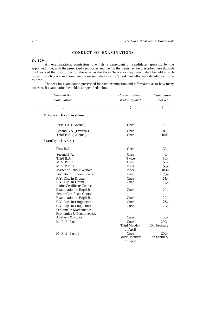# **CONDUCT OF EXAMINATIONS**

# **O. 129 :**

All examinations, admission to which is dependent on candidates applying by the appointed time, with the prescribed certificates and paying the Registrar the prescribed fees through the Heads of the Institutions or otherwise, as the Vice-Chancellor may direct, shall be held at such times, in such place and commencing on such dates as the Vice-Chancellor may decide from time to time.

The fees for examination prescribed for each examination and information as to how many times each examination be held is as specified below :

| Name of the                                                                                                                                                                                                                                                                                                             | How many times                                                                          | Examination                                                                                                 |
|-------------------------------------------------------------------------------------------------------------------------------------------------------------------------------------------------------------------------------------------------------------------------------------------------------------------------|-----------------------------------------------------------------------------------------|-------------------------------------------------------------------------------------------------------------|
| Examination                                                                                                                                                                                                                                                                                                             | held in a year?                                                                         | Fees Rs.                                                                                                    |
| 1                                                                                                                                                                                                                                                                                                                       | $\overline{2}$                                                                          | 3                                                                                                           |
| <b>External Examinations:</b>                                                                                                                                                                                                                                                                                           |                                                                                         |                                                                                                             |
| First B.A. (External)                                                                                                                                                                                                                                                                                                   | Once                                                                                    | $70/-$                                                                                                      |
| Second B.A. (External)<br>Third B.A. (External)                                                                                                                                                                                                                                                                         | Once<br>Once                                                                            | $85/-$<br>$100/-$                                                                                           |
| <b>Faculty of Arts:</b>                                                                                                                                                                                                                                                                                                 |                                                                                         |                                                                                                             |
| First B.A.                                                                                                                                                                                                                                                                                                              | Once                                                                                    | $30/-$                                                                                                      |
| Second B.A.<br>Third B.A.<br>M.A. Part I<br>M.A. Part II<br>Master of Labour Welfare<br>Bachelor of Library Science<br>F.Y. Dip. in Drama<br>S.Y. Dip. in Drama<br>Junior Certificate Course<br><b>Examination</b> in English<br>Senior Certificate Course<br><b>Examination</b> in English<br>F.Y. Dip. in Linguistics | Once<br>Twice<br>Once<br>Twice<br>Twice<br>Once<br>Once<br>Once<br>Once<br>Once<br>Once | $40/-$<br>$50/-$<br>$50/-$<br>$50/-$<br>$100/-$<br>$75/-$<br>$25/-$<br>$40/-$<br>$20/-$<br>$20/-$<br>$25/-$ |
| S.Y. Dip. in Linguistics<br>Diploma in Mathematical<br>Economics & Econometrics<br>Analysis & Policy<br>M. P. E. Part I<br>M. P. E. Part II                                                                                                                                                                             | Once<br>Once<br>Once<br>Third Monday<br>of April<br>Once<br>Fourth Monday<br>of April   | $25/-$<br>$50/-$<br>$200/-$<br>10th February<br>$200/-$<br>10th February                                    |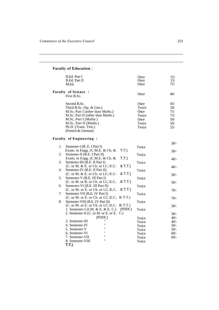# **Faculty of Education** :

|    | B.Ed. Part I<br><b>B.Ed. Part II</b><br>M.Ed.                                                                                                                                                                     | Once<br>Once<br>Once                                     | 15/<br>15/<br>75/                               |
|----|-------------------------------------------------------------------------------------------------------------------------------------------------------------------------------------------------------------------|----------------------------------------------------------|-------------------------------------------------|
|    | <b>Faculty of Science:</b><br>First B.Sc.                                                                                                                                                                         | Once                                                     | 40/                                             |
|    | Second B.Sc.<br>Third B.Sc. (Sp. & Gen.)<br>M.Sc, Part I (other than Maths.)<br>M.Sc, Part II (other than Maths.)<br>M.Sc, Part I (Maths.)<br>M.Sc, Part II (Maths.)<br>Ph.D. (Trans. Test.)<br>(French & German) | Once<br>Twice<br>Once<br>Twice<br>Once<br>Twice<br>Twice | 45/<br>$50/$<br>75/<br>75/<br>50/<br>50/<br>25/ |
|    | <b>Faculty of Engineering:</b>                                                                                                                                                                                    |                                                          | $30/-$                                          |
| 1. | Semester-I (B.E. I Part I)                                                                                                                                                                                        | Twice                                                    |                                                 |
| 2. | T.T.)<br>Exam, in Engg. (C.M.E. & Ch. &<br>Semester-II (B.E. I Part II)                                                                                                                                           | Twice                                                    | $30/-$                                          |
|    | T.T.)<br>Exam, in Engg. $(C.M.E. & Ch. &$                                                                                                                                                                         |                                                          | $40/-$                                          |
| 3. | Semester-IH (B.E. II Part I)                                                                                                                                                                                      | Twice                                                    |                                                 |
| 4. | (C. or M. & E. or Ch. or I.C./E.C.<br>& T.T.)<br>Semester-IV (B.E. II Part II)                                                                                                                                    | Twice                                                    | $40/-$                                          |
|    | & T.T.)<br>(C. or M. & E. or Ch. or I.C./E.C.                                                                                                                                                                     |                                                          | $50/-$                                          |
| 5. | Semester-V (B.E. III Part I)                                                                                                                                                                                      | Twice                                                    |                                                 |
| 6. | & T.T.)<br>(C. or M. or B. or Ch. or I.C./E.C.<br>Semester-VI (B.E. III Part II)                                                                                                                                  | Twice                                                    | $50/-$                                          |
|    | & T.T.)<br>(C. or M. or E. or Ch. or I.C./E.C.                                                                                                                                                                    |                                                          | $70/-$                                          |
| 7. | Semester-VII (B.E. IV Part I)                                                                                                                                                                                     | Twice                                                    |                                                 |
| 8. | $&$ T.T.)<br>(C. or M. or E. or Ch. or I.C./E.C.<br>Semester-VIII (B.E. IV Part II)                                                                                                                               | Twice                                                    | $70/-$                                          |
|    | $&$ T.T.)<br>(C. or M. or E. or Ch. or I.C./E.C.                                                                                                                                                                  |                                                          | $30/-$                                          |
|    | (PDDC)<br>1. Semester-I (CM. & E. & E. C.)                                                                                                                                                                        | Twice                                                    |                                                 |
|    | C.)<br>2. Semester-II (C. or M. or E. or E.                                                                                                                                                                       |                                                          | $30/-$                                          |
|    | (PDDC)                                                                                                                                                                                                            | Twice                                                    | $40/-$                                          |
|    | 3. Semester-III<br>11<br>4. Semester-IV                                                                                                                                                                           | Twice                                                    | $40/-$                                          |
|    | "<br>5. Semester-V                                                                                                                                                                                                | Twice                                                    | $50/-$                                          |
|    | "<br>6. Semester-VI                                                                                                                                                                                               | Twice                                                    | $50/-$                                          |
|    | $^{\dagger}$                                                                                                                                                                                                      | Twice                                                    | $60/-$                                          |
|    | 7. Semester-VII<br>$^{\dagger}$                                                                                                                                                                                   | Twice                                                    | $60/-$                                          |
|    | 8. Semester-VIII                                                                                                                                                                                                  | Twice                                                    |                                                 |
|    | T.T.)                                                                                                                                                                                                             |                                                          |                                                 |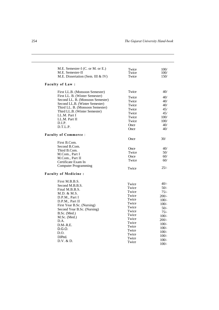| M.E. Semester-I (C. or M. or E.)              | Twice | 100/    |
|-----------------------------------------------|-------|---------|
| M.E. Semester-II                              | Twice | 100/    |
| M.E. Dissertation (Sem. III & IV)             | Twice | 150/    |
| <b>Faculty of Law:</b>                        |       |         |
| First LL.B. (Monsoon Semester)                | Twice | 40/     |
| First LL. B. (Winter Semester)                | Twice | 40/     |
| Second LL. B. (Monsoon Semester)              | Twice | 40/     |
| Second LL.B. (Winter Semester)                | Twice | 40/     |
| Third LL. B. (Monsoon Semester)               | Twice | 45/     |
| Third LL.B. (Winter Semester)<br>LL.M. Part I | Twice | 45/     |
|                                               | Twice | 100/    |
| LL.M. Part II                                 | Twice | 100/    |
| D.I.P.                                        | Once  | 40/     |
| D.T.L.P.                                      | Once  | 40/     |
| <b>Faculty of Commerce:</b>                   |       |         |
|                                               | Once  | 30/     |
| First B.Com.                                  |       |         |
| Second B.Com.                                 | Once  | 40/     |
| Third B.Com.                                  | Twice | 50/     |
| M.Com., Part I                                | Once  | 60/     |
| M.Com., Part II                               | Twice | 60/     |
| Certificate Exam In                           |       |         |
| <b>Computer Programming</b>                   | Twice | $25/-$  |
| <b>Faculty of Medicine:</b>                   |       |         |
| First M.B.B.S.                                |       |         |
| Second M.B.B.S.                               | Twice | $40/-$  |
| Final M.B.B.S.                                | Twice | $50/-$  |
| M.D. & M.S.                                   | Twice | $75/-$  |
| D.P.M., Part I                                | Twice | $200/-$ |
| D.P.M., Part II                               | Twice | $100/-$ |
| First Year B.Sc. (Nursing)                    | Twice | $100/-$ |
| Second Year B.Sc. (Nursing)                   | Twice | $50/-$  |
| B.Sc. (Med.)                                  | Twice | $75/-$  |
| M.Sc. (Med.)                                  | Twice | $100/-$ |
| D.A.                                          | Twice | $200/-$ |
| $D.M - R.E.$                                  | Twice | $100/-$ |
| D.G.O.                                        | Twice | $100/-$ |
| D.O.                                          | Twice | $100/-$ |
| D.JPed.                                       | Twice | $100/-$ |
|                                               | Twice | $100/-$ |
| D.V. & D.                                     | Twice | $100/-$ |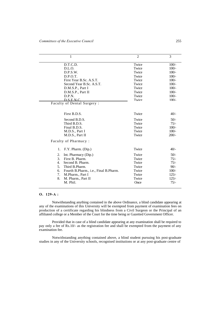| $\mathbf{1}$                                | $\overline{2}$ | 3       |
|---------------------------------------------|----------------|---------|
| D.T.C.D.                                    | Twice          | $100/-$ |
| D.L.O.                                      | Twice          | $100/-$ |
| D.P.S.W.                                    | Twice          | $100/-$ |
| D.P.O.T.                                    | Twice          | $100/-$ |
| First Year B.Sc. A.S.T.                     | Twice          | $100/-$ |
| Second Year B.Sc. A.S.T.                    | Twice          | $100/-$ |
| D.M.S.P., Part I                            | Twice          | $100/-$ |
| D.M.S.P., Part II                           | Twice          | $100/-$ |
| D.P.N.                                      | Twice          | $100/-$ |
| D.S.E.N.C.                                  | Twice          | $100/-$ |
| Faculty of Dental Surgery:                  |                |         |
|                                             |                |         |
| First B.D.S.                                | Twice          | $40/-$  |
| Second B.D.S.                               | Twice          | $50/-$  |
| Third B.D.S.                                | Twice          | $75/-$  |
| Final B.D.S.                                | Twice          | $100/-$ |
| M.D.S., Part I                              | Twice          | $100/-$ |
| M.D.S., Part II                             | Twice          | $200/-$ |
| Faculty of Pharmacy:                        |                |         |
|                                             |                |         |
| F.Y. Pharm. (Dip.)<br>1.                    | Twice          | $40/-$  |
| 2.<br>Int. Pharmacy (Dip.)                  | Twice          | $50/-$  |
| 3.<br>First B. Pharm.                       | Twice          | $75/-$  |
| Second B. Pharm.<br>4.                      | Twice          | $75/-$  |
| 5.<br>Third B.Pharm.                        | Twice          | $90/-$  |
| Fourth B.Pharm., i.e., Final B.Pharm.<br>6. | Twice          | $100/-$ |
| 7.<br>M.Pharm., Part I                      | Twice          | $125/-$ |
| 8.<br>M. Pharm., Part II                    | Twice          | $125/-$ |
| M. Phil.                                    | Once           | $75/-$  |
|                                             |                |         |

### **O. 129-A :**

Notwithstanding anything contained in the above Ordinance, a blind candidate appearing at any of the examinations of this University will be exempted from payment of examination fees on production of a certificate regarding his blindness from a Civil Surgeon or the Principal of an affiliated college or a Member of the Court for the time being or Gazetted Government Officer.

Provided that in case of a blind candidate appearing at any examination shall be required to pay only a fee of Rs.10/- as the registration fee and shall be exempted from the payment of any examination fee.

Notwithstanding anything contained above, a blind student pursuing his post-graduate studies in any of the University schools, recognised institutions or at any post-graduate centre of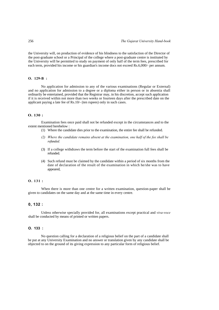the University will, on production of evidence of his blindness to the satisfaction of the Director of the post-graduate school or a Principal of the college where a post-graduate centre is instituted by the University will be permitted to study on payment of only half of the term fees, prescribed for each term, provided his income or his guardian's income docs not exceed Rs.6,000/- per annum.

### **O. 129-B :**

No application for admission to any of the various examinations (Regular or External) and no application for admission to a degree or a diploma either in person or in absentia shall ordinarily be entertained, provided that the Registrar may, in his discretion, accept such application if it is received within not more than two weeks or fourteen days after the prescribed date on the applicant paying a late fee of Rs.10/- (ten rupees) only in such cases.

# **O. 130 :**

Examination fees once paid shall not be refunded except in the circumstances and to the extent mentioned herebelow :

- (1) Where the candidate dies prior to the examination, the entire fee shall be refunded.
- *(2) Where the candidate remains absent at the examination, one half of the fee shall be refunded.*
- (3) If a college withdraws the term before the start of the examination full fees shall be refunded.
- (4) Such refund must be claimed by the candidate within a period of six months from the date of declaration of the result of the examination in which he/she was to have appeared,

#### **O. 131 :**

When there is more than one centre for a written examination, question-paper shall be given to candidates on the same day and at the same time in every centre.

## **0, 132 :**

Unless otherwise specially provided for, all examinations except practical and *viva-voce*  shall be conducted by means of printed or written papers.

## **O. 133 :**

No question calling for a declaration of a religious belief on the part of a candidate shall be put at any University Examination and no answer or translation given by any candidate shall be objected to on the ground of its giving expression to any particular form of religious belief.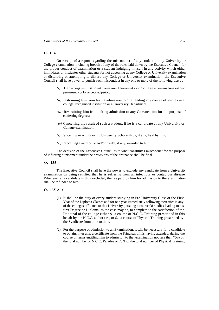### **O. 134 :**

On receipt of a report regarding the misconduct of any student at any University or College examination, including breach of any of the rules laid down by the Executive Council for the proper conduct of examination or a student indulging himself in any activity which either intimidates or instigates other students for not appearing at any College or University examination or disturbing or attempting to disturb any College or University examination, the Executive Council shall have power to punish such misconduct in any one or more of the following ways :

- *(i)* Debarring such student from any University or College examination either permanently or for a specified period;
- *(ii)* Restraining him from taking admission to or attending any course of studies in a college, recognised institution or a University Department;
- *(iii)* Restraining him from taking admission to any Convocation for the purpose of conferring degrees;
- *(iv)* Cancelling the result of such a student, if he is a candidate at any University or College examination;
- *(v)* Cancelling or withdrawing University Scholarships, if any, held by him;
- *(vi)* Cancelling award prize and/or medal, if any, awarded to him.

The decision of the Executive Council as to what constitutes misconduct for the purpose of inflicting punishment under the provisions of the ordinance shall be final.

**O. 135 :** 

The Executive Council shall have the power to exclude any candidate from a University examination on being satisfied that he is suffering from an infectious or contagious disease. Whenever any candidate is thus excluded, the fee paid by him for admission to the examination shall be refunded to him.

#### **O. 135-A :**

- (1) It shall be the duty of every student studying in Pre-University Class or the First Year of the Diploma Classes and for one year immediately following thereafter in any of the colleges affiliated to this University pursuing a course Of studies leading to his first Degree or Diploma, as the case may be, to complete to the satisfaction of the Principal of the college either *(i)* a course of N.C.C. Training prescribed in this behalf by the N.C.C. authorities, or *(ii)* a course of Physical Training prescribed by the Syndicate from time to time.
- (2) For the purpose of admission to an Examination, it will be necessary for a candidate to obtain, inter alia, a certificate from the Principal of his having attended, during the course of terms entitling him to admission to that examination not less than 75% of the total number of N.C.C. Parades or 75% of the total number of Physical Training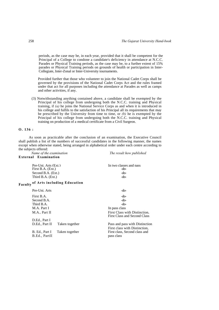periods, as the case may be, in each year, provided that it shall be competent for the Principal of a College to condone a candidate's deficiency in attendance at N.C.C. Parades or Physical Training periods, as the case may be, to a further extent of 15% parades or Physical Training periods on grounds of health or participation in Inter-Collegiate, Inter-Zonal or Inter-University tournaments.

Provided further that those who volunteer to join the National Cadet Corps shall be governed by the provisions of the National Cadet Corps Act and the rules framed under that act for all purposes including the attendance at Parades as well as camps and other activities, if any.

(3) Notwithstanding anything contained above, a candidate shall be exempted by the Principal of his college from undergoing both the N.C.C. training and Physical training, if *(a)* he joins the National Service Corps as and when it is introduced in his college and fulfils to the satisfaction of his Principal all its requirements that may be prescribed by the University from time to time, or *(b)* he is exempted by the Principal of his college from undergoing both the N.C.C. training and Physical training on production of a medical certificate from a Civil Surgeon.

#### **O. 136 :**

As soon as practicable after the conclusion of an examination, the Executive Council shall publish a list of the numbers of successful candidates in the following manner, the names except when otherwise stated, being arranged in alphabetical order under each centre according to the subjects offered:

|                      | Name of the examination |
|----------------------|-------------------------|
| External Examination |                         |

*Name of the examination The result how published*

| $Pre-IIni$ . Arts $(Ext.)$<br>First B.A. (Ext.) |                | In two classes and pass<br>-do-                               |
|-------------------------------------------------|----------------|---------------------------------------------------------------|
| Second B.A. (Ext.)                              |                | $-do-$                                                        |
| Third B.A. (Ext.)                               |                | -do-                                                          |
| <b>Faculty of Arts including Education</b>      |                |                                                               |
| Pre-Uni. Arts                                   |                | -do-                                                          |
| First B.A.                                      |                | $-do-$                                                        |
| Second B.A.                                     |                | -do-                                                          |
| Third B.A.                                      |                | -do-                                                          |
| M.A. Part I                                     |                | In pass class                                                 |
| M.A., Part II                                   |                | First Class with Distinction.<br>First Class and Second Class |
| D.Ed., Part I                                   |                |                                                               |
| D.Ed., Part II                                  | Taken together | Pass and pass with Distinction                                |
|                                                 |                | First class with Distinction.                                 |
| B. Ed., Part I<br>B.Ed., PartII                 | Taken together | First class, Second class and<br>pass class                   |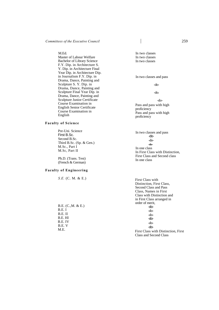M.Ed.

Master of Labour Welfare Bachelor of Library Science F.Y. Dip. in Architecture S. Y. Dip. in Architecture Final Year Dip. in Architecture Dip. in Journalism F.Y. Dip. in Drama, Dance, Painting and Sculpture S. Y. Dip. in Drama, Dance, Painting and Sculpture Final Year Dip. in Drama, Dance, Painting and Sculpture Junior Certificate Course Examination in English Senior Certificate Course Examination in English

## **Faculty of Science**

Pre-Uni. Science First B.Sc. Second B.Sc. Third B.Sc. (Sp. & Gen.) M.Sc., Part I M.Sc, Part II

Ph.D. (Trans. Test) (French & German)

## **Faculty of Engineering**

*S.E.* (C. M. & E.)

B.E. (C.,M. & E.) B.E. I B.E. II B.E. HI B.E. IV B.E. V M.E.

In two classes In two classes In two classes

#### In two classes and pass

-do-

-do**-**

-do-Pass and pass with high proficiency Pass and pass with high proficiency

In two classes and pass -do- -do- **-do-**In one class In First Class with Distinction, First Class and Second class In one class

First Class with Distinction, First Class, Second Class and Pass Class, Names in First Class with Distinction and in First Class arranged in order of merit, -do- -do- -do- -do- -do- -do-First Class with Distinction, First Class and Second Class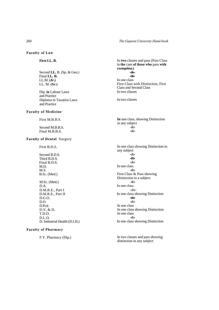260 *The Gujarat University Hand-book*

**Faculty of Law** 

**First LL. B.**

Second **LL.** B. (Sp. & Gen.) Final **LL. B.**  LL.M. **(Jr.)**  LL. M. **(Sr.)**

Dip. **in** Labour Laws and Practice Diploma in Taxation Laws and Practice

## **Faculty of Medicine**

First M.B.B.S.

Second M.B.B.S. Final M.B.B.S.

# **Faculty of Dental** Surgery

First B.D.S.

Second B.D.S. Third B.D.S. Final B.D.S. M.D. M.S. B.Sc. (Med.) M.Sc. (Med.)

D.A. D.M.R.E., Part I D.M.R.E., Part II D.G.O. D.O. D.Pcd. D.V. & D. T.D.D. D.L.O. D. Industrial Health (D.I.H.)

# **Faculty of Pharmacy**

F.Y. Pharmacy (Dip.)

In **two** classes and pass (Pass Class in **the** case **of those who** pass **with exemption.) -do- -do-**In one class First Class with Distinction, First Class and Second Class In two classes

In two classes

**In** one class, showing Distinction in any subject -do- -do-

In one class showing Distinction in any subject -do- **-do-** -do-In one class -do-First Class & Pass showing Distinction in a subject -do-In one class -do-In one class showing Distinction **-do-** -do-In one class In one class showing Distinction In one class -do-In one class showing Distinction

In two classes and pass showing distinction in any subject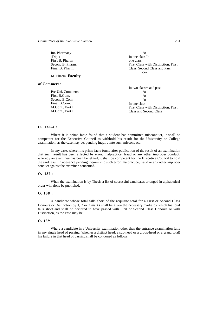Int. Pharmacy (Dip.) First B. Pharm. Second B. Pharm. Final B. Pharm.

M. Pharm. **Faculty** 

### **of Commerce**

Pre-Uni. Commerce First B.Com. Second B.Com. Final B.Com. M.Com., Part I M.Com., Part II

-do-In one class In one class First Class with Distinction, First Class, Second Class and Pass -do-

In two classes and pass -do- -do- -do-In one class First Class with Distinction, First Class and Second Class

## **O. 136-A :**

Where it is prima facie found that a student has committed misconduct, it shall be competent for the Executive Council to withhold his result for the University or College examination, as the case may be, pending inquiry into such misconduct.

In any case, where it is prima facie found after publication of the result of an examination that such result has been affected by error, malpractice, fraud or any other improper conduct, whereby an examinee has been benefited, it shall be competent for the Executive Council to hold the said result in abeyance pending inquiry into such error, malpractice, fraud or any other improper conduct against the examinee concerned.

### **O. 137 :**

When the examination is by Thesis a list of successful candidates arranged in alphabetical order will alone be published.

## **O. 138 :**

A candidate whose total falls short of the requisite total for a First or Second Class Honours or Distinction by 1, 2 or 3 marks shall be given the necessary marks by which his total falls short and shall be declared to have passed with First or Second Class Honours or with Distinction, as the case may be.

### **O. 139 :**

Where a candidate in a University examination other than the entrance examination fails in any single head of passing (whether a distinct head, a sub-head or a group-head or a grand total) his failure in that head of passing shall be condoned as follows :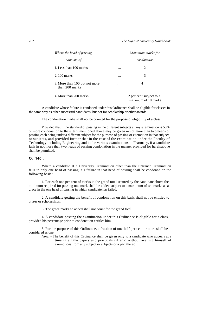| Where the head of passing                       |          | Maximum marks for                              |
|-------------------------------------------------|----------|------------------------------------------------|
| consists of                                     |          | condonation                                    |
| 1. Less than 100 marks                          | .        | 2                                              |
| 2.100 marks                                     | .        | 3                                              |
| 3. More than 100 but not more<br>than 200 marks | .        | 4                                              |
| 4. More than 200 marks                          | $\cdots$ | 2 per cent subject to a<br>maximum of 10 marks |

A candidate whose failure is condoned under this Ordinance shall be eligible for classes in the same way as other successful candidates, but not for scholarship or other awards.

The condonation marks shall not be counted for the purpose of eligibility of a class.

Provided that if the standard of passing in the different subjects at any examination is 50% or more condonation to the extent mentioned above may be given in not more than two heads of passing each being under a different subject for the purpose of passing or exemption in that subject or subjects, and provided further that in the case of the examination under the Faculty of Technology including Engineering and in the various examinations in Pharmacy, if a candidate fails in not more than two heads of passing condonation in the manner provided for hereinabove shall be permitted.

#### **O. 140 :**

Where a candidate at a University Examination other than the Entrance Examination fails in only one head of passing, his failure in that head of passing shall be condoned on the following basis :

1. For each one per cent of marks in the grand total secured by the candidate above the minimum required for passing one mark shall be added subject to a maximum of ten marks as a grace in the one head of passing in which candidate has failed.

2. A candidate getting the benefit of condonation on this basis shall not be entitled to prizes or scholarships.

3. The grace marks so added shall not count for the grand total.

4. A candidate passing the examination under this Ordinance is eligible for a class, provided his percentage prior to condonation entitles him.

5. For the purpose of this Ordinance, a fraction of one-half per cent or more shall be considered as one.

*Note.* - The benefit of this Ordinance shall be given only to a candidate who appears at a time in all the papers and practicals (if any) without availing himself of exemptions from any subject or subjects or a part thereof.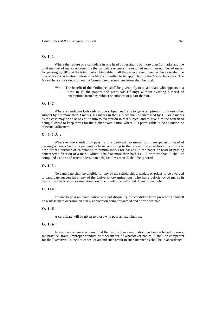## **O. 141 :**

Where the failure of a candidate in one head of passing is by more than 10 marks and the total number of marks obtained by the candidate exceeds the required minimum number of marks for passing by 10% of the total marks obtainable in all the papers taken together, his case shall be placed for consideration before an ad-hoc committee to be appointed by the Vice-Chancellor. The Vice-Chancellor's decision on the Committee's recommendation shall be final.

*Note.* - The benefit of this Ordinance shall be given only to a candidate who appears at a time in all the papers and practicals (if any) without availing himself of exemptions from any subject or subjects or a part thereof.

#### **O. 142 :**

Where a candidate fails only in one subject and fails to get exemption in only one other subject by not more than 3 marks, his marks in that subject shall be increased by 1, 2 or 3 marks as the case may be so as to entitle him to exemption in that subject and to give him the benefit of being allowed to keep terms for the higher examination where it is permissible to do so under the relevant Ordinances.

#### **O. 142-A :**

Wherever the standard of passing in a particular examination in any paper or head of passing is prescribed on a percentage basis according to the relevant rules in force from time to time for the purpose of calculating minimum marks for passing in the paper or head of passing concerned a fraction of a mark, which is half or more than half, i.e., .5 or more than .5 shall be computed as one and fraction less than half, i.e., less than .5 shall be ignored.

#### **O. 143 :**

No candidate shall be eligible for any of the scholarships, medals or prizes to be awarded to candidate successful at any of the University.examinations, who has a deficiency of marks in any of the heads of the examination condoned under the rules laid down in that behalf.

#### **O. 144 :**

Failure to pass an examination will not disqualify the candidate from presenting himself on a subsequent occasion on a new application being forwarded and a fresh fee paid.

### **O. 145 :**

A certificate will be given to those who pass an examination.

#### **O. 146 :**

In any case where it is found that the result of an examination has been affected by error, malpractice, fraud, improper conduct or other matter of whatsoever nature, it shall be competent for the Executive Council to cancel or amend such result in such manner as shall be in accordance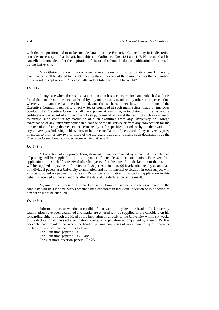with the true position and to make such declaration as the Executive Council may in its discretion consider necessary in that behalf, but subject to Ordinance Nos. 134 and 147. No result shall be cancelled or amended after the expiration of six months from the date of publication of the result by the University.

Notwithstanding anything contained above the result of no candidate at any University examination shall be altered to his detriment within the expiry of three months after the declaration of the result except when his/her case falls under Ordinance No. 134 and 147.

#### **O. 147 :**

In any case where the result of an examination has been ascertained and published and it is found that such result has been affected by any malpractice, fraud or any other improper conduct whereby an examinee has been benefited, and that such examinee has, in the opinion of the Executive Council, been party or privy to, or connived at such malpractice, fraud or improper conduct, the Executive Council shall have power at any time, notwithstanding the issue of a certificate or the award of a prize or scholarship, to amend or cancel the result of such examinee or to punish such conduct by exclusion of such examinee from any University or College examination of any university course in a college or the university or from any convocation for the purpose of conferring degrees, either permanently or for specified period, or by the deprivation of any university scholarship held by him, or by the cancellation of the award of any university prize or medal to him, or any two or more of the aforesaid ways and to make such declarations as the Executive Council may consider necessary in that behalf.

#### **O. 148 :**

*(a)* A statement in a printed form, showing the marks obtained by a candidate in each head of passing will be supplied to him on payment of a fee Rs.4/- per examination. However if an application in this behalf is received after five years after the date of the declaration of the result it will be supplied on payment of the fee of Rs.8 per examination, *(b)* Marks obtained by a candidate in individual papers at a University examination and not in internal evaluation in each subject will also be supplied on payment of a fee of Rs.6/- per examination, provided an application in this behalf is received within six months after the date of the declaration of the result.

*Explanation -* In case of Internal Evaluation, however, subjectwise marks obtained by the candidate will be supplied. Marks obtained by a candidate in individual question or in a section of a paper will not be supplied.

#### **O. 149 :**

Information as to whether a candidate's answers in any head or heads of a University examination have been examined and marks are entered will be supplied to the candidate on his forwarding either through the Head of his Institution or directly to the University within six weeks of the declaration of the said examination results, an application accompanied by a fee of Rs.10/ pcr each head provided that where the head of passing comprises of more than one question-paper the fees for verification shall be as follows :

For 2 question-papers : Rs.15 For 3 question-papers : Rs.20, and

For 4 or more question-papers : Rs.25.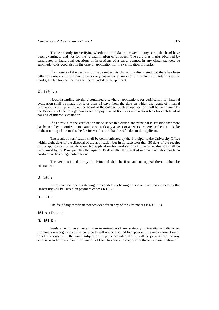The fee is only for verifying whether a candidate's answers in any particular head have been examined, and not for the re-examination of answers. The rule that marks obtained by candidates in individual questions or in sections of a paper cannot, in any circumstances, be supplied, holds good also in the case of application for the verification of marks.

If as results of the verification made under this clause it is discovered that there has been either an omission to examine or mark any answer or answers or a mistake in the totalling of the marks, the fee for verification shall be refunded to the applicant.

### **O. 149-A :**

Notwithstanding anything contained elsewhere, applications for verification for internal evaluation shall be made not later than 15 days from the dale on which the result of internal evaluation is put up on the notice board of the college. Such an application shall be entertained by the Principal of the college concerned on payment of Rs.3/- as verification fees for each head of passing of internal evaluation.

If as a result of the verification made under this clause, the principal is satisfied that there has been either an omission to examine or mark any answer or answers or there has been a mistake in the totalling of the marks the fee for verification shall be refunded to the applicant.

The result of verification shall be communicated by the Principal to the University Office within eight days of the disposal of the application but in no case later than 30 days of the receipt of the application for verification. No application for verification of internal evaluation shall be entertained by the Principal after the lapse of 15 days after the result of internal evaluation has been notified on the college notice board.

The verification done by the Principal shall be final and no appeal thereon shall be entertained.

#### **O. 150 :**

A copy of certificate testifying to a candidate's having passed an examination held by the University will be issued on payment of fees Rs.5/-.

## **O. 151 :**

The fee of any certificate not provided for in any of the Ordinances is Rs.5/-. O.

#### **151-A :** Deleted.

#### **O. 151-B :**

Students who have passed in an examination of any statutary University in India or an examination recognised equivalent thereto will not be allowed to appear at the same examination of this University with the same subject or subjects provided that it will be permissible for any student who has passed an examination of this University to reappear at the same examination of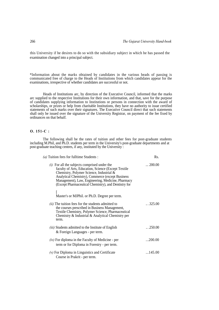this University if he desires to do so with the subsidiary subject in which he has passed the examination changed into a principal subject.

\*Information about the marks obtained by candidates in the various heads of passing is communicated free of charge to the Heads of Institutions from which candidates appear for the examinations, irrespective of whether candidates are successful or not.

Heads of Institutions arc, by direction of the Executive Council, informed that the marks arc supplied to the respective Institutions for their own information, and that, save for the purpose of candidates supplying information to Institutions or persons in connection with the award of scholarships, or prizes or help from charitable Institutions, they have no authority to issue certified statements of such marks over their signatures. The Executive Council direct that such statements shall only be issued over the signature of the University Registrar, on payment of the fee fixed by ordinances on that behalf.

# **O. 151-C :**

The following shall be the rates of tuition and other fees for post-graduate students including M.Phil, and Ph.D. students per term in the University's post-graduate departments and at post-graduate teaching centres, if any, instituted by the University :

| (a) Tuition fees for fulltime Students :                                                                                                                                                                                                                                                                            | Rs.              |
|---------------------------------------------------------------------------------------------------------------------------------------------------------------------------------------------------------------------------------------------------------------------------------------------------------------------|------------------|
| $(i)$ For all the subjects comprised under the<br>faculty of Arts, Education, Science (Except Textile)<br>Chemistry, Polymer Science, Industrial &<br>Analytical Chemistry), Commerce (except Business<br>Management), Law, Engineering, Medicine, Pharmacy<br>(Except Pharmaceutical Chemistry), and Dentistry for | $\ldots$ 200.00  |
| Master's or MJPhil. or Ph.D. Degree per term.                                                                                                                                                                                                                                                                       |                  |
| (ii) The tuition fees for the students admitted to<br>the courses prescribed in Business Management,<br>Textile Chemistry, Polymer Science, Pharmaceutical<br>Chemistry & Industrial & Analytical Chemistry per<br>term.                                                                                            | $\ldots$ 325.00  |
| <i>(iii)</i> Students admitted to the Institute of English<br>& Foreign Languages - per term.                                                                                                                                                                                                                       | $\ldots$ .250.00 |
| $(iv)$ For diploma in the Faculty of Medicine - per<br>term or for Diploma in Forestry - per term.                                                                                                                                                                                                                  | 200.00           |
| $(v)$ For Diploma in Linguistics and Certificate<br>Course in Prakrit - per term.                                                                                                                                                                                                                                   | $\dots$ 145.00   |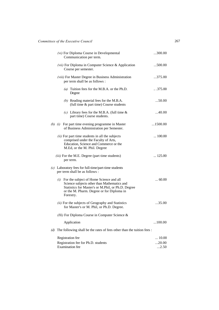|     | (vi) For Diploma Course in Developmental<br>Communication per term.                                                                                                                                        | 300.00                |
|-----|------------------------------------------------------------------------------------------------------------------------------------------------------------------------------------------------------------|-----------------------|
|     | (vii) For Diploma in Computer Science & Application<br>Course per semester.                                                                                                                                | 500.00                |
|     | (viii) For Master Degree in Business Administration<br>per term shall be as follows :                                                                                                                      | 375.00                |
|     | (a) Tuition fees for the M.B.A. or the Ph.D.<br>Degree                                                                                                                                                     | $\ldots$ 375.00       |
|     | (b) Reading material fees for the M.B.A.<br>(full time & part time) Course students                                                                                                                        | 50.00                 |
|     | (c) Library fees for the M.B.A. (full time $\&$<br>part time) Course students.                                                                                                                             | 40.00                 |
|     | (b) $(i)$ For part time evening programme in Master<br>of Business Administration per Semester.                                                                                                            | $\dots$ 1500.00       |
|     | (ii) For part time students in all the subjects<br>comprised under the Faculty of Arts,<br>Education, Science and Commerce or the<br>M.Ed, or the M. Phil. Degree                                          | $\ldots$ 100.00       |
|     | (iii) For the M.E. Degree (part time students)<br>per term.                                                                                                                                                | $\ldots$ 125.00       |
|     | $(c)$ Laboratory fees for full-time/part-time students<br>per term shall be as follows :                                                                                                                   |                       |
|     | (i) For the subject of Home Science and all<br>Science subjects other than Mathematics and<br>Statistics for Master's or M.Phil, or Ph.D. Degree<br>or the M. Pharm. Degree or for Diploma in<br>Forestry. | $\dots 60.00$         |
|     | (ii) For the subjects of Geography and Statistics<br>for Master's or M. Phil, or Ph.D. Degree.                                                                                                             | 35.00                 |
|     | (Hi) For Diploma Course in Computer Science &                                                                                                                                                              |                       |
|     | Application                                                                                                                                                                                                | $\dots$ 100.00        |
| (d) | The following shall be the rates of fees other than the tuition fees :                                                                                                                                     |                       |
|     | Registration fee                                                                                                                                                                                           | $\dots$ 10.00         |
|     | Registration fee for Ph.D. students<br><b>Examination</b> fee                                                                                                                                              | 20.00<br>$\dots$ 2.50 |
|     |                                                                                                                                                                                                            |                       |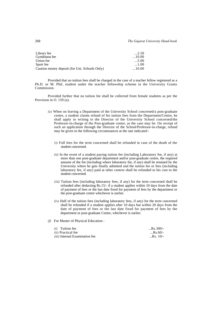| $\dots$ 2.50 |
|--------------|
| $\dots10.00$ |
| $\dots$ 5.00 |
| $\dots 1.00$ |
| $\dots10.00$ |
|              |

Provided that no tuition fees shall be charged in the case of a teacher fellow registered as a Ph.D. or M. Phil, student under the teacher fellowship scheme in the University Grants Commission.

Provided further that no tuition fee shall be collected from female students as per the Provision in O. 159 (a).

- *(e)* When on leaving a Department of the University School concerned/a post-graduate centre, a student claims refund of his tuition fees from the Department/Centre, he shall apply in writing to the Director of the University School concerned/the Professor-in-charge of the Post-graduate centre, as the case may be. On receipt of such an application through the Director of the School/Professor-in-charge, refund may be given in the following circumstances at the rate indicated :
	- *(i)* Full fees for the term concerned shall be refunded in case of the death of the student concerned.
	- *(ii)* In the event of a student paying tuition fee (including Laboratory fee, if any) at more than one post-graduate department and/or post-graduate centre, the required amount of the fee (including where laboratory fee, if any) shall be retained by the University where he gets finally admitted and the tuition fee or fees (including laboratory fee, if any) paid at other centres shall be refunded to his cost to the student concerned.
	- *(iii)* Tuition fees (including laboratory fees, if any) for the term concerned shall be refunded after deducting Rs.15/- if a student applies within 10 days from the date of payment of fees or the last date fixed for payment of fees by the department or the post-graduate centre whichever is earlier.
	- *(iv)* Half of the tuition fees (including laboratory fees, if any) for the term concerned shall be refunded if a student applies after 10 days but within 20 days from the date of payment of fees or the last date fixed for payment of fees by the department or post-graduate Centre, whichever is earlier.
- *(f)* For Master of Physical Education :

| $(i)$ Tuition fee                     | $$ Rs.300/- |
|---------------------------------------|-------------|
| <i>(ii)</i> Practical fee             | $$ Rs.60/-  |
| <i>(iii)</i> Internal Examination fee | $$ Rs. 10/- |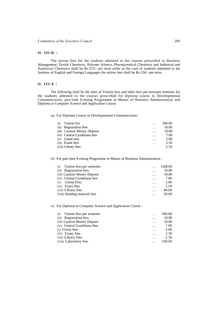### **O. 151-D :**

The tuition fees for the students admitted to the courses prescribed in Business Management, Textile Chemistry, Polymer Science, Pharmaceutical Chemistry and Industrial and Analytical Chemistry shall be Rs.375/- per term while in the case of students admitted to the Institute of English and Foreign Languages the tuition fees shall be Rs.250/- per term.

### **O. 151-E :**

The following shall be the rates of Tuition fees and other fees per term/per semester for the students admitted to the courses prescribed for diploma course in Developmental Communication, part-time Evening Programme in Master of Business Administration and Diploma in Computer Science and Application Course.

*(a)* For Diploma Course in Developmental Communication :

| Tuition fee                        |           | 300.00 |
|------------------------------------|-----------|--------|
| <b>Registration</b> fees<br>(ii)   | $\cdots$  | 10.00  |
| <i>(iii)</i> Caution Money Deposit | $\cdots$  | 10.00  |
| $(iv)$ Central Gymkhana fees       | $\ddotsc$ | 7.00   |
| Union fees<br>(v)                  | $\cdots$  | 5.00   |
| $(vi)$ Exam fees                   | $\cdots$  | 2.50   |
| <i>(vii)</i> Library fees          |           | 2.50   |

## *(b)* For part-time Evening Programme in Master of Business Administration :

| Tuition fees per semester           | .         | 1500.00 |
|-------------------------------------|-----------|---------|
| <b>Registration</b> fees<br>(ii)    | .         | 10.00   |
| (iii) Caution Money Deposit         |           | 10.00   |
| $(iv)$ Central Gymkhana fees        | $\ddotsc$ | 7.00    |
| <b>Union Fees</b>                   |           | 5.00    |
| Exam fees<br>(vi)                   | $\cdots$  | 2.50    |
| <i>(vii)</i> Library fees           |           | 40.00   |
| <i>(viii)</i> Reading material fees |           | 50.00   |

## *(c)* For Diploma in Computer Science and Application Course :

| Tuition fees per semester<br>(i)   |          | 500.00 |
|------------------------------------|----------|--------|
| <b>Registration</b> fees<br>(ii)   | $\cdots$ | 10.00  |
| <i>(iii)</i> Caution Money Deposit | $\cdots$ | 10.00  |
| $(iv)$ Central Gymkhana fees       |          | 7.00   |
| $(v)$ Union fees                   | $\cdots$ | 5.00   |
| Exam. fees<br>(vi)                 |          | 2.50   |
| <i>(vii)</i> Library fees          |          | 2.50   |
| <i>(viii)</i> Laboratory fees      | .        | 100.00 |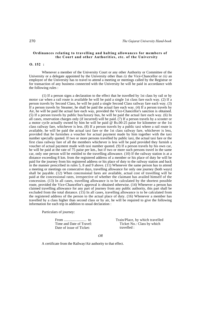### **Ordinances relating to travelling and halting allowances for members of the Court and other Authorities, etc. of the University**

## **O. 152 :**

Whenever a member of the University Court or any other Authority or Committee of the University or a delegate appointed by the University other than *(i)* the Vice-Chancellor or *(ii)* an employee of the University has to travel to attend a meeting or meetings called by the Registrar or for transaction of any business connected with the University he will be paid in accordance with the following rules :

(1) If a person signs a declaration to the effect that he travelled by 1st class by rail or by motor car when a rail route is available he will be paid a single 1st class fare each way. (2) If a person travels by Second Class, he will be paid a single Second Class railway fare each way. (3) If a person travels by Steamer, he shall be paid the actual fare each way. (4) If a person travels by Air, he will be paid the actual fare each way, provided the Vice-Chancellor's sanction is obtained. (5) If a person travels by public bus/luxury bus, he will be paid the actual fare each way. (6) In all cases, reservation charges only (if incurred) will be paid. (7) If a person travels by a scooter or a motor cycle actually owned by him he will be paid @ Rs.00-25 paise for kilometer or the 1st class railway fare, whichever is less. (8) If a person travels by a public taxi where a rail route is available, he will be paid the actual taxi fare or the 1st class railway fare, whichever is less, provided that he furnishes a voucher for actual payment made by him together with the taxi number specially quoted. If two or more persons travelled by public taxi, the actual taxi fare or the first class railway fare of all the members whichever is less will be paid provided they furnish a voucher of actual payment made with taxi number quoted. (9) If a person travels by his own car, he will be paid at the rate of 75 paise per km., but if two or more such persons travel in the same car, only one person will be entitled to the travelling allowance. (10) If the railway station is at a distance exceeding 8 km. from the registered address of a member or his place of duty he will be paid for the journey from his registered address or his place of duty to the railway station and back in the manner prescribed in rules 5, 8 and 9 above. (11) Whenever the same person has to attend a meeting or meetings on consecutive days, travelling allowance for only one journey (both ways) shall be payable. (12) When concessional fares are available, actual cost of travelling will be paid at the concessional rates, irrespective of whether the claimant has availed himself of the concession. (13) In all cases, travelling allowance is to be calculated by the shortest possible route, provided the Vice-Chancellor's approval is obtained otherwise. (14) Whenever a person has claimed travelling allowance for any part of journey from any public authority, this part shall be excluded from the total distance.  $(15)$  In all cases, travelling allowance is to be calculated from the registered address of the person to the actual place of duty. (16) Whenever a member has travelled by a class higher than second class or by air, he will be required to give the following information for each trip in addition to usual declaration :

Particulars of journey:

From ......................... to Time and Date of Travel: Date of issue of Ticket:

Train/Place, by which travelled Ticket No.: Class by which travelled :

*OR* 

A certificate from the Railway/Air authority to that effect.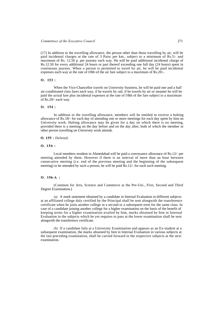(17) In addition to the travelling allowance, the person other than those travelling by air, will be paid incidental charges at the rate of 3 Paisc per km., subject to a minimum of Rs.5/- and maximum of Rs. 12.50 p. per journey each way. He will be paid additional incidental charge of Rs.12.50 for every additional 24 hours or part thereof exceeding one full day (24 hours) spent in continuous journey. When a person is permitted to travel by air, he will be paid incidental expenses each way at the rate of l/8th of the air fare subject to a maximum of Rs.20/-.

#### **O. 153 :**

When the Vice-Chancellor travels on University business, he will be paid one and a half air-conditioned class fares each way, if he travels by rail, if he travels by air or steamer he will be paid the actual fare plus incidental expenses at the rate of l/8th of the fare subject to a maximum of Rs.20/- each way.

## **O. 154 :**

In addition to the travelling allowance, members will be entitled to receive a halting allowance of Rs.18/- for each day of attending one or more meetings for each day spent by him on University work. Halting allowance may be given for a day on which there is no meeting, provided there is a meeting on the day before and on the day after, both of which the member or other person travelling on University work attends.

#### **O. 155 :** Deleted.

#### **O. 156 :**

Local members resident in Ahmedabad will be paid a conveyance allownace of Rs.12/- per meeting attended by them. However if there is an interval of more than an hour between consecutive meeting (i.e. end of the previous meeting and the beginning of the subsequent meeting) to be attended by such a person, he will be paid  $\overline{R}$ s.12/- for each such meeting.

## **O. 156-A :**

(Common for Arts, Science and Commerce at the Pre-Uni., First, Second and Third Degree Examination.)

*(a)* A mark statement obtained by a candidate in Internal Evaluation in different subjects at an affiliated college duly certified by the Principal shall be sent alongwith the transference certificate when he joins another college in a second or a subsequent term for the same class. In case of a candidate joining another college for a higher examination on the basis of the benefit of keeping terms for a higher examination availed by him, marks obtained by him in Internal Evaluation in the subjects which he yet requires to pass at the lower examination shall be sent alongwith the transference certificate.

*(b)* If a candidate fails at a University Examination and appears as an Ex-student at a subsequent examination, the marks obtained by him in Internal Evaluation in various subjects at the last preceding examination, shall be carried forward in the respective subjects at the next examination.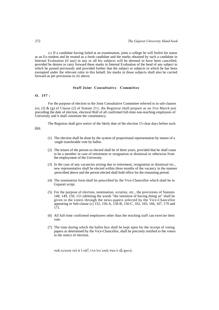*(c)* If a candidate having failed at an examination, joins a college he will forfeit his status as an Ex-student and be treated as a fresh candidate and the marks obtained by such a candidate in Internal Evaluation (if any) in any or all his subjects will be deemed to have been cancelled, provided he desires to carry forward these marks in Internal Evaluation of the head of any subject in which he passed previously and provided further that the subject or subjects in which he has been exempted under the relevant rules in this behalf, his marks in those subjects shall also be carried forward as per provisions in *(b)* above.

### **Staff Joint Consultative Committee**

#### **O. 157 :**

date.

For the purpose of election to the Joint Consultative Committee referred to in sub-clauses (e), (f) & (g) of Clause (2) of Statute 211, the Registrar shall prepare as on 31st March just preceding the dale of election, electoral Roll of all confirmed full-time non-teaching employees of University and it shall constitute the constituency.

The Registrar shall give notice of the likely date of the election 15 clear days before such

- (1) The election shall be done by the system of proportional representation by means of a single transferable vote by ballot.
- (2) The tenure of the person so elected shall be of three years, provided that he shall cease to be a member in case of retirement or resignation or dismissal or otherwise from the employment of the University.
- (3) In the case of any vacancies arising due to retirement, resignation or dismissal etc., new representative shall be elected within three months of the vacancy in the manner prescribed above and the person elected shall hold office for the remaining period.
- (4) The nomination form shall be prescribed by the Vice-Chancellor which shall be in Gujarati script.
- (5) For the purpose of election, nomination, scrutiny, etc., the provisions of Statutes 148, 149, 150, 151 (deleting the words "the intention of having doing so" shall be given to the voters through the news-papers selected by the Vice-Chancellor appearing in Sub-clause (c) 152, 156-A, 156-B, 156-C, 162, 165, 166, 167, 170 and 171.
- (6) All full-time confirmed employees other than the teaching staff can exercise their vote.
- (7) The time during which the ballot box shall be kept open for the receipt of voting papers as determined by the Vice-Chancellor, shall be precisely notified to the voters in the notice of election.

આથી ઠરાવવામાં આવે છે કે ઓર્ડિ.૧૫૭ ઉપર પ્રમાણે વંચાય તે રકીૈે સુધારવો.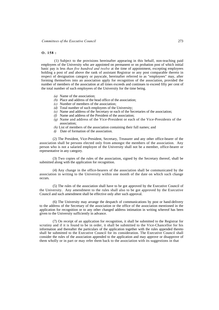### **O. 158 :**

(1) Subject to the provisions hereinafter appearing in this behalf, non-teaching paid employees of the University who are appointed on permanent or on probation post of which initial basic pay is less *than five hundred and twelve* at the time of appointment, excepting employees holding a post of and above the rank of assistant Registrar or any post comparable thereto in respect of designation category or payscale, hereinafter referred to as "employees" may, after forming themselves into an association apply for recognition of the association, provided the number of members of the association at all times exceeds and continues to exceed fifty per cent of the total number of such employees of the University for the time being.

- *(a)* Name of the association;
- *(b)* Place and address of the head office of the association;
- *(c)* Number of members of the association;
- *(d)* Total number of such employees of the University;
- *(e)* Name and address of the Secretary or each of the Secretaries of the association;
- *(f)* Name and address of the President of the association;
- *(g)* Name and address of the Vice-President or each of the Vice-Presidents of the association;
- *(h)* List of members of the association containing their full names; and
- *(i)* Date of formation of the association.

(2) The President, Vice-President, Secretary, Treasurer and any other office-bearer of the association shall be persons elected only from amongst the members of the association. Any person who is not a salaried employee of the University shall not be a member, office-bearer or representative in any category.

(3) Two copies of the rules of the association, signed by the Secretary thereof, shall be submitted along with the application for recognition.

(4) Any change in the office-bearers of the association shall be communicated by the association in writing to the University within one month of the date on which such change occurs.

(5) The rules of the association shall have to be got approved by the Executive Council of the University. Any amendment to the rules shall also to be got approved by the Executive Council and such amendment shall be effective only after such approval.

(6) The University may arrange the despatch of communications by post or hand-delivery to the address of the Secretary of the association or the office of the association mentioned in the application for recognition or to any other changed address intimation in writing whereof has been given to the University sufficiently in advance.

(7) On receipt of an application for recognition, it shall be submitted to the Registrar for scrutiny and if it is found to be in order, it shall be submitted to the Vice-Chancellor for his information and thereafter the particulars of the application together with the rules appended thereto shall be submitted to the Executive Council for its consideration. The Executive Council shall consider the rules of the association appended to the application and may approve or disapprove of them wholly or in part or may refer them back to the association with its suggestions in that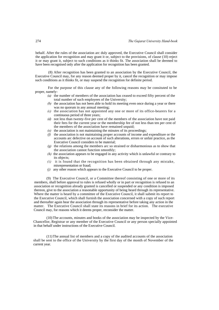behalf. After the rules of the association arc duly approved, the Executive Council shall consider the application for recognition and may grant it or, subject to the provisions, of clause (10) reject it or may grant it, subject to such conditions as it thinks fit. The association shall be deemed to have been recognised only after the application for recognition has been granted.

(8) After recognition has been granted to an association by the Executive Council, the Executive Council may, for any reason deemed proper by it, cancel the recognition or may impose such conditions as it thinks fit, or may suspend the recognition for definite period.

For the purpose of this clause any of the following reasons may be consituted to be proper, namely-

- *(a)* the number of members of the association has ceased to exceed fifty percent of the total number of such employees of the University;
- *(b)* the association has not been able to hold its meeting even once during a year or there was no quorum in any annual meeting;
- *(c)* the association has not appointed any one or more of its office-bearers for a continuous period of three years;
- *(d)* not less than twenty-five per cent of the members of the association have not paid their fees for the current year or the membership fee of not less than ten per cent of the members of the association have remained unpaid;
- *(e)* the association is not maintaining the minutes of its proceedings;
- *(f)* the association is not maintaining proper accounts of income and expenditure or the accounts arc defective on account of such alterations, errors or unfair practice, as the Executive Council considers to be material;
- *(g)* the relations among the members arc so strained or disharmonious as to show that the association cannot function smoothly;
- *(h)* the association appears to be engaged in any activity which is unlawful or contrary to its objects;
- *(i)* it is found that the recognition has been obtained through any mistake, misrepresentation or fraud;
- *(j)* any other reason which appears to the Executive Council to be proper.

(9) The Executive Council, or a Committee thereof consisting of one or more of its members, shall before approval to rules is refused wholly or in part or recognition is refused to an association or recognition already granted is cancelled or suspended or any condition is imposed thereon, give to the association a reasonable opportunity of being heard through its representative. Where the matter is heard by a committee of the Executive Council, it shall submit its report to the Executive Council, which shall furnish the association concerned with a copy of such report and thereafter again hear the association through its representative before taking any action in the matter. The Executive Council shall state its reasons in brief for its action. The executive Council may, for reasons which it deems proper, reconsider the matter.

(10) The accounts, minutes and books of the association may be inspected by the Vice-Chancellor, Registrar or any member of the Executive Council or any person specially appointed in that behalf under instructions of the Executive Council.

(11) The annual list of members and a copy of the audited accounts of the association shall be sent to the office of the University by the first day of the month of November of the current year.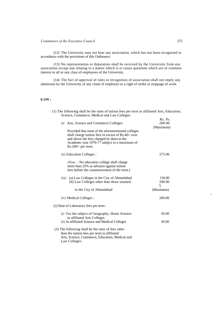(12) The University may not hear any association, which has not been recognised in accordance with the provisions of this Ordinance.

(13) No representation or deputation shall be received by the University from any association except one relating to a matter which is or raises questions which are of common interest to all or any class of employees of the University.

(14) The fact of approval of rules or recognition of association shall not imply any admission by the University of any claim of employee to a right of strike or stoppage of work.

# **0.159 :**

| (1) The following shall be the rates of tuition fees per term in affiliated Arts, Education,<br>Science, Commerce, Medical and Law Colleges:                                                                                   |                                |
|--------------------------------------------------------------------------------------------------------------------------------------------------------------------------------------------------------------------------------|--------------------------------|
| Arts, Science and Commerce Colleges:<br>(i)                                                                                                                                                                                    | Rs. Ps.<br>200.00<br>(Maximum) |
| Provided that none of the aforementioned colleges<br>shall charge tuition fees in excess of Rs.40/- over<br>and above the fees charged by them in the<br>Academic year 1976-77 subject to a maximum of<br>$Rs.200/-$ per term. |                                |
| (ii) Education Colleges :                                                                                                                                                                                                      | 275.00                         |
| (Note. - No education college shall charge<br>more than 25% as advance against tuition<br>fees before the commencement of the term.)                                                                                           |                                |
| (a) Law Colleges in the City of Ahmedabad<br>(iii)<br>(b) Law Colleges other than those situated                                                                                                                               | 150.00<br>200.00<br>5          |
| in the City of Ahmedabad                                                                                                                                                                                                       | (Maximum)                      |
| $(iv)$ Medical Colleges :                                                                                                                                                                                                      | 200.00                         |
| (2) Rate of Laboratory fees per term :                                                                                                                                                                                         |                                |
| $(i)$ For the subject of Geography, Home Science<br>in affiliated Arts Colleges                                                                                                                                                | 50.00                          |
| <i>(ii)</i> In affiliated Science and Medical Colleges                                                                                                                                                                         | 50.00                          |
| (3) The following shall be the rates of fees other<br>than the tuition fees per term in affiliated<br>Arts, Science, Commerce, Education, Medical and<br>Law Colleges:                                                         |                                |

*i*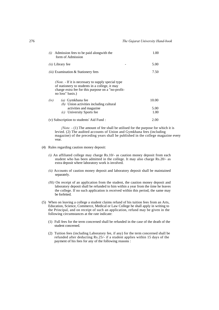| (i)<br>form of Admission                 | Admission fees to be paid alongwith the                                                                                                                    | 1.00         |
|------------------------------------------|------------------------------------------------------------------------------------------------------------------------------------------------------------|--------------|
| (ii) Library fee                         |                                                                                                                                                            | 5.00         |
|                                          | <i>(iii)</i> Examination & Stationery fees                                                                                                                 | 7.50         |
| no loss" basis.)                         | (Note. - If it is necessary to supply special type<br>of stationery to students in a college, it may<br>charge extra fee for this purpose on a "no-profit- |              |
| (iv)                                     | (a) Gymkhana fee<br>(b) Union activities including cultural                                                                                                | 10.00        |
| (c)                                      | activities and magazine.<br>University Sports fee                                                                                                          | 5.00<br>1.00 |
| (v) Subscription to students' Aid Fund : |                                                                                                                                                            | 2.00         |

*{Note. -* (1) The amount of fee shall be utilised for the purpose for which it is levied. (2) The audited accounts of Union and Gymkhana fees (including magazine) of the preceding years shall be published in the college magazine every vear.

- (4) Rules regarding caution money deposit:
	- *(i)* An affiliated college may charge Rs.10/- as caution money deposit from each student who has been admitted in the college. It may also charge Rs.20/- as extra deposit where laboratory work is involved.
	- *(ii)* Accounts of caution money deposit and laboratory deposit shall be maintained separately.
	- *(Hi)* On receipt of an application from the student, the caution money deposit and laboratory deposit shall be refunded to him within a year from the time he leaves the college. If no such application is received within this period, the same may be forfeited.
- (5) When on leaving a college a student claims refund of his tuition fees from an Arts, Education, Science, Commerce, Medical or Law College he shall apply in writing to the Principal, and on receipt of such an application, refund may be given in the following circumstances at the rate indicate:
	- (1) Full fees for the term concerned shall be refunded in the case of the death of the student concerned.
	- (2) Tuition fees (including Laboratory fee, if any) for the term concerned shall be refunded after deducting Rs.25/- if a student applies within 15 days of the payment of his fees for any of the following reasons :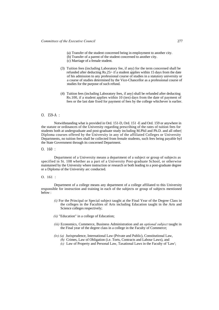- (a) Transfer of the student concerned being in employment to another city. (b) Transfer of a parent of the student concerned to another city.
- (c) Marriage of a female student.
- (3) Tuition fees (including Laboratory fee, if any) for the term concerned shall be refunded after deducting Rs.25/- if a student applies within 15 days from the date of his admission to any professional course of studies in a statutory university or a course of studies determined by the Vice-Chancellor as a professional course of studies for the purpose of such refund.
- (4) Tuition fees (including Laboratory fees, if any) shall be refunded after deducting Rs.100, if a student applies within 10 (ten) days from the date of payment of fees or the last date fixed for payment of fees by the college whichever is earlier.

# O. I59-A :

Notwithstanding what is provided in Ord. 151-D, Ord. 151 -E and Ord. 159 or anywhere in the statute or ordinances of the University regarding prescribing of the rates of tuition fees for students both at undergraduate and post-graduate study including M.Phil and Ph.D. and all other| Diploma courses offered by the University in any of the affiliated Colleges or University Departments, no tuition fees shall be collected from female students, such fees being payable byI the State Government through its concerned Department.

O. 160 :

Department of a University means a department of a subject or group of subjects as specified in St. 108 whether as a part of a University Post-graduate School, or otherwise maintained by the University where instruction or research or both leading to a post-graduate degree or a Diploma of the University arc conducted.

### O. 161 :

Department of a college means any department of a college affiliated to this University responsible for instruction and training in each of the subjects or group of subjects mentioned below :

- *(i)* For the Principal or Special subject taught at the Final Year of the Degree Class in the colleges in the Faculties of Arts including Education taught in the Arts and Science colleges respectively;
- *(ii)* "Education" in a college of Education;
- *(iii)* Economics, Commerce, Business Administration and an *optional subject* taught in the Final year of the degree class in a college in the Faculty of Commerce;
- *(iv) (a)* Jurisprudence, International Law (Private and Public), Constitutional Law,
	- *(b)* Crimes, Law of Obligation (i.e. Torts, Contracts and Labour Laws), and
	- *(c)* Law of Property and Personal Law, Taxational Laws in the Faculty of 'Law';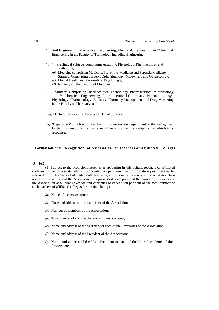- *(v)* Civil Engineering, Mechanical Engineering, Electrical Engineering and Chemical Engineering in the Faculty of Technology including Engineering;
- *(vi) (a)* Preclinical subjects comprising Anatomy, Physiology, Pharmacology and Pathology;
	- *(b)* Medicine comprising Medicine, Preventive Medicine and Forensic Medicine, Surgery, Comprising Surgery, Ophthalmology, Midewifery and Gynaecology;
	- *(c)* Mental Health and Paramedical Psychology;
	- *(d)* Nursing in the Faculty of Medicine;
- *(vii)* Pharmacy, Comprising Pharmaceutical Technology, Pharmaceutical Microbiology and Biochemical Engineering, Pharmaceutical Chemistry, Pharmacognosy, Physiology, Pharmacology, Bioassay, Pharmacy Management and Drug Marketing in the Faculty of Pharmacy; and
- *(viii)* Dental Surgery in the Faculty of Dental Surgery.
- *(ix)* "Department" of a Recognised Institution means any department of the Recognised Institution responsible for research in a subject or subjects for which it is recognised.

## **Formation and Recognition of Association of Teachers of Affiliated Colleges**

#### **O. 162 :**

(1) Subject to the provisions hereinafter appearing in this behalf, teachers of affiliated colleges of the University who arc appointed on permanent or on probation post, hereinafter referred to as "Teachers of affiliated colleges" may, after forming themselves into an Association apply for recognition of the Association in a prescribed form provided the number of members of the Association at all times exceeds and continues to exceed ten per cent of the total number of such teachers of affiliated colleges for the time being :

- *(a)* Name of the Association;
- *(b)* Place and address of the head office of the Association;
- *(c)* Number of members of the Association;
- *(d)* Total number of such teachers of affiliated colleges;
- *(e)* Name and address of the Secretary or each of the Secretaries of the Association;
- *(f)* Name and address of the President of the Association;
- *(g)* Name and address of the Vice-President or each of the Vice-Presidents of the Association;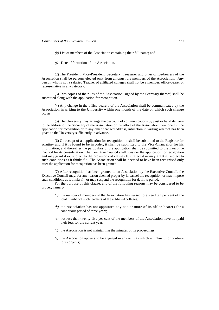- *(h)* List of members of the Association containing their full name; and
- *(i)* Date of formation of the Association.

(2) The President, Vice-President, Secretary, Treasurer and other office-bearers of the Association shall be persons elected only from amongst the members of the Association. Any person who is not a salaried Teacher of affiliated colleges shall not be a member, office-bearer or representative in any category.

(3) Two copies of the rules of the Association, signed by the Secretary thereof, shall be submitted along with the application for recognition.

(4) Any change in the office-bearers of the Association shall be communicated by the Association in writing to the University within one month of the date on which such change occurs.

(5) The University may arrange the despatch of communications by post or hand delivery to the address of the Secretary of the Association or the office of the Association mentioned in the application for recognition or to any other changed address, intimation in writing whereof has been given to the University sufficiently in advance.

(6) On receipt of an application for recognition, it shall be submitted to the Registrar for scrutiny and if it is found to be in order, it shall be submitted to the Vice-Chancellor for his information, and thereafter the particulars of the application shall be submitted to the Executive Council for its consideration. The Executive Council shall consider the application for recognition and may grant it or, subject to the provisions of clause (10), reject it or may grant it, subject to such conditions as it thinks fit. The Association shall be deemed to have been recognised only after the application for recognition has been granted.

(7) After recognition has been granted to an Association by the Executive Council, the Executive Council may, for any reason deemed proper by it, cancel the recognition or may impose such conditions as it thinks fit, or may suspend the recognition for definite period.

For the purpose of this clause, any of the following reasons may be considered to be proper, namely-

- *(a)* the number of members of the Association has ceased to exceed ten per cent of the total number of such teachers of the affiliated colleges;
- *(b)* the Association has not appointed any one or more of its office-bearers for a continuous period of three years;
- *(c)* not less than twenty-five per cent of the members of the Association have not paid their fees for the current year;
- *(d)* the Association is not maintaining the minutes of its proceedings;
- *(e)* the Association appears to be engaged in any activity which is unlawful or contrary to its objects;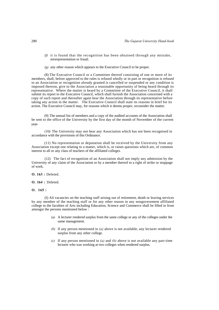- *(f)* it is found that the recognition has been obtained through any mistake, misrepresentation or fraud;
- *(g)* any other reason which appears to the Executive Council to be proper.

(8) The Executive Council or a Committee thereof consisting of one or more of its members, shall, before approved to the rules is refused wholly or in part or recognition is refused to an Association or recognition already granted is cancelled or suspended or any condition is imposed thereon, give to the Association a reasonable opportunity of being heard through its representative. Where the matter is heard by a Committee of the Executive Council, it shall submit its report to the Executive Council, which shall furnish the Association concerned with a copy of such report and thereafter again hear the Association through its representative before taking any action in the matter. The Executive Council shall state its reasons in brief for its action. The Executive Council may, for reasons which it deems proper, reconsider the matter.

(9) The annual list of members and a copy of the audited accounts of the Association shall be sent to the office of the University by the first day of the month of November of the current year-

*(10)* The University may not hear any Association which has not been recognised in accordance with the provisions of this Ordinance.

(11) No representation or deputation shall be received by the University from any Association except one relating to a matter, which is, or raises questions which are, of common interest to all or any class of teachers of the affiliated colleges.

(12) The fact of recognition of an Association shall not imply any admission by the University of any claim of the Association or by a member thereof to a right of strike or stoppage of work.

**O. 163 :** Deleted.

**O. 164 :** Deleted.

**O. 165 :**

(I) Ail vacancies on the teaching staff arising out of retirement, death or leaving services by any member of the teaching staff or for any other reason in any nongovernment affiliated college in the faculties of Arts including Education, Science and Commerce shall be filled in from amongst the persons mentioned below :

- *(a)* A lecturer rendered surplus from the same college or any of the colleges under the same management.
- *(b)* If any person mentioned in *(a)* above is not available, any lecturer rendered surplus from any other college.
- *(c)* If any person mentioned in *(a)* and *(b)* above is not available any part-time lecturer who was working at two colleges when rendered surplus.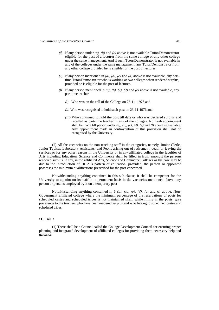- *(d)* If any person under *(a), (b)* and *(c)* above is not available Tutor/Demonstrator eligible for the post of a lecturer from the same college or any other college under the same management. And if such Tutor/Demonstrator is not available in any of the colleges under the same management, any Tutor/Demonstrator from any other college provided he is eligible for the post of lecturer.
- *(e)* If any person mentioned in *(a), (b), (c)* and *(d)* above is not available, any parttime Tutor/Demonstrator who is working at two colleges when rendered surplus, provided he is eligible for the post of lecturer.
- *(f)* If any person mentioned in *(a), (b), (c), (d)* and *(e)* above is not available, any part-time teacher
	- *(i)* Who was on the roll of the College on 23-11 -1976 and
	- *(ii)* Who was recognised to hold such post on 23-11-1976 and
	- *(iii)* Who continued to hold the post till dale or who was declared surplus and recalled as part-time teacher in any of the colleges. No fresh appointment shall be made till person under *(a), (b), (c), (d), (e)* and *(f)* above is available. Any appointment made in contravention of this provision shall not be recognised by the University.

(2) All the vacancies on the non-teaching staff in the categories, namely, Junior Clerks, Junior Typists, Laboratory Assistants, and Peons arising out of retirement, death or leaving the services or for any other reasons in the University or in any affiliated college in the faculties of Arts including Education, Science and Commerce shall be filled in from amongst the persons rendered surplus, if any, in the affiliated Arts, Science and Commerce Colleges as the case may be due to the introduction of  $10+2+3$  pattern of education, provided, the person so appointed possesses the minimum qualifications prescribed for the post concerned.

Notwithstanding anything contained in this sub-clause, it shall be competent for the University to appoint on its staff on a permanent basis in the vacancies mentioned above, any person or persons employed by it on a temporary post

Notwithstanding anything contained in 1 *(a), (b), (c), (d), (e)* and *(f)* above, Non-Government affiliated college where the minimum percentage of the reservations of posts for scheduled castes and scheduled tribes is not maintained shall, while filling in the posts, give preference to the teachers who have been rendered surplus and who belong to scheduled castes and scheduled tribes.

## **O. 166 :**

(1) There shall be a Council called the College Development Council for ensuring proper planning and integrated development of affiliated colleges for providing them necessary help and guidance.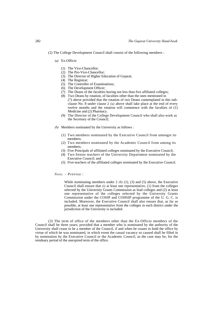- *(a)* Ex-Officio
	- (1) The Vice-Chancellor;
	- (2) The Pro-Vice-Chancellor;
	- (3) The Director of Higher Education of Gujarat;
	- (4) The Registrar;
	- (5) The Controller of Examinations;
	- (6) The Development Officer;
	- (7) The Deans of the faculties having not less than five affiliated colleges;
	- (8) Two Deans by rotation, of faculties other than the ones mentioned in (7) above provided that the rotation of two Deans contemplated in this subclause No. 8 under clause 2 *(a)* above shall lake place at the end of every twelve months and the rotation will commence with the faculties of (1) Medicine and (2) Pharmacy.
	- (9) The Director of the College Development Council who shall also work as the Secretary of the Council;
- *(b)* Members nominated by the University as follows :
	- (1) Two members nominated by the Executive Council from amongst its members;
	- (2) Two members nominated by the Academic Council from among its members;
	- (3) Five Principals of affiliated colleges nominated by the Executive Council;
	- (4) Two Senior teachers of the University Department nominated by the Executive Council; and
	- (5) Five teachers of the affiliated colleges nominated by the Executive Council.

#### *Note.* - Proviso :

While nominating members under  $2 (b) (1)$ ,  $(3)$  and  $(5)$  above, the Executive Council shall ensure that *(i)* at least one representative, (1) from the colleges selected by the University Grants Commission as lead colleges and (2) at least one representative of the colleges selected by the University Grants Commission under the COSIP and COHSIP programme of the U. G. C. is included. Moreover, the Executive Council shall also ensure that, as far as possible, at least one representative from the colleges in each district under the jurisdiction of the University is included.

(3) The term of office of the members other than the Ex-Officio members of the Council shall be three years; provided that a member who is nominated by the authority of the University shall cease to be a member of the Council, if and when he ceases to hold the office by virtue of which he was nominated, in which event the casual vacancy so caused shall be filled in by nomination by the Executive Council or the Academic Council, as the case may be, for the residuary period of the unexpired term of the office.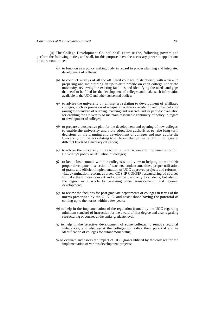(4) The College Development Council shall exercise the, following powers and perform the following duties, and shall, for this purpose, have the necessary power to appoint one or more committees:

- *(a)* to function as a policy making body in regard to proper planning and integrated development of colleges;
- *(b)* to conduct surveys of all the affiliated colleges, districtwise, with a view to preparing and maintaining an up-to-date profile on each college under the university, reviewing the existing facilities and identifying the needs and gaps that need to be filled for the development of colleges and make such information available to the UGC and other concerned bodies;
- *(c)* to advise the university on all matters relating to development of affiliated colleges, such as provision of adequate facilities - academic and physical - for raising the standard of learning, teaching and research and its periodic evaluation for enabling the University to maintain reasonable continuity of policy in regard to development of colleges;
- *(d)* to prepare a perspective plan for the development and opening of new colleges, to enable the university and state education authorities to take long term decisions on the planning and development of colleges and may advise the University on matters relating to different disciplines taught in colleges at different levels of University education;
- *(e)* to advise the university in regard to rationalisation and implementation of University's policy on affiliation of colleges;
- *(f)* to keep close contact with the colleges with a view to helping them in their proper development, selection of teachers, student amenities, proper utilisation of grants and efficient implementation of UGC approved projects and reforms, viz., examination reform, courses, COS IP COHSIP restructuring of courses to make them more relevant and significant not only to students, but also to the region as a whole by assessing social transformation and regional development;
- *(g)* to review the facilities for post-graduate departments of colleges in terms of the norms prescribed by the U. G. C. and assist those having the potential of coming up to the norms within a few years;
- *(h)* to help in the implementation of the regulation framed by the UGC regarding minimum standard of instruction for the award of first degree and also regarding restructuring of courses at the under-graduate level;

*i*

- *(i)* to help in the selective development of some colleges to remove regional imbalances; and also assist the colleges to realise their potential and in identification of colleges for autonomous status;
- *(j)* to evaluate and assess the impact of UGC grants utilised by the colleges for the implementation of various development projects;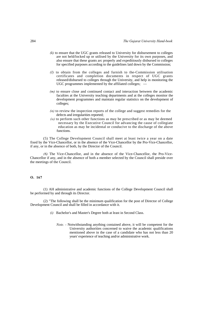- *(k)* to ensure that the UGC grants released to University for disbursement to colleges are not held/locked up or utilised by the University for its own purposes, and also ensure that these grants arc properly and expeditiously disbursed to colleges for specified purposes according to the guidelines laid down by the Commission;
- *(I)* to obtain from the colleges and furnish to the-Commission utilisation certificates and completion documents in respect of UGC grants released/disbursed to colleges through the University, and help in monitoring the UGC programmes implemented by the affiliated colleges; -
- *(m)* to ensure close and continued contact and interaction between the academic faculties at the University teaching departments and at the colleges monitor the development programmes and maintain regular statistics on the development of colleges;
- *(n)* to review the inspection reports of the college and suggest remedies for the defects and irregularities reported;
- *(o)* to perform such other functions as may be prescribed or as may be deemed necessary by the Executive Council for advancing the cause of collegiate education as may be incidental or conducive to the discharge of the above functions.

(5) The College Development Council shall meet at least twice a year on a date fixed by the Vice-Chancellor, or in the absence of the Vice-Chancellor by the Pro-Vice-Chancellor, if any, or in the absence of both, by the Director of the Council.

*(6)* The Vice-Chancellor, and in the absence of the Vice-Chancellor, the Pro-Vice-Chancellor if any, and in the absence of both a member selected by the Council shall preside over the meetings of the Council.

#### **O. 167**

(1) AH administrative and academic functions of the College Development Council shall be performed by and through its Director.

(2) "The following shall be the minimum qualification for the post of Director of College Development Council and shall be filled in accordance with it.

- *(i)* Bachelor's and Master's Degree both at least in Second Class.
	- *Note.* Notwithstanding anything contained above, it will be competent for the University authorities concerned to waive the academic qualifications mentioned above in the case of a candidate who has not less than 20 years' experience of teaching and/or administrative work.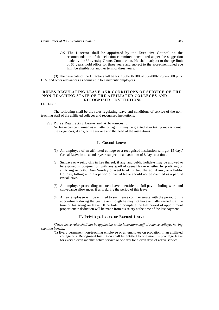*(ii)* The Director shall be appointed by the Executive Council on the recommendation of the selection committee constituted as per the suggestion made by the University Grants Commission. He shall, subject to the age limit of 65 years, hold office for three years and subject to the afore-mentioned age limit be eligible for another term of three years.

(3) The pay-scale of the Director shall be Rs. 1500-60-1800-100-2000-125/2-2500 plus D.A. and other allowances as admissible to University employees.

#### **RULES REGULATING LEAVE AND CONDITIONS OF SERVICE OF THE NON-TEACHING STAFF OF THE AFFILIATED COLLEGES AND RECOGNISED INSTITUTIONS**

# **O. 168 :**

The following shall be the rules regulating leave and conditions of service of the nonteaching staff of the affiliated colleges and recognised institutions:

*(a)* Rules Regulating Leave and Allowances : No leave can be claimed as a matter of right, it may be granted after taking into account the exigencies, if any, of the service and the need of the institutions.

### **I. Casual Leave**

- (1) An employee of an affiliated college or a recognised institution will get 15 days' Casual Leave in a calendar year, subject to a maximum of 8 days at a time.
- (2) Sundays or weekly offs in lieu thereof, if any, and public holidays may be allowed to be enjoyed in conjunction with any spell of casual leave whether by prefixing or suffixing or both. Any Sunday or weekly off in lieu thereof if any, or a Public Holiday, falling within a period of casual leave should not be counted as a part of casual leave.
- (3) An employee proceeding on such leave is entitled to full pay including work and conveyance allowances, if any, during the period of this leave.
- (4) A new employee will be entitled to such leave commensurate with the period of his appointment during the year, even though he may not have actually earned it at the time of his going on leave. If he fails to complete the full period of appointment proportionate deduction will be made from his salary at the time of the last payment.

#### **II. Privilege Leave or Earned Leave**

*[These leave rules shall not be applicable to the laboratory staff of science colleges having vacation benefit.]*

(1) Every permanent non-teaching employee or an employee on probation in an affiliated college or a Recognised Institution shall be entitled to one month's privilege leave for every eleven months' active service or one day for eleven days of active service.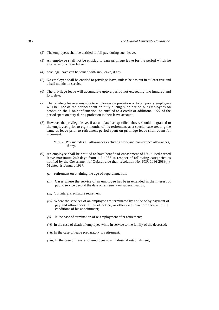- (2) The employees shall be entitled to full pay during such leave.
- (3) An employee shall not be entitled to earn privilege leave for the period which he enjoys as privilege leave.
- (4) privilege leave can be joined with sick leave, if any.
- (5) No employee shall be entitled to privilege leave, unless he has put in at least five and a half months in service.
- (6) The privilege leave will accumulate upto a period not exceeding two hundred and forty days.
- (7) The privilege leave admissible to employees on probation or to temporary employees will be  $1/22$  of the period spent on duty during such period but employees on probation shall, on confirmation, be entitled to a credit of additional 1/22 of the period spent on duty during probation in their leave account.
- (8) However the privilege leave, if accumulated as specified above, should be granted to the employee, prior to eight months of his retirement, as a special case treating the same as leave prior to retirement period spent on privilege leave shall count for increment.

*Note.* - Pay includes all allowances excluding work and conveyance allowances, if any.

- (9) An employee shall be entitled to have benefit of encashment of Unutilised earned leave maximum 240 days from 1-7-1986 in respect of following categories as notified by the Government of Gujarat vide their resolution No. PCR-1086-2083(4)- M dated 1st January 1987.
	- *(i)* retirement on attaining the age of superannuation.
	- *(ii)* Cases where the service of an employee has been extended in the interest of public service beyond the date of retirement on superannuation;
	- *(iii)* Voluntary/Pre-mature retirement;
	- *(iv)* Where the services of an employee are terminated by notice or by payment of pay and allowances in lieu of notice, or otherwise in accordance with the conditions of his appointment;
	- $(v)$  In the case of termination of re-employment after retirement;
	- *(vi)* In the case of death of employee while in service to the family of the deceased;
	- *(vii)* In the case of leave preparatory to retirement;
	- *(viii)* In the case of transfer of employee to an industrial establishment;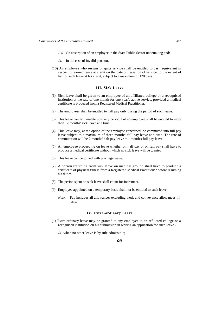- *(ix)* On absorption of an employee in the State Public Sector undertaking and;
- $(x)$  In the case of invalid pension.
- (10) An employee who resigns or quits service shall be entitled to cash equivalent in respect of earned leave at credit on the date of cessation of service, to the extent of half of such leave at his credit, subject to a maximum of 120 days.

### **III. Sick Leave**

- (1) Sick leave shall be given to an employee of an affiliated college or a recognised institution at the rate of one month for one year's active service, provided a medical certificate is produced from a Registered Medical Practitioner.
- (2) The employees shall be entitled to half pay only during the period of such leave.
- (3) This leave can accumulate upto any period, but no employee shall be entitled to more than 12 months' sick leave at a time.
- (4) This leave may, at the option of the employee concerned, be commuted into full pay leave subject to a maximum of three months' full pay leave at a time. The rate of commutation will be 2 months' half pay leave  $= 1$  month's full pay leave.
- (5) An employee proceeding on leave whether on half pay or on full pay shall have to produce a medical certificate without which no sick leave will be granted.
- (6) This leave can be joined with privilege leave.
- (7) A person returning from sick leave on medical ground shall have to produce a certificate of physical fitness from a Registered Medical Practitioner before resuming his duties.
- (8) The period spent on sick leave shall count for increment.
- (9) Employee appointed on a temporary basis shall not be entitled to such leave.
	- *Note.* Pay includes all allowances excluding work and conveyance allowances, if any.

### **IV. Extra-ordinary Leave**

(1) Extra-ordinary leave may be granted to any employee in an affiliated college or a recognised institution on his submission in writing an application for such leave -

*(a)* when no other leave is by rule admissible;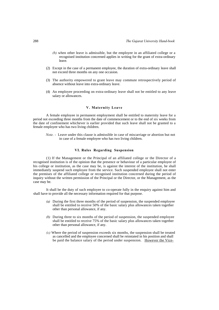- *(b)* when other leave is admissible, but the employee in an affiliated college or a recognised institution concerned applies in writing for the grant of extra-ordinary leave.
- (2) Except in the case of a permanent employee, the duration of extra-ordinary leave shall not exceed three months on any one occasion.
- (3) The authority empowered to grant leave may commute retrospectively period of absence without leave into extra-ordinary leave.
- (4) An employee proceeding on extra-ordinary leave shall not be entitled to any leave salary or allowances.

## **V. Maternity Leave**

A female employee in permanent employment shall be entitled to maternity leave for a period not exceeding three months from the date of commencement or to the end of six weeks from the date of confinement whichever is earlier provided that such leave shall not be granted to a female employee who has two living children.

*Note. -* Leave under this clause is admissible in case of miscarriage or abortion but not in case of a female employee who has two living children.

#### **VI. Rules Regarding Suspension**

(1) If the Management or the Principal of an affiliated college or the Director of a recognised institution is of the opinion that the presence or behaviour of a particular employee of his college or institution, as the case may be, is against the interest of the institution, he shall immediately suspend such employee from the service. Such suspended employee shall not enter the premises of the affiliated college or recognised institution concerned during the period of inquiry without the written permission of the Principal or the Director, or the Management, as the case may be.

It shall be the duty of such employee to co-operate fully in the enquiry against him and shall have to provide all the necessary information required for that purpose.

- *(a)* During the first three months of the period of suspension, the suspended employee shall be entitled to receive 50% of the basic salary plus allowances taken together other than personal allowance, if any.
- *(b)* During three to six months of the period of suspension, the suspended employee shall be entitled to receive 75% of the basic salary plus allowances taken together other than personal allowance, if any.
- *(c)* Where the period of suspension exceeds six months, the suspension shall be treated as cancelled and the employee concerned shall be reinstated in his position and shall be paid the balance salary of the period under suspension. However the Vice-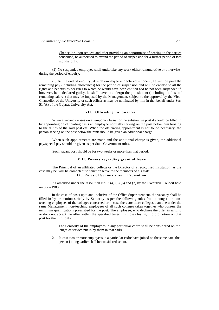Chancellor upon request and after providing an opportunity of hearing to the parties concerned, be authorised to extend the period of suspension for a further period of two months only.

(2) No suspended employee shall undertake any work either remunerative or otherwise during the period of enquiry.

(3) At the end of enquiry, if such employee is declared innocent, he will be paid the remaining pay (including allowances) for the period of suspension and will be entitled to all the rights and benefits as per rules to which he would have been entitled had he not been suspended if, however, he is declared guilty, he shall have to undergo the punishment (including the loss of remaining salary ) that may be imposed by the Management, subject to the approval by the Vice-Chancellor of the University or such officer as may be nominated by him in that behalf under Sec. 51 (A) of the Gujarat University Act.

#### **VII. Officiating Allowances**

When a vacancy arises on a temporary basis for the substantive post it should be filled in by appointing on officiating basis an employee normally serving on the post below him looking to the duties of the said post etc. When the officiating appointment is not found necessary, the person serving on the post below the rank should be given an additional charge.

When such appointments are made and the additional charge is given, the additional pay/special pay should be given as per State Government rules.

Such vacant post should be for two weeks or more than that period.

### **VIII. Powers regarding grant of leave**

The Principal of an affiliated college or the Director of a recognised institution, as the case may be, will be competent to sanction leave to the members of his staff. **IX. Rules of Seniority and Promotion** 

As amended under the resolution No. 2 (4) (5) (6) and (7) by the Executive Council held on 30-7-1983.

In the case of posts upto and inclusive of the Office Superintendent, the vacancy shall be filled in by promotion strictly by Seniority as per the following rules from amongst the nonteaching employees of the colleges concerned or in case there arc more colleges than one under the same Management, non-teaching employees of all such colleges taken together who possess the minimum qualifications prescribed for the post. The employee, who declines the offer in writing or docs not accept the offer within the specified time-limit, loses his right to promotion on that post for that turn only.

- 1. The Seniority of the employees in any particular cadre shall be considered on the length of service put in by them in that cadre.
- 2. In case two or more employees in a particular cadre have joined on the same date, the person joining earlier shall be considered senior.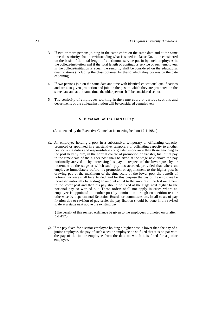- 3. If two or more persons joining in the same cadre on the same date and at the same time the seniority shall notwithstanding what is stated in clause No. 1, be considered on the basis of the total length of continuous service put in by such employees in the college/institution and if the total length of continuous service of such employees in the college/institution is equal, the seniority shall be considered on the educational qualifications (including the class obtained by them) which they possess on the date of joining.
- 4. If two persons join on the same date and time with identical educational qualifications and are also given promotion and join on the post to which they are promoted on the same date and at the same time, the older person shall be considered senior.
- 5. The seniority of employees working in the same cadre at various sections and departments of the college/institution will be considered cumulatively.

## **X. Fixation of the Initial Pay**

(As amended by the Executive Council at its meeting held on 12-1-1984.)

*(a)* An employee holding a post in a substantive, temporary or officiating capacity promoted or appointed in a substantive, temporary or officiating capacity to another post carrying duties and responsibilities of greater importance than those attaching to the post held by him, in the normal course of promotion or transfer, his initial pay in the time-scale of the higher post shall be fixed at the stage next above the pay notionally arrived at by increasing his pay in respect of the lower post by or increment at the stage at which such pay has accrued, provided that where an employee immediately before his promotion or appointment to the higher post is drawing pay at the maximum of the time-scale of the lower post the benefit of notional increase shall be extended, and for this purpose the pay of the employee be increased notionally by adding an amount equal to the amount of the last increment in the lower post and then his pay should be fixed at the stage next higher to the notional pay so worked out. These orders shall not apply in cases where an employee is appointed to another post by nomination through competition test or otherwise by departmental Selection Boards or committees etc. In all cases of pay fixation due to revision of pay scale, the pay fixation should be done in the revised scale at a stage next above the existing pay.

(The benefit of this revised ordinance be given to the employees promoted on or after 1-1-1973.)

*(b)* If the pay fixed for a senior employee holding a higher post is lower than the pay of a junior employee, the pay of such a senior employee be so fixed that it is on par with the pay of the junior employee from the date on which it is fixed for a junior employee.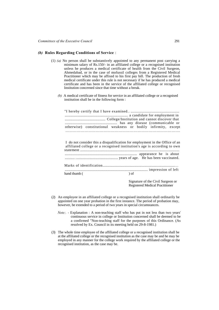# *(b)* **Rules Regarding Conditions of Service** :

- (1) *(a)* No person shall be substantively appointed to any permanent post carrying a minimum salary of Rs.150/- in an affiliated college or a recognised institution unless he produces a medical certificate of health from the Civil Surgeon, Ahmedabad, or in the case of mofussil colleges from a Registered Medical Practitioner which may be affixed to his first pay bill. The production of fresh medical certificate under this rule is not necessary if he has produced a medical certificate and has been in the service of the affiliated college or recognised Institution concerned since that time without a break.
	- *(b)* A medical certificate of fitness for service in an affiliated college or a recognised institution shall be in the following form :

|              | otherwise) constitutional weakness or bodily infirmity, except               |           |                                        |  |
|--------------|------------------------------------------------------------------------------|-----------|----------------------------------------|--|
|              |                                                                              |           |                                        |  |
|              |                                                                              |           |                                        |  |
|              |                                                                              |           |                                        |  |
|              | I do not consider this a disqualification for employment in the Office of an |           |                                        |  |
|              | affiliated college or a recognised institution's age is according to own     |           |                                        |  |
|              |                                                                              |           |                                        |  |
|              |                                                                              |           |                                        |  |
|              |                                                                              |           |                                        |  |
|              |                                                                              |           |                                        |  |
|              |                                                                              |           |                                        |  |
|              |                                                                              |           |                                        |  |
|              |                                                                              |           |                                        |  |
|              |                                                                              |           |                                        |  |
| hand thumb ( |                                                                              | $\int$ of |                                        |  |
|              |                                                                              |           |                                        |  |
|              |                                                                              |           | Signature of the Civil Surgeon or      |  |
|              |                                                                              |           | <b>Registered Medical Practitioner</b> |  |

- (2) An employee in an affiliated college or a recognised institution shall ordinarily be appointed on one year probation in the first instance. The period of probation may, however, be extended to a period of two years in special circumstances.
	- *Note:.* Explanation : A non-teaching staff who has put in not less than two years' continuous service in college or Institution concerned shall be deemed to be a confirmed "Non-teaching staff for the purposes of this Ordinance. (As resolved by Ex. Council in its meeting held on 29-8-1981.)
- (3) The whole time employee of the affiliated college or a recognised institution shall be at the affiliated college or the recognised institution as the case may be and he may be employed in any manner for the college work required by the affiliated college or the recognised institution, as the case may be.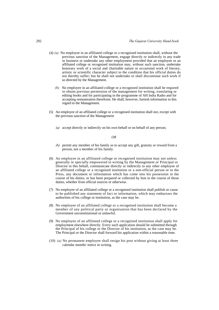- (4) *(a)* No employee in an affiliated college or a recognised institution shall, without the previous sanction of the Management, engage directly or indirectly in any trade or business or undertake any other employment provided that an employee or an affiliated college or recognised institution may, without such sanction, undertake honorary work of a social and charitable nature or occasional work of literary, artistic or scientific character subject to the condition that his official duties do not thereby suffer; but he shall not undertake or shall discontinue such work if so directed by the Management.
	- *(b)* No employee in an affiliated college or a recognised institution shall be required to obtain previous permission of the management for writing, translating or editing books and for participating in the programme of AH India Radio and for accepting remuneration therefrom. He shall, however, furnish information in this regard to the Management.
- (5) An employee of an affiliated college or a recognised institution shall not, except with the previous sanction of the Management
	- *(a)* accept directly or indirectly on his own behalf or on behalf of any person;

### *OR*

- *(b)* permit any member of his family so to accept any gift, gratuity or reward from a person, not a member of his family.
- (6) An employee in an affiliated college or recognised institution may not unless generally or specially empowered in writing by the Management or Principal or Director in this behalf, communicate directly or indirectly to any other employee of an affiliated college or a recognised institution or a non-official person or to the Press, any document or information which has come into his possession in the course of his duties, or has been prepared or collected by him in the course of those duties, whether from official sources or otherwise.
- (7) No employee of an affiliated college or a recognised institution shall publish or cause to be published any statement of fact or information, which may embarrass the authorities of his college or institution, as the case may be.
- (8) No employee of an affiliated college or a recognised institution shall become a member of any political party or organisation that has been declared by the Government unconstitutional or unlawful.
- (9) No employee of an affiliated college or a recognised institution shall apply for employment elsewhere directly. Every such application should be submitted through the Principal of his college or the Director of his institution, as the case may be. The Principal or the Director shall forward his application within a reasonable time.
- (10) *(a)* No permanent employee shall resign his post without giving at least three calendar months' notice in writing.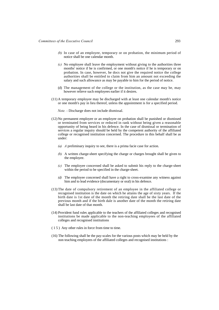- *(b)* In case of an employee, temporary or on probation, the minimum period of notice shall be one calendar month.
- *(c)* No employee shall leave the employment without giving to the authorities three months' notice if he is confirmed, or one month's notice if he is temporary or on probation. In case, however, he docs not give the required notice the college authorities shall be entitled to claim from him an amount not exceeding the salary and such allowance as may be payable to him for the period of notice.
- (d) The management of the college or the institution, as the case may be, may however relieve such employees earlier if it desires.
- (11) A temporary employee may be discharged with at least one calendar month's notice or one month's pay in lieu thereof, unless the appointment is for a specified period.

*Note. -* Discharge does not include dismissal.

- (12) No permanent employee or an employee on probation shall be punished or dismissed or terminated from services or reduced in rank without being given a reasonable opportunity of being heard in his defence. In the case of dismissal or termination of services a regular inquiry should be held by the competent authority of the affiliated college or recognised institution concerned. The procedure in this behalf shall be as under:
	- *(a) A* preliminary inquiry to see, there is a prima facie case for action.
	- *(b)* A written charge-sheet specifying the charge or charges brought shall be given to the employee.
	- *(c)* The employee concerned shall be asked to submit his reply to the charge-sheet within the period to be specified in the charge-sheet.
	- *(d)* The employee concerned shall have a right to cross-examine any witness against him and to lead evidence (documentary or oral) in his defence.
- (13) The date of compulsory retirement of an employee in the affiliated college or recognised institution is the date on which he attains the age of sixty years. If the birth date is 1st date of the month the retiring date shall be the last date of the previous month and if the birth dale is another date of the month the retiring date shall be last date of that month.
- (14) Provident fund rules applicable to the teachers of the affiliated colleges and recognised institutions be made applicable to the non-teaching employees of the affiliated colleges and recognised institutions
- ( 1 5 ) Any other rules in force from time to time.
- (16) The following shall be the pay-scales for the various posts which may be held by the non teaching employees of the affiliated colleges and recognised institutions :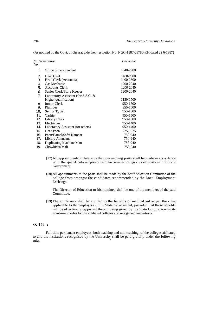(As notified by the Govt. of Gujarat vide their resolution No. NGC-1587-29780-KH dated 22 6-1987)

| No. | Sr. Designation                    | Pav Scale |
|-----|------------------------------------|-----------|
| 1.  | Office Superintendent              | 1640-2900 |
| 2.  | <b>Head Clerk</b>                  | 1400-2600 |
| 3.  | Head Clerk (Accounts)              | 1400-2600 |
| 4.  | Gas Mechanic                       | 1200-2040 |
| 5.  | <b>Accounts Clerk</b>              | 1200-2040 |
| 6.  | Senior Clerk/Store Keeper          | 1200-2040 |
| 7.  | Laboratory Assistant (for S.S.C. & |           |
|     | Higher qualification)              | 1150-1500 |
| 8.  | Junior Clerk                       | 950-1500  |
| 9.  | Plumber                            | 950-1500  |
| 10. | Senior Typist                      | 950-1500  |
| 11. | Cashier                            | 950-1500  |
| 12. | Library Clerk                      | 950-1500  |
| 13. | Electrician                        | 950-1400  |
| 14. | Laboratory Assistant (for others)  | 950-1400  |
| 15. | <b>Head Peon</b>                   | 775-1025  |
| 16. | Peon/Hamal/Safai Kamdar            | 750-940   |
| 17. | Library Attendant                  | 750-940   |
| 18. | Duplicating Machine Man            | 750-940   |
| 19. | Chowkidar/Mali                     | 750-940   |

- (17) All appointments in future to the non-teaching posts shall be made in accordance with the qualifications prescribed for similar categories of posts in the State Government.
- (18) All appointments to the posts shall be made by the Staff Selection Committee of the college from amongst the candidates recommended by the Local Employment Exchange.

The Director of Education or his nominee shall be one of the members of the said Committee.

(19) The employees shall be entitled to the benefits of medical aid as per the rules applicable to the employees of the State Government, provided that these benefits will be effective on approval thereto being given by the State Govt. vis-a-vis its grant-in-aid rules for the affiliated colleges and recognised institutions.

# **O.-169 :**

Full-time permanent employees, both teaching and non-teaching, of the colleges affiliated to and the institutions recognised by the University shall be paid gratuity under the following rules :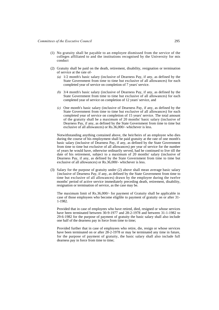- (1) No gratuity shall be payable to an employee dismissed from the service of the colleges affiliated to and the institutions recognised by the University for mis conduct
- (2) Gratuity shall be paid on the death, retirement, disability, resignation or termination of service at the rate of-
	- *(a)* 1/2 month's basic salary (inclusive of Dearness Pay, if any, as defined by the State Government from time to time but exclusive of all allowances) for each completed year of service on completion of 7 years' service.
	- *(b)* 3/4 month's basic salary (inclusive of Dearness Pay, if any, as defined by the State Government from time to time but exclusive of all allowances) for each completed year of service on completion of 12 years' service, and
	- *(c)* One month's basic salary (inclusive of Dearness Pay, if any, as defined by the State Government from time to time but exclusive of all allowances) for each completed year of service on completion of 15 years' service. The total amount of the gratuity shall be a maximum of 20 months' basic salary (inclusive of Dearness Pay, if any, as defined by the State Government from time to time but exclusive of all allowances) or Rs.36,000/- whichever is less.

Notwithstanding anything contained above, the heir/heirs of an employee who dies during the course of his employment shall be paid gratuity at the rate of one month's basic salary (inclusive of Dearness Pay, if any, as defined by the State Government from time to time but exclusive of all allowances) per year of service for the number of years he would have, otherwise ordinarily served, had he continued to live till the date of his retirement, subject to a maximum of 20 months' salary (inclusive of Dearness Pay, if any, as defined by the State Government from time to time but exclusive of all allowances) or Rs.36,000/- whichever is less.

(3) Salary for the purpose of gratuity under (2) above shall mean average basic salary {inclusive of Dearness Pay, if any, as defined by the State Government from time to time but exclusive of all allowances) drawn by the employee during the twelve months' period of active service immediately preceding death, retirement, disability, resignation or termination of service, as the case may be.

The maximum limit of Rs.36,000/- for payment of Gratuity shall be applicable in case of those employees who become eligible to payment of gratuity on or after 31- 1-1982.

Provided that in case of employees who have retired, died, resigned or whose services have been terminated between 30-9-1977 and 28-2-1978 and between 31-1-1982 to 29-6-1982 for the purpose of payment of gratuity the basic salary shall also include one half of the dearness pay in force from time to time;

Provided further that in case of employees who retire, die, resign or whose services have been terminated on or after 28-2-1978 or may be terminated any time in future, for the purpose of payment of gratuity, the basic salary shall also include full dearness pay in force from time to time;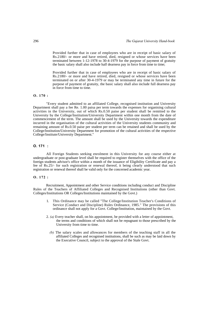Provided further that in case of employees who are in receipt of basic salary of Rs.2180/- or more and have retired, died, resigned or whose services have been terminated between 1-12-1978 to 30-4-1979 for the purpose of payment of gratuity the basic salary shall also include half dearness pay in force from time to time;

Provided further that in case of employees who are in receipt of basic salary of Rs.2180/- or more and have retired, died, resigned or whose services have been terminated on or after 30-4-1979 or may be terminated any time in future for the purpose of payment of gratuity, the basic salary shall also include full dearness pay in force from time to time.

### **O. 170 :**

"Every student admitted to an affiliated College, recognised institution and University Department shall pay a fee Re. 1.00 paisa per term towards the expenses for organising cultural activities in the University, out of which Rs.0.50 paise per student shall be remitted to the University by the College/Institution/University Department within one month from the date of commencement of the term. The amount shall be used by the University towards the expenditure incurred in the organisation of the cultural activities of the University students community and remaining amount of Rs.0.50 paise per student per term can be retained and shall be used by the College/lnstitution/University Department for promotion of the cultural activities of the respective College/Institute/University Department."

### **O. 171 :**

All Foreign Students seeking enrolment in this University for any course either at undergraduate or post-graduate level shall be required to register themselves with the office of the foreign students advisor's office within a month of the issuance of Eligibility Certificate and pay a fee of Rs.25/- for such registration or renewal thereof, it being clearly understood that such registration or renewal thereof shall be valid only for the concerned academic year.

### **O. 172 :**

Recruitment, Appointment and other Service conditions including conduct and Discipline Rules of the Teachers of Affiliated Colleges and Recognised Institutions (other than Govt. Colleges/Institutions OR Colleges/Institutions maintained by the Govt.)

- 1. This Ordinance may be called "The College/Institution Teacher's Conditions of Service (Conduct and Discipline) Rules Ordinance, 1985." The provisions of this ordinance shall not apply for a Govt. College/Institution, maintained by the Govt.
- 2. *(a)* Every teacher shall, on his appointment, be provided with a letter of appointment, the terms and conditions of which shall not be repugnant to those prescribed by the University from time to time.
	- *(b)* The salary scales and allowances for members of the teaching staff in all the affiliated Colleges and recognised institutions, shall be such as may be laid down by the Executive Council, subject to the approval of the Stale Govt.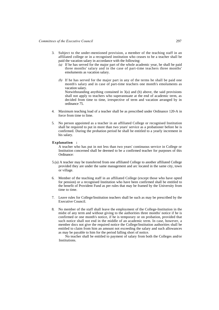- 3. Subject to the under-mentioned provision, a member of the teaching staff in an affiliated college or in a recognised institution who ceases to be a teacher shall be paid the vacation salary in accordance with the following:
	- *(a)* If he has served for the major part of the whole academic year, he shall be paid three months' salary and in the case of part-time teachers three months' emoluments as vacation salary.
	- *(b)* If he has served for the major part in any of the terms he shall be paid one month's salary and in case of part-time teachers one month's emoluments as vacation salary. Notwithstanding anything contained in 3(a) and (b) above, the said provisions shall not apply to teachers who superannuate at the end of academic term, as
		- decided from time to time, irrespective of term and vacation arranged by in ordinance 75.
- 4. Maximum teaching load of a teacher shall be as prescribed under Ordinance 120-A in force from time to lime.
- 5. No person appointed as a teacher in an affiliated College or recognised Institution shall be required to put in more than two years' service as a probationer before he is confirmed. During the probation period he shall be entitled to a yearly increment in his salary.

#### **Explanation :**

A teacher who has put in not less than two years' continuous service in College or Institution concerned shall be deemed to be a confirmed teacher for purposes of this Ordinance:

- 5.(a) A teacher may be transferred from one affiliated College to another affiliated College provided they are under the same management and arc located in the same city, town or village.
- 6. Member of the teaching staff in an affiliated College (except those who have opted for pension) or a recognised Institution who have been confirmed shall be entitled to the benefit of Provident Fund as per rules that may be framed by the University from time to time.
- 7. Leave rules for College/Institution teachers shall be such as may be prescribed by the Executive Council.
- 8. No member of the staff shall leave the employment of the College-Institution in the midst of any term and without giving to the authorities three months' notice if he is confirmed or one month's notice, if he is temporary or on probation, provided that such notice shall not end in the middle of an academic term. In case, however, a member docs not give the required notice the College/Institution authorities shall be entitled to claim from him an amount not exceeding the salary and such allowances as may be payable to him for the period falling short of notice.

No teacher shall be entitled to payment of salary from both the Colleges and/or **Institutions**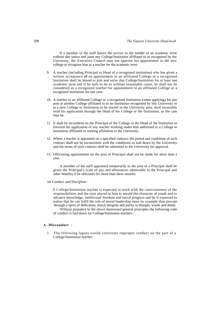If a member of the staff leaves the service in the middle of an academic term without due notice and joins any College/Institution affiliated to or recognised by the University, the Executive Council may not approve his appointment in the new college or recognise him as a teacher for the academic term.

- 9. A teacher (including Principal or Head of a recognised institution) who has given a written acceptance **of** an appointment in an affiliated College or a recognised Institution shall be bound to join and serve that College/Institution for at least one academic term and if he fails to do so without reasonable cause, he shall not be considered as a recognised teacher for appointment in an affiliated College or a recognised Institution for one year.
- 10. A teacher in an affiliated College or a recognised Institution (when applying) for any post at another College affiliated to or an Institution recognised by this University or at a new College or Institution to be started in the University area, shall invariably send his application through the Head of his College or the Institution, as the case may be.
- 11. It shall be incumbent on the Principal of the College or the Head of the Institution to forward the application of any teacher working under him addressed to a College or Institution affiliated or seeking affiliation to the University.
- 12. Where a teacher is appointed on a specified contract, the period and conditions of such contract shall not be inconsistent with the conditions as laid down by the University and the terms of such contract shall be submitted to the University for approval.
- 13. Officiating appointment on the post of Principal shall not be made for more than a year.

A member of the staff appointed temporarily to the post of a Principal shall be given the Principal's scale of pay and allowances admissible to the Principal and other benefits if he officiates for more than three months.

14. Conduct and Discipline :

A College/Institution teacher is expected to work with the consciousness of the responsibilities and the trust placed in him to mould the character of youth and to advance knowledge, intellectual freedom and social progress and he is expected to realise that he can fulfil the role of moral leadership more by example than precept through a spirit of dedication, moral integrity and purity in thought, words and deeds.

Without prejudice to the above mentioned general principles the following code of conduct is laid down for College/Institution teachers:

### **A. Misconduct** :

1. The following lapses would constitute improper conduct on the part of a College/Institution teacher: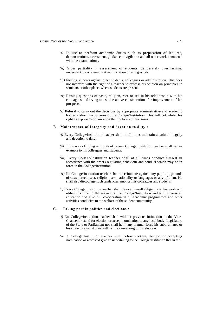- *(i)* Failure to perform academic duties such as preparation of lectures, demonstrations, assessment, guidance, invigilation and all other work connected with the examinations.
- *(ii)* Gross partiality in assessment of students, deliberately overmarking, undermarking or attempts at victimization on any grounds.
- *(iii)* Inciting students against other students, colleagues or administration. This does not interfere with the right of a teacher to express his opinion on principles in seminars or other places where students are present.
- *(iv)* Raising questions of caste, religion, race or sex in his relationship with his colleagues and trying to use the above considerations for improvement of his prospects.
- $(v)$  Refusal to carry out the decisions by appropriate administrative and academic bodies and/or functionaries of the College/Institution. This will not inhibit his right to express his opinion on their policies or decisions.

#### **B. Maintenance of Integrity and devotion to duty :**

- *(i)* Every College/Institution teacher shall at all limes maintain absolute integrity and devotion to duty.
- *(ii)* In his way of living and outlook, every College/Institution teacher shall set an example to his colleagues and students.
- *(iii)* Every College/Institution teacher shall at all times conduct himself in accordance with the orders regulating behaviour and conduct which may be in force in the College/Institution.
- *(iv)* No College/Institution teacher shall discriminate against any pupil on grounds of caste, creed, sect, religion, sex, nationality or languages or any of them. He shall also discourage such tendencies amongst his colleagues and students.
- *(v)* Every College/Institution teacher shall devote himself diligently to his work and utilise his time to the service of the College/Institution and to the cause of education and give full co-operation in all academic programmes and other activities conducive to the welfare of the student community.

# **C. Taking part in politics and elections** :

- *(i)* No College/Institution teacher shall without previous intimation to the Vice-Chancellor stand for election or accept nomination to any local body, Legislature of the State or Parliament nor shall he in any manner force his subordinates or his students against their will for the canvassing of his election.
- *(ii)* A College/Institution teacher shall before seeking election or accepting nomination as aforesaid give an undertaking to the College/Institution that in the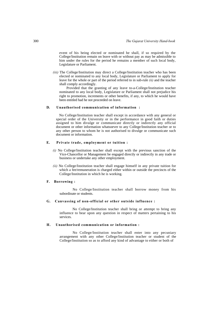event of his being elected or nominated he shall, if so required by the College/Institution remain on leave with or without pay as may be admissible to him under the rules for the period he remains a member of such local body, Legislature or Parliament.

*(iii)* The College/Institution may direct a College/Institution teacher who has been elected or nominated to any local body, Legislature or Parliament to apply for leave for the whole or part of the period referred to in sub-rule *(ii)* and the teacher shall comply accordingly.

Provided that the granting of any leave to-a-College/Institution teacher nominated to any local body, Legislature or Parliament shall not prejudice his right to promotion, increments or other benefits, if any, to which he would have been entitled had he not proceeded on leave.

### **D. Unauthorised communication of information :**

No College/Institution teacher shall except in accordance with any general or special order of the University or in the performance in good faith or duties assigned to him divulge or communicate directly or indirectly any official document or other information whatsoever to any College/Institution teacher or to any other person to whom he is not authorised to divulge or communicate such document or information.

### **E. Private trade, employment or tuition :**

- *(i)* No College/Institution teacher shall except with the previous sanction of the Vice-Chancellor or Management be engaged directly or indirectly in any trade or business or undertake any other employment.
- *(ii)* No College/Institution teacher shall engage himself in any private tuition for which a fee/remuneration is charged either within or outside the precincts of the College/Institution in which he is working.

#### **F. Borrowing :**

No College/Institution teacher shall borrow money from his subordinate or students.

#### **G. Canvassing of non-official or other outside influence :**

No College/Institution teacher shall bring or attempt to bring any influence to bear upon any question in respect of matters pertaining to his services.

### **H. Unauthorised communication or information :**

No College/Institution teacher shall enter into any pecuniary arrangement with any other College/Institution teacher or student of the College/Institution so as to afford any kind of advantage to either or both of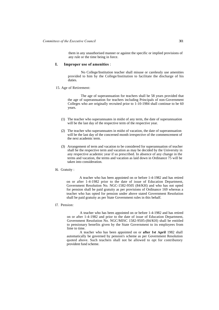them in any unauthorised manner or against the specific or implied provisions of any rule or the time being in force.

# **I. Improper use of amenities** :

No College/Institution teacher shall misuse or carelessly use amenities provided to him by the College/Institution to facilitate the discharge of his duties.

#### 15. Age of Retirement:

The age of superannuation for teachers shall be 58 years provided that the age of superannuation for teachers including Principals of non-Government Colleges who are originally recruited prior to 1-10-1984 shall continue to be 60 years.

- (1) The teacher who superannuates in midst of any term, the date of superannuation will be the last day of the respective term of the respective year.
- (2) The teacher who superannuates in midst of vacation, the date of superannuation will be the last day of the concerned month irrespective of the commencement of the next academic term.
- (3) Arrangement of term and vacation to be considered for superannuation of teacher shall be the respective term and vacation as may be decided by the University in any respective academic year if so prescribed. In absence of any change in the terms and vacation, the terms and vacation as laid down in Ordinance 75 will be taken into consideration.

#### 16. Gratuity :

A teacher who has been appointed on or before 1-4-1982 and has retired on or after 1-4-1982 prior to the date of issue of Education Department, Government Resolution No. NGC-1582-9505 (84/KH) and who has not opted for pension shall be paid gratuity as per provisions of Ordinance 169 whereas a teacher who has opted for pension under above stated Government Resolution shall be paid gratuity as per State Government rules in this behalf.

### 17. Pension:

A teacher who has been appointed on or before 1-4-1982 and has retired on or after 1-4-1982 and prior to the date of issue of Education Department, Government Resolution No. NGC/MISC 1582-9505-(84/KH) shall be entitled to pensionary benefits given by the State Government to its employees from lime to time.

A teacher who has been appointed on or **after 1st April** 1982 shall automatically be governed by pension's scheme as per Government Resolution quoted above. Such teachers shall not be allowed to opt for contributory provident fund scheme.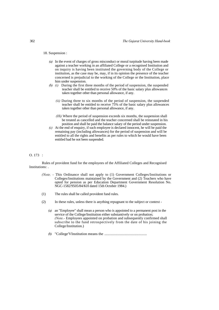#### 18. Suspension :

- *(a)* In the event of charges of gross misconduct or moral turpitude having been made against a teacher working in an affiliated College or a recognised Institution and on inquiry is having been instituted the governing body of the College or institution, as the case may be, may, if in its opinion the presence of the teacher concerned is prejudicial to the working of the College or the Institution, place him under suspension.
- *(b) (i)* During the first three months of the period of suspension, the suspended teacher shall be entitled to receive 50% of the basic salary plus allowances taken together other than personal allowance, if any.
	- *(ii)* During three to six months of the period of suspension, the suspended teacher shall be entitled to receive 75% of the basic salary plus allowances taken together other than personal allowance, if any.
	- *(Hi)* Where the period of suspension exceeds six months, the suspension shall be treated as cancelled and the teacher concerned shall be reinstated in his position and shall be paid the balance salary of the period under suspension.
- *(c)* At the end of enquiry, if such employee is declared innocent, he will be paid the remaining pay (including allowances) for the period of suspension and will be entitled to all the rights and benefits as per rules to which he would have been entitled had he not been suspended.

### O. 173 :

Rules of provident fund for the employees of the Affiliated Colleges and Recognised Institutions: .

- *(Note.* This Ordinance shall not apply to (1) Government Colleges/Institutions or Colleges/Institutions maintained by the Government and (2) Teachers who have opted for pension as per Education Department Government Resolution No. NGC-1582/9505/84/KH dated 15th October 1984.)
- (1) The rules shall be called provident fund rules.
- (2) In these rules, unless there is anything repugnant to the subject or context
	- *(a)* an "Employee" shall mean a person who is appointed to a permanent post in the service of the College/Institution either substantively or on probation; *(Note.-* Employees appointed on probation and subsequently confirmed shall subscribe to the fund retrospectively from the date of his joining the College/Institution.)
	- *(b)* "College'VInstitution means the ...............................................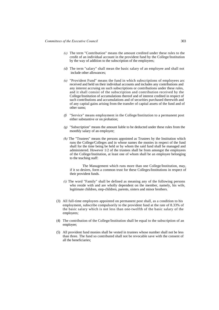- *(c)* The term "Contribution" means the amount credited under these rules to the credit of an individual account in the provident fund by the College/Institution by the way of addition to the subscription of the employees;
- *(d)* The term "salary" shall mean the basic salary of an employee and shall not include other allowances;
- *(e)* "Provident Fund" means the fund in which subscriptions of employees arc received and held on their individual accounts and includes any contributions and any interest accruing on such subscriptions or contributions under these rules, and it shall consist of the subscription and contribution received by the College/Institution of accumulations thereof and of interest credited in respect of such contributions and accumulations and of securities purchased therewith and of any capital gains arising from the transfer of capital assets of the fund and of other sums;
- *(f)* "Service" means employment in the College/Institution to a permanent post either substantive or on probation;
- *(g)* "Subscription" means the amount liable to be deducted under these rules from the monthly salary of an employee;
- *(h)* The "Trustees" means the persons appointed as Trustees by the Institution which runs the College/Colleges and in whose names the monies in respect of the fund shall for the time being be held or by whom the said fund shall be managed and administered. However 1/2 of the trustees shall be from amongst the employees of the College/Institution, at least one of whom shall be an employee belonging to the teaching staff:

The Management which runs more than one College/Institution, may, if it so desires, form a common trust for these Colleges/Institutions in respect of their provident funds.

- *(i)* The word "Family" shall be defined as meaning any of the following persons who reside with and are wholly dependent on the member, namely, his wife, legitimate children, step-children, parents, sisters and minor brothers.
- (3) All full-time employees appointed on permanent post shall, as a condition to his employment, subscribe compulsorily to the provident fund at the rate of 8.33% of the basic salary which is not less than one-twelfth of the basic salary of the employees;
- (4) The contribution of the College/Institution shall be equal to the subscription of an employee;
- (5) All provident fund monies shall be vested in trustees whose number shall not be less than three. The fund so contributed shall not be revocable save with the consent of all the beneficiaries;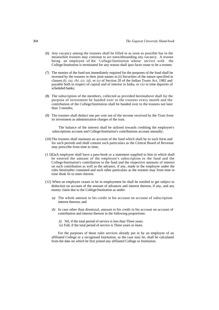- (6) Any vacancy among the trustees shall be filled in as soon as possible but in the meanwhile trustees may continue to act notwithstanding any vacancy. A trustee being an employee of the College/Institution whose service with the College/Institution is terminated for any reason shall ipso facto cease to be a trustee;
- (7) The monies of the fund not immediately required for the purposes of the fund shall be invested by the trustees in their joint names in (i) Securities of the nature specified in clauses *ft), (a), (b)..(c). (d),* or *(e)* of Section 20 of the Indian Trusts Act, 1982 and payable both in respect of capital and of interest in India, or *(ii)* in time deposits of scheduled banks;
- (8) The subscription of the members, collected as provided hereinabove shall for the purpose of investment be handed over to the trustees every month and the contribution of the College/Institution shall be handed over to the trustees not later than 3 months;
- (9) The trustees shall deduct one per cent out of the income received by the Trust from its investment as administration charges of the trust.

The balance of the interest shall be utilised towards crediting the employee's subscriptions account and College/Institution's contributions account annually;

- (10) The trustees shall maintain an account of the fund which shall be in such form and for such periods and shall contain such particulars as the Central Board of Revenue may prescribe from time to time;
- (1 l)Each employee shall have a pass-book or a statement supplied to him in which shall be entered the amount of the employee's subscription to the fund and the College/Institution's contribution to the fund and the respective amounts of interest on such contribution as well as the advance, if any, made to the employee under the rules hereinafter contained and such other particulars as the trustees may from time to time think fit to enter therein.
- (12) When an employee ceases to be in employment he shall be entitled to get subject to deduction on account of the amount of advances and interest thereon, if any, and any money claim due to the College/Institution as under:
	- *(a)* The whole amount to his credit in his account on account of subscription interest thereon; and
	- *(b)* In case other than dismissal, amount to his credit in his account on account of contribution and interest thereon in the following proportions:
		- *ft)* Nil, if the total period of service is less than Three years. *(ii)* Full, if the total period of service is Three years or more.
		-

For the purposes of these rules services already put in by an employee of an affiliated College or a recognised Institution, as the case may be, shall be calculated from the date on which he first joined any affiliated College or Institution.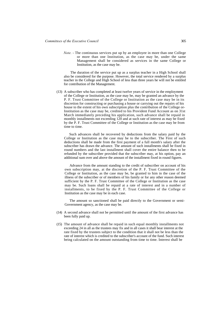*Note.* - The continuous services put up by an employee in more than one College or more than one Institution, as the case may be, under the same Management shall be considered as services in the same College or Institution, as the case may be.

The duration of the service put up as a surplus teacher in a High School shall also be considered for the purpose. However, the total service rendered by a surplus teacher in the College and High School of less than three years he will not be entitled for contribution of the Management.

(13) A subscriber who has completed at least twelve years of service in the employment of the College or Institution, as the case may be, may be granted an advance by the P. F. Trust Committee of the College or Institution as the case may be in its discretion for constructing or purchasing a house or carrying out the repairs of his house to the extent of his own subscription plus the contribution of the College or-Institution as the case may be, credited to his Provident Fund Account as on 31st March immediately preceding his application, such advance shall be repaid in monthly installments not exceeding 120 and at such rate of interest as may be fixed by the P. F. Trust Committee of the College or Institution as the case may be from time to time.

Such advances shall be recovered by deductions from the salary paid by the College or Institution as the case may be to the subscriber. The First of such deductions shall be made from the first payment of a full month's salary after the subscriber has drawn the advance. The amount of such installments shall be fixed in round numbers and the last installment shall cover the entire balance then to be refunded by the subscriber provided that the subscriber may, at his option, pay an additional sum over and above the amount of the installment fixed in round figures.

Advance from the amount standing to the credit of subscriber on account of his own subscription may, at the discretion of the P. F. Trust Committee of the College or Institution, as the case may be, be granted to him in the case of the illness of the subscriber or of members of his family or for any other reason deemed sufficient by the P. F. Trust Committee of the College or Institution as the case may be. Such loans shall be repaid at a rate of interest and in a number of installments, to be fixed by the P. F. Trust Committee of the College or Institution as the case may be in each case.

The amount so sanctioned shall be paid directly to the Government or semi-Government agency, as the case may be.

- (14) A second advance shall not be permitted until the amount of the first advance has been fully paid up.
- (15) The amount of advance shall be repaid in such equal monthly installments not exceeding 24 in all as the trustees may fix and in all cases it shall bear interest at the rate fixed by the trustees subject to the condition that it shall not be less than the rate of interest which is credited to the subscriber's account of the fund. Such interest being calculated on the amount outstanding from time to time. Interest shall be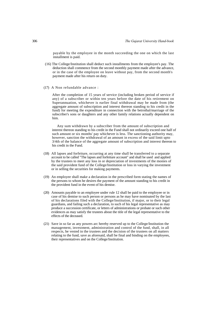payable by the employee in the month succeeding the one on which the last installment is paid.

- (16) The College/Institution shall deduct such installments from the employee's pay. The deduction shall commence from the second monthly payment made after the advance, or in the case of the employee on leave without pay, from the second month's payment made after his return on duty.
- (17) A Non refundable advance :

After the completion of 15 years of service (including broken period of service if any) of a subscriber or within ten years before the date of his retirement on Superannuation, whichever is earlier final withdrawal may be made from (the aggregate amount of subscription and interest thereon standing to his credit in the fund) for meeting the expenditure in connection with the betrothal/marriage of the subscriber's sons or daughters and any other family relations actually dependent on him.

Any sum withdrawn by a subscriber from the amount of subscription and interest thereon standing to his credit in the Fund shall not ordinarily exceed one half of such amount or six months' pay whichever is less. The sanctioning authority may, however, sanction the withdrawal of an amount in excess of the said limit upto 3/4th of the balance of the aggregate amount of subscription and interest thereon to his credit in the Fund.

- (18) All lapses and forfeiture, occurring at any time shall be transferred to a separate account to be called "The lapses and forfeiture account" and shall be used and applied by the trustees to meet any loss in or depreciation of investments of the monies of the said provident fund of the College/Institution or loss in varying the investment or in selling the securities for making payments.
- (19) An employee shall make a declaration in the prescribed form stating the names of the persons to whom he desires the payment of the amount standing to his credit in the provident fund in the event of his demise.
- (20) Amounts payable to an employee under rule 12 shall be paid to the employee or in case of his demise to such person or persons as he may have nominated by the last of his declarations filed with the College/Institution, if major, or to their legal guardians, and failing such a declaration, to such of his legal representative as may produce a succession certificate, or letters of administrations or probate or such other evidences as may satisfy the trustees about the title of the legal representative to the effects of the deceased.
- (21) Save in so far as any powers arc hereby reserved up to the College/Institution the management, investment, administration and control of the fund, shall, in all respects, be vested in the trustees and the decision of the trustees on all matters relating to the fund, save as aforesaid, shall be final and binding on the employees, their representatives and on the College/Institution.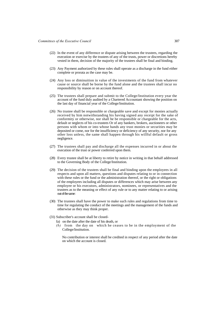- (22) In the event of any difference or dispute arising between the trustees, regarding the execution or exercise by the trustees of any of the trusts, power or discretions hereby vested in them, decision of the majority of the trustees shall be final and binding.
- (23) Any Payment authorized by these rules shall operate as a discharge in the fund either complete or prorata as the case may be.
- (24) Any loss or diminuition in value of the investments of the fund from whatever cause or source shall be borne by the fund alone and the trustees shall incur no responsibility by reason or on account thereof.
- (25) The trustees shall prepare and submit to the College/Institution every year the account of the fund duly audited by a Chartered Accountant showing the position on the last day of financial year of the College/Institution.
- (26) No trustee shall be responsible or chargeable save and except for monies actually received by him notwithstanding his having signed any receipt for the sake of conformity or otherwise, nor shall he be responsible or chargeable for the acts, default or neglects of his co-trustees Or of any bankers, brokers, auctioneers or other persons with whom or into whose hands any trust monies or securities may be deposited or come, nor for the insufficiency or deficiency of any security, nor for any other loss unless, the same shall happen through his willful default or gross negligence.
- (27) The trustees shall pay and discharge all the expenses incurred in or about the execution of the trust or power conferred upon them.
- (28) Every trustee shall be at liberty to retire by notice in writing in that behalf addressed to the Governing Body of the College/Institution.
- (29) The decision of the trustees shall be final and binding upon the employees in all respects and upon all matters, questions and disputes relating to or in connection with these rules or the fund or the administration thereof, or the right or obligations of the employees including all disputes or differences which may arise between any employee or his executors, administrators, nominees, or representatives and the trustees as to the meaning or effect of any rule or to any matter relating to or arising out of the same:
- (30) The trustees shall have the power to make such rules and regulations from time to time for regulating the conduct of the meetings and the management of the funds and otherwise as they may think proper.
- (31) Subscriber's account shall be closed
	- fa) on the date after the date of his death, or
	- *(b)* from the day on which he ceases to be in the employment of the College/Institution.

No contribution or interest shall be credited in respect of any period after the date on which the account is closed.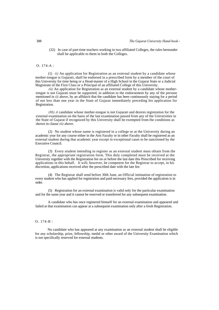(32) In case of part-time teachers working in two affiliated Colleges, the rules hereunder shall be applicable to them in both the Colleges.

# O. 174-A :

(1) *(i)* An application for Registration as an external student by a candidate whose mother-tongue is Gujarati, shall be endorsed in a prescribed form by a member of the court of this University for time being or a Head-master of a High School in the Gujarat State or a Judicial Magistrate of the First Class or a Principal of an affiliated College of this University.

*(ii)* An application for Registration as an external student by a candidate whose mothertongue is not Gujarati must be supported, in addition to the endorsement by any of the persons mentioned in *(i)* above, by an affidavit that the candidate has been continuously staying for a period of not less than one year in the State of Gujarat immediately preceding his application for Registration.

*(Hi) A* candidate whose mother-tongue is not Gujarati and desires registration for the external examination on the basis of the last examination passed from any of the Universities in the State of Gujarat if recognized by this University shall be exempted from the conditions as shown in clause *(ii)* above.

(2) No student whose name is registered in a college or at the University during an academic year for any course either in the Arts Faculty or in other Faculty shall be registered as an external student during that academic year except in exceptional cases to be sanctioned by the Executive Council.

(3) Every student intending to register as an external student must obtain from the Registrar, the appropriate registration form. This duly completed must be received at the University together with the Registration fee on or before the last date this Prescribed for receiving applications in this behalf. It will; however, be competent for the Registrar to accept, in his discretion, applications received after the prescribed date with the late fee.

(4) The Registrar shall send before 30th June, an Official intimation of registration to every student who has applied for registration and paid necessary fees, provided the application is in order.

(5) Registration for an external examination is valid only for the particular examination and for the same year and it cannot be reserved or transferred for any subsequent examination.

A candidate who has once registered himself for an external examination and appeared and failed at that examination can appear at a subsequent examination only after a fresh Registration.

### O. 174-B :

No candidate who has appeared at any examination as an external student shall be eligible for any scholarship, prize, fellowship, medal or other award of the University Examination which is not specifically reserved for external students.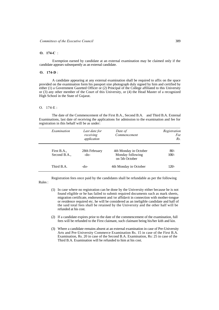# **O. 174-C** :

Exemption earned by candidate at an external examination may be claimed only if the candidate appears subsequently as an external candidate.

## **O. 174-D** :

A candidate appearing at any external examination shall be required to affix on the space provided on the examination form his passport size photograph duly signed by him and certified by either (1) a Government Gazetted Officer or (2) Principal of the College affiliated to this University or (3) any other member of the Court of this University, or (4) the Head Master of a recognized High School in the State of Gujarat.

# O. 174-E :

The date of the Commencement of the First B.A., Second B.A. and Third B.A. External Examinations, last date of receiving the applications for admission to the examination and fee for registration in this behalf will be as under:

| Examination                 | Last date for<br>receiving<br>application | Date of<br>Commencement                                     | Registration<br>Fee<br>Rs. |
|-----------------------------|-------------------------------------------|-------------------------------------------------------------|----------------------------|
| First B.A.,<br>Second B.A., | 28th February<br>$-do-$                   | 4th Monday in October<br>Monday following<br>on 5th October | $80/-$<br>$100/-$          |
| Third B.A.                  | -do-                                      | 4th Monday in October                                       | $120/-$                    |

Registration fees once paid by the candidates shall be refundable as per the following Rules :

- (1) In case where no registration can be done by the University either because he is not found eligible or he has failed to submit required documents such as mark sheets, migration certificate, endorsement and /or affidavit in connection with mother-tongue or residence required etc. he will be considered as an ineligible candidate and half of the said total fees shall be retained by the University and the other half will be refunded at his cost.
- (2) If a candidate expires prior to the date of the commencement of the examination, full fees will be refunded to the First claimant, such claimant being his/her kith and kin.
- (3) Where a candidate remains absent at an external examination in case of Pre-University Arts and Pre-University Commerce Examination Rs. 15 in case of the First B.A. Examination, Rs. 20 in case of the Second B.A. Examination, Rs: 25 in case of the Third B.A. Examination will be refunded to him at his cost.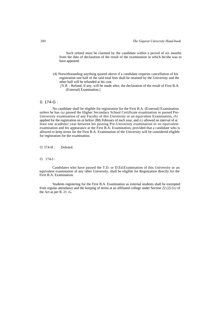Such refund must be claimed by the candidate within a period of six months from the date of declaration of the result of the examination in which he/she was to have appeared.

(4) Notwithstanding anything quoted above if a candidate requests cancellation of his registration one half of the said total fees shall be retained by the University and the other half will be refunded at his cost.

# 0. 174-G :

No candidate shall be eligible for registration for the First B.A. (External) Examination unless he has *(a)* passed the Higher Secondary School Certificate examination or passed Pre-University examination of any Faculty of this University or an equivalent Examination, *(b)*  applied for the registration on or before 28th February of each year, and *(c)* allowed an interval of at least one academic year between his passing Pre-University examination or its equivalent examination and his appearance at the First B.A. Examination, provided that a candidate who is allowed to keep terms for the First B.A. Examination of the University will be considered eligible for registration for the examination.

O. I74-H : Deleted.

### O. 174-I :

Candidates who have passed the T.D. or D.Ed;Examination of this University or an equivalent examination of any other University, shall be eligible for Registration directly for the First B.A. Examination.

Students registering for the First B.A. Examination as external students shall be exempted from regular attendance and the keeping of terms at an affiliated college under Section 22 (2) *(ix)* of the Act as per R. 21 -G.

*<sup>[</sup>N.B. -* Refund, if any, will be made after, the declaration of the result of First B.A. (External) Examination.]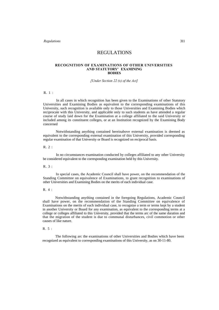*Regulations* 311

# REGULATIONS

#### **RECOGNITION OF EXAMINATIONS OF OTHER UNIVERSITIES AND STATUTORY' EXAMINING BODIES**

*[Under Section 22 (x) of the Act]*

R. 1 :

In all cases in which recognition has been given to the Examinations of other Statutory Universities and Examining Bodies as equivalent to the corresponding examinations of this University, such recognition is available only to those Universities and Examining Bodies which reciprocate with this University, and applicable only to such students as have attended a regular course of study laid down for the Examination at a college affiliated to the said University or included among its constituent colleges, or at an Institution recognized by the Examining Body concerned

Notwithstanding anything contained hereinabove external examination is deemed as equivalent to the corresponding external examination of this University, provided corresponding regular examination of that University or Board is recognized on reciprocal basis.

R. 2 :

In no circumstances examination conducted by colleges affiliated to any other University be considered equivalent to the corresponding examination held by this University.

R. 3 :

In special cases, the Academic Council shall have power, on the recommendation of the Standing Committee on equivalence of Examinations, to grant recognition to examinations of other Universities and Examining Bodies on the merits of each individual case.

R. 4 :

Notwithstanding anything contained in the foregoing Regulations, Academic Council shall have power, on the recommendation of the Standing Committee on equivalence of Examinations on the merits of each individual case, to recognize a term or terms kept by a student in another University or Board for any examination, as equivalent to the corresponding terms at a college or colleges affiliated to this University, provided that the terms arc of the same duration and that the migration of the student is due to communal disturbances, civil commotion or other causes of like nature.

### $R$  5  $\cdot$

The following arc the examinations of other Universities and Bodies which have been recognized as equivalent to corresponding examinations of this University, as on 30-11-80.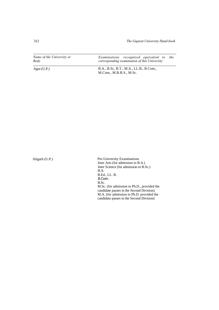312 *The Gujarat University Hand-book*

*Name of the University or Body Examinations recognized equivalent to the corresponding examination of this University*

Agra (U.P.) B.A., B.Sc, B.T., M.A., LL.B., B.Com., M.Com., M.B.B.S., M.Sc.

Aligarh (U.P.) Pre-University Examinations Inter Arts (for admission to B.A.) Inter Science (for admission to B.Sc.) B.A. B.Ed., LL. B. B.Com. B.Sc. M.Sc. (for admission to Ph.D., provided the candidate passes in the Second Division) M.A. (for admission to Ph.D. provided the candidate passes in the Second Division)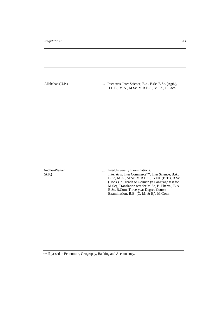Allahabad (U.P.) ... Inter Arts, Inter Science, B *A.*, B.Sc, B.Sc. (Agri.), LL.B., M.A., M.Sc, M.B.B.S., M.Ed., B.Com.

Andhra-Waltair ... Pre-University Examinations. (A.P.) Inter Arts, Inter Commerce\*\*, Inter Science, B.A., B.Sc, M.A., M.Sc, M.B.B.S., B.Ed. (B.T.), B.Sc (Hons.) in French or German (= Language test for M.Sc), Translation test for M.Sc, B. Pharm., B.A. B.Sc, B.Com. Three-year Degree Course Examination, B.E:  $(C, M; \& E)$ , M.Gom.

\*\* If passed in Economics, Geography, Banking and Accountancy.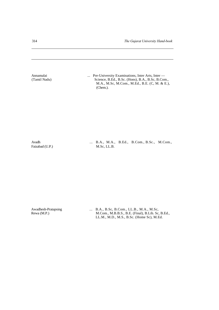314 *The Gujarat University Hand-book*

Annamalai ... Pre-University Examinations, Inter Arts, Inter — (Tamil Nadu) ... Science, B.Ed., B.Sc. (Hons), B.A., B.Sc, B.Con Science, B.Ed., B.Sc. (Hons), B.A., B.Sc, B.Com., M.A., M.Sc, M.Com., M.Ed., B.E. (C, M. & E.), (Chem.). Avadh ... B.A., M.A., B.Ed., B.Com., B.Sc., M.Com., Faizabad (U.P.) M.Sc, LL.B. Awadhesh-Pratapsing ... B.A., B.Sc, B.Com., LL.B., M.A., M.Sc, Rewa (M.P.) M.Com., M.B.B.S., B.E. (Final), B.Lib. Sc, B.Ed.,

LL.M., M.D., M.S., B.Sc. (Home Sc), M.Ed.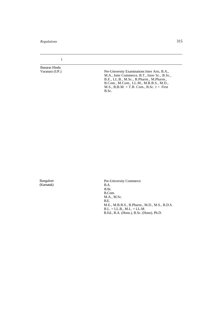*Regulations* 315

1

Banaras Hindu

Pre-University Examinations Inter Arts, B.A., M.A., Inter Commerce, B.T., Inter Sc., B.Sc., B.E., LL.B., M.Sc., B.Pharm., M.Pharm., B.Com., M.Com., LL.M., M.B.B.S., M.D.,  $M.S., B; B.M. = T.B. Com., B.Sc. 1 = First$ B.Sc.

Bangalore (Karnatak)

Pre-University Commerce B.A. B.Sc. B.Com. M.A., M.Sc. B.E. M.E., M.B.B.S., B.Pharm., M.D., M.S., B.D.S.  $B.L. = LL.B., M.L. = LL.M.$ B.Ed., B.A. (Hons.), B.Sc. (Hons), Ph.D.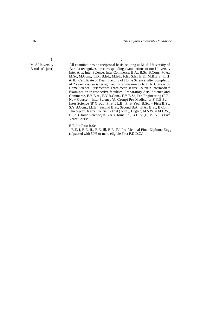|                                      | 2                                                                                                                                                                                                                                                                                                                                                                                                                                                                                                                                                                                                                                                                                                                                                                                                                                                                                                                                                                                                                                         |
|--------------------------------------|-------------------------------------------------------------------------------------------------------------------------------------------------------------------------------------------------------------------------------------------------------------------------------------------------------------------------------------------------------------------------------------------------------------------------------------------------------------------------------------------------------------------------------------------------------------------------------------------------------------------------------------------------------------------------------------------------------------------------------------------------------------------------------------------------------------------------------------------------------------------------------------------------------------------------------------------------------------------------------------------------------------------------------------------|
| M. S. University<br>Baroda (Gujarat) | All examinations on reciprocal basis, so long as M. S. University of<br>Baroda recognizes the corresponding examinations of our University<br>Inter Arts, Inter Science, Inter Commerce, B.A., B.Sc, B.Com., M.A.,<br>M.Sc, M.Com., T.D., B.Ed., M.Ed., F.E., S.E., B.E., M.B.B.S. I., II<br>& III. Certificate of Dean, Faculty of Home Science, after completion<br>of 2 years' course is recognized for admission to Jr. B.A. Class with<br>Home Science. First Year of Three-Year Degree Course = Intermediate<br>Examination in respective faculties, Preparatory Arts, Science and<br>Commerce, F.Y.B.A., F.Y.B.Com., F.Y.B.Sc, Pre-Engineering (F.E.<br>New Course = Inter Science 'A' Group) Pre-Medical or $F.Y.B.Sc. =$<br>Inter Science 'B' Group, First LL.B., First Year B.Sc. = First B.Sc,<br>S.Y.B.Com., LL.B., Second B.Sc, Second B.A., B.A., B.Sc, B.Com.<br>Three-year Degree Course, B.Text (Tech.), Degree, $M.S.W. = M.L.W.,$<br>B.Sc. (Home Science) = B.A. (Home Sc.) B.E. V (C, M. & E.) Five<br>Years' Course. |
|                                      | $B.E. I = First B.Sc.$<br>B.E. I, B.E. II., B.E. III. B.E. IV. Pre-Medical Final Diploma Engg.                                                                                                                                                                                                                                                                                                                                                                                                                                                                                                                                                                                                                                                                                                                                                                                                                                                                                                                                            |

(if passed with 50% or more eligible First P.D.D.C.)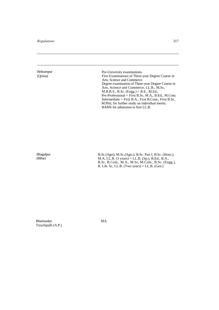Behrampur (Qrissa)

Pre-University examinations. First Examinations of Three-year Degree Course in Arts, Science and Commerce. Degree examination of Three-year Degree Course in Arts, Science and Commerce, LL.B., M.Sc, M.B.B.S., B.Sc. (Engg.) = B.E., M.Ed., Pre-Professional = First B.Sc, M.A., B.Ed., M.Com. Intermediate = First B.A., First B.Com., First B.Sc, M.Phil, for further study on individual merits. BAMS for admission to first LL.B.

Bhagalpur (Bihar)

B.Sc.(Agri), M.Sc.(Agri.), B.Sc. Part I, B.Sc. (Hons.), M.A, LL.B. (3 years) = LL.B. (Sp.), B.Ed., B.A., B.Sc, B.Com., M.A., M.Sc, M.Com., B.Sc. (Engg.), B. Lib. Sc, LL.B. (Two years) = LL.B. (Gen.)

Bhartisadan Tiruchipalli (A.P.) MA.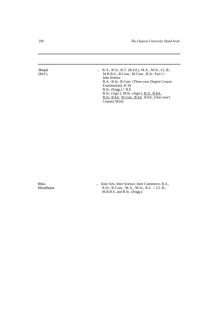| <b>Bhopal</b> | B.A., B.Sc, B.T. (B.Ed.), M.A., M.Sc, LL.B.,  |
|---------------|-----------------------------------------------|
| (M.P.)        | M.B.B.S., B.Com., M.Com., B.Sc. Part $I =$    |
|               | <b>Inter Science</b>                          |
|               | B.A., B.Sc, B.Com. (Three-year Degree Course) |
|               | Examination), II, III                         |
|               | $B.Sc.$ (Engg.) = B.E.                        |
|               | B.Sc. (Agri.), M.Sc. (Agri.), B.A., B.Ed.,    |

Course), M.Ed.

Bihar, ... Inter Arts, Inter Science, Inter Commerce, B.A., Muzaffarpur B.Sc, B.Com., M.A., M.Sc, B.L. = LL.B., M.B.B.S. and B.Sc, (Engg.).

B.Sc. B.Ed.. B.Com.. B.Ed.. B.Ed., (One year's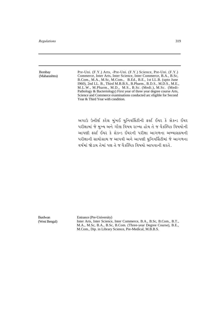Bombay (Maharashtra) Pre-Uni. (F.Y.) Arts, -Pre-Uni. (F.Y.) Science, Pre-Uni. (F.Y.) Commerce, Inter Arts, Inter Science, Inter Commerce, B.A., B.Sc, B.Com., M.A., M.Sc, M.Com., B.Ed., B.E., 1st LL.B. (upto June I960), 2nd LL. B., Third M.B.B.S., B.Pharm., B.D.S., M.D.S., M.E., M.L.W., M.Pharm., M.D., M.S., B.Sc. (Medi.), M.Sc. (Medi-Pathology & Bacteriology) First year of three year degree course Arts, Science and Commerce examinations conducted arc eligible for Second Year & Third Year with condition.

અગાઉ ઉત્તીર્ણ કરેલ મુંબઈ યુનિવર્સિટીની ફર્સ્ટ ઈયર કે સેકન્ડ ઈયર પરીક્ષામાં જે મુખ્ય અને ગૌણ વિષય રાખ્યા હોય તે જ વૈકલ્પિક વિષયોની આપણી ફર્સ્ટ ઈયર કે સેકન્ડ ઈયરની પરીક્ષા આગળના અભ્યાસક્રમની પરીક્ષાની સાથોસાથ જ આપવી અને આપણી યુનિવર્સિટીમાં જે આગળના વર્ષમાં જોડાય તેમાં પણ તે જ વૈકલ્પિક વિષયો આપવાની શરતે.

Burdwan (West Bengal) Entrance (Pre-University) Inter Arts, Inter Science, Inter Commerce, B.A., B.Sc, B.Com., B.T., M.A., M.Sc, B.A., B.Sc, B.Com. (Three-year Degree Course), B.E., M.Com., Dip. in Library Science, Pre-Medical, M.B.B.S.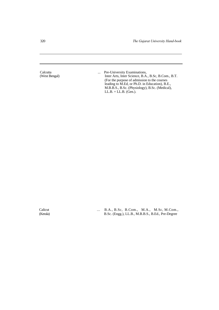320 *The Gujarat University Hand-book*

Calcutta ... Pre-University Examinations,<br>
West Bengal) **1... Pre-University Examinations**,<br>
Inter Arts, Inter Science, B.A. Inter Arts, Inter Science, B.A., B.Sc, B.Com., B.T. (For the purpose of admission to the courses leading to M.Ed, or Ph.D. in Education), B.E., M.B.B.S., B.Sc. (Physiology), B.Sc. (Medical),  $LL.B. = LL.B.$  (Gen.).

Calicut ... B.A., B.Sc, B.Com., M.A., M.Sc, M.Com., (Kerala) B.Sc. (Engg.), LL.B., M.B.B.S., B.Ed., Pre-Degree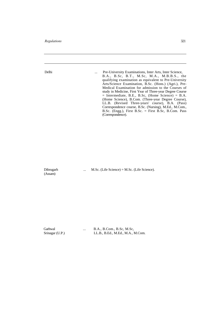| Delhi           | Pre-University Examinations, Inter Arts, Inter Science,<br>$\ddotsc$<br>B.A., B.Sc, B.T., M.Sc, M.A., M.B.B.S., the<br>qualifying examination as equivalent to Pre-University<br>Arts/Science Examination, B.Sc. (Hons.) (Agri.), Pre-<br>Medical Examination for admission to the Courses of<br>study in Medicine, First Year of Three-year Degree Course<br>$=$ Intermediate, B.E., B.Sc, (Home Science) $=$ B.A.<br>(Home Science), B.Com. (Three-year Degree Course),<br>LL.B. (Revised Three-years' course), B.A. (Pass)<br>Correspondence course, B.Sc. (Nursing), M.Ed., M.Com.,<br>B.Sc. (Engg.), First B.Sc. = First B.Sc, B.Com. Pass<br>(Correspondence). |
|-----------------|----------------------------------------------------------------------------------------------------------------------------------------------------------------------------------------------------------------------------------------------------------------------------------------------------------------------------------------------------------------------------------------------------------------------------------------------------------------------------------------------------------------------------------------------------------------------------------------------------------------------------------------------------------------------|
| Dibrugarh       | $M.Sc.$ (Life Science) = M.Sc. (Life Science).                                                                                                                                                                                                                                                                                                                                                                                                                                                                                                                                                                                                                       |
| (Assam)         | $\ddotsc$                                                                                                                                                                                                                                                                                                                                                                                                                                                                                                                                                                                                                                                            |
| Garhwal         | B.A., B.Com., B.Sc, M.Sc,                                                                                                                                                                                                                                                                                                                                                                                                                                                                                                                                                                                                                                            |
| Srinagar (U.P.) | LL.B., B.Ed., M.Ed., M.A., M.Com.                                                                                                                                                                                                                                                                                                                                                                                                                                                                                                                                                                                                                                    |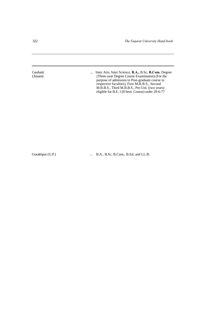322 *The Gujarat University Hand-book*

Gauhatti ... Inter Arts, Inter Science, **B.A., B.S.c, B.Com.** Degree (Assam) (Three-year Degree Course Examination) (For the purpose of admission to Post-graduate course in respective faculties), First M.B.B.S., Second M.B.B.S., Third M.B.B.S., Pre-Uni. (two years) eligible for B.E. I (8 Sem. Course) order 29-6-77

Gorakhpur (U.P.) ... B.A., B.Sc, B.Com., B.Ed, and LL.B.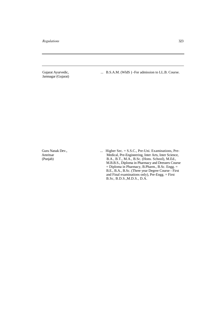Jamnagar (Gujarat)

Gujarat Ayurvedic, ... B.S.A.M. (WldS ) - For admission to LL.B. Course.

Guru Nanak Dev., ... Higher Sec. = S.S.C., Pre-Uni. Examinations, Pre-<br>Medical, Pre-Engineering, Inter Arts, Inter Science, Amritsar Medical, Pre-Engineering, Inter Arts, Inter Science, (Punjab) M.Ed., B.A., B.T., M.A., B.Sc. (Hons. School), M.Ed., B.A., B.T., M.A., B.Sc. (Hons. School), M.Ed., M.B.B.S., Diploma in Pharmacy and Dressers Course = Diploma in Pharmacy, B.Pharm., B.Sc. Engg. = B.E., B.A., B.Sc. (Three year Degree Course - First and Final examinations only), Pre-Engg. = First B.Sc, B.D.S.,M.D.S., D.A.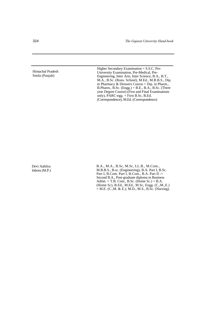324 *The Gujarat University Hand-book*

Himachal Pradesh Simla (Punjab)

Higher Secondary Examination = S.S.C. Pre-University Examination, Pre-Medical, Pre-Engineering, Inter Arts, Inter Science, B.A., B.T., M.A., B.Sc. (Rons. School), M.Ed., M.B.B.S., Dip. in Pharmacy & Dressers Course = Dip. in Pharm., B.Pharm., B.Sc. (Engg.) = B.E., B.A., B.Sc. (Three year Degree Course) (First and Final Examinations only), PARC-egg. = First B.Sc, B.Ed. (Correspondence), M.Ed. (Correspondence)

Devi Aahilya Inborn (M.P.) B.A., M.A., B.Sc, M.Sc, LL.B., M.Com., M.B.B.S., B.sc. (Engineering), B.A. Part I, B.Sc. Part I, B.Com. Part I, B.Com., B.A. Part II -= Second B.A., Post-graduate diploma in Business Admn.  $=$  T.B. Com., B.Sc. (Home Sc.)  $=$  B.A. (Home Sc), B.Ed., M.Ed., M.Sc, Engg. (C.,M.,E.)  $=$  M.E. (C., M. & E.), M.D., M.S., B.Sc. (Nursing).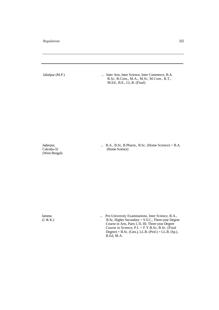Jabalpur (M.P.) ... Inter Arts, Inter Science, Inter Commerce, B.A. B.Sc, B.Com,, M.A., M.Sc, M.Com., B.T., M.Ed., B.E., LL.B. (Final)

(West Bengal)

Jadavpur, ... B.A., B.Sc, B.Pharm., B.Sc. (Home Science) = B.A. Calcutta-32 (Home Science) (Home Science)

Jammu ... Pre-University Examinations, Inter Science, B.A., (J. & K.)<br>B.S.c., Higher Secondary = S.S.C., Three-year Degre  $B.Sc$ , Higher Secondary = S.S.C., Three-year Degree Course in Arts, Parts I, II, III; Three-year Degree Course in Science,  $P.I. = F.Y.B.Sc, B.Sc.$  (Final  $Degree) = B.Sc.$  (Gen.), LL.B. (Prof.) = LL.B. (Sp.), B.Ed, M.A.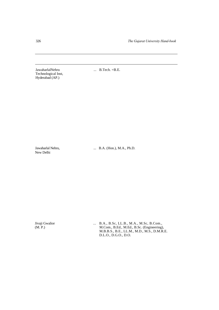326 *The Gujarat University Hand-book*

JawaharlalNehru ... B.Tech. = B.E. Technological Inst, Hyderabad (AP.)

New Delhi

Jawaharlal Nehru, ... B.A. (Hon.), M.A., Ph.D.

Jivaji Gwalior ... B.A., B.Sc, LL.B., M.A., M.Sc, B.Com., (M. P.) <br>M.Com., B.Ed., M.Ed., B.Sc. (Engineering) (M. P.) M.Com., B.Ed., M.Ed., B.Sc. (Engineering), M.B.B.S., B.E., LL.M., M.D., M.S., D.M.R.E. D.L.O., D.G.O., D.O.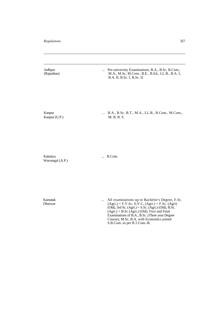Jodhpur ... Pre-university Examinations, B.A., B.Sc, B.Com., (Rajasthan) M.A., M.Sc, M.Com., B.E., B.Ed., LL.B., B.A. I, M.A., M.Sc, M.Com., B.E., B.Ed., LL.B., B.A. I, B.A. II, B.Sc. I, B.Sc. II.

Kanpur ... B.A., B.Sc, B.T., M.A., LL.B., B.Com., M.Com., Kanpur (U.P.) M. B. B. S.

Kakatiya ... B.Com. Warrangal (A.P.)

Karnatak ... All examinations up to Bachelor's Degree, F.Sc.<br>
Charwar (Agri.) = F.Y.Sc, S.S'.C, (Agri.) = F.Sc. (Agri)  $(Agri.) = F.Y.Sc, S.S'.C, (Agri.) = F.Sc. (Agri)$ (Old), 3rd Sc. (Agri.) = S.Sc. (Agri.) (Old), B.Sc.  $(Agri.) = B.Sc (Agri.)$  (Old). First and Final Examinations of B.A., B.Sc. (Three year Degree Course), M.Sc, B.A. with Economics joined S.B.Com. as per R.5 Com.-B.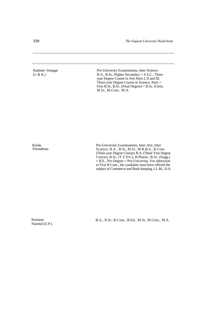### Kashmir- Srinagar (J. & K.)

Pre-University Examinations, Inter Science; B.A., B.Sc, Higher Secondary = S.S.C., Three year Degree Course in Arts Parts I, II and III. Three-year Degree Course in Science, Parti = First B.Sc, B.Sc. (Final Degree) = B.Sc. (Gen), M.Sc, M.Com., M.A.

Kerala Trivendrum Pre-University Examinations, Inter Arts, Inter Science, B.A., B.Sc, M.Sc, M.B.B.S., B.Com. (Three year Degree Course), B.A. (Three Year Degree Course), B.Sc. (T.Y.D.C), B.Pharm., B.Sc. (Engg.)  $=$  B.E., Pre-Degree  $=$  Pre-University. For admission to First B.Com., the candidate must have offered the subject of Commerce and Book-keeping, LL.M., D.A.

Kumaun Nainital (U.P.)

B.A., B.Sc, B.Com., B.Ed., M.Sc, M.Com., M.A.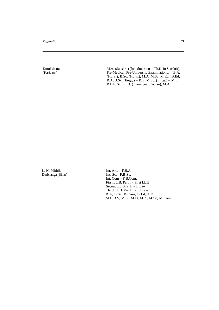Kurukshetra (Hariyana)

M.A. (Sanskrit) (for admission to Ph.D. in Sanskrit), Pre-Medical, Pre-University Examinations, B.A. (Hons.), B.Sc. (Hons.), M.A, M.Sc, M.Ed., B.Ed, B.A, B.Sc. (Engg.) = B.E, M.Sc. (Engg.) = M.E., B.Lib. Sc, LL.B. (Three year Course), M.A.

L. N. Mithila Darbhanga (Bihar) Int.  $Arts = F.B.A.$ Int. Sc. =F.B.Sc. Int. Com = F.B.Com. First LL.B. Part I = First LL.B. Second LL.B. P. II = II Law Third LL.B. Part  $\text{III} = \text{III}$  Law B.A, B.Sc, B/Coin, B.Ed, T.D. M.B.B.S, M.S., M.D, M.A, M.Sc, M.Com.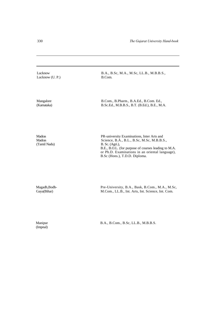Lucknow B.A., B.Sc, M.A., M.Sc, LL.B., M.B.B.S., Lucknow (U. P.) B.Com. Mangalore B.Com., B.Pharm., B.A.Ed., B.Com. Ed., (Karnataka) B.Sc.Ed., M.B.B.S., B.T. (B.Ed.), B.E., M.A. Madras PR-university Examinations, Inter Arts and<br>
Science, B.A., B.L., B.Sc, M.Sc, M.B.B.S Madras Science, B.A., B.L., B.Sc, M.Sc, M.B.B.S., (Tamil Nadu) B. Sc. (Agri.),  $B.$  Sc. (Agri.), B.E., B.O.L. (for purpose of courses leading to M.A. or Ph.D. Examinations in an oriental language), B.Sc (Hons.), T.D.D. Diploma. Magadh,Bodh-<br>
Pre-University, B.A., Bask, B.Com., M.A., M.Sc,<br>
Gaya(Bihar) M.Com., LL.B., Int. Arts, Int. Science, Int. Com. M.Com., LL.B., Int. Arts, Int. Science, Int. Com.

(Impnal)

Manipur B.A., B.Com., B.Sc, LL.B., M.B.B.S.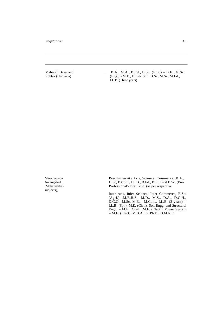Maharshi Dayanand ... B.A., M.A., B.Ed., B.Sc. (Eng.) = B.E., M.Sc. Rohtak (Hariyana) (Eng.) =M.E., B.Lib. Sci., B.Sc, M.Sc, M.Ed., LL.B. (Three years)

subjects),

Marathawada Pre-University Arts, Science, Commerce; B.A., Aurangabad B.Sc, B.Com., LL.B., B.Ed., B.E., First B.Sc. (Pre-B.Sc, B.Com., LL.B., B.Ed., B.E., First B.Sc. (Pre-(Maharashtra) Professional^ First B.Sc. (as per respective

> Inter Arts, Infer Science, Inter Commerce, B.Sc: (Agri.), M.B.B.S., M.D., M.S., D.A., D.C.H., D.G.O., M.Sc, M.Ed., M.Com., LL.B. (3 years) = LL.B. (Spl.), M.E. (Civil), Soil Engg. and Structural Engg. = M.E. (Civil), M.E. (Elect.), Power System  $=$  M.E. (Elect), M.B.A. for Ph.D., D.M.R.E.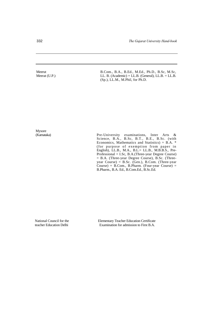Meerut Meerat (U.P.) B.Com., B.A., B.Ed., M.Ed., Ph.D., B.Sc, M.Sc, LL. B. (Academic) = LL.B. (General), LL.B. = LL.B. (Sp.), LL.M., M.Phil, for Ph.D.

Mysore<br>(Karnataka)

(Karnataka) Pre-University examinations, Inter Arts & Science, B.A., B.Sc, B.T., B.E., B.Sc. (with Economics, Mathematics and Statistics) = B.A. \* (for purpose of exemption from paper in English), LL.B., M.A., B.L.= LL.B., M.B.B.S., Pre-Professional = I.Sc, B.A.(Three-year Degree Course) = B.A. (Three-year Degree Course), B.Sc. (Threeyear Course) = B.Sc. (Gen.), B.Com. (Three-year Course) = B.Com., B.Pharm. (Four-year Course) = B.Pharm., B.A. Ed., B.Com.Ed., B.Sc.Ed.

National Council for the teacher Education Delhi

Elementary Teacher Education Certificate Examination for admission to First B.A.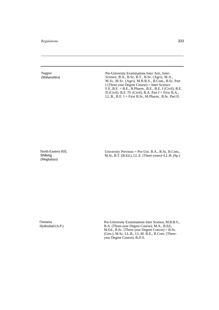Nagpur (Maharashtra) Pre-University Examinations Inter Arts, Inter-Science, B.A., B.Sc, B.T., B.Sc. (Agri), M.A., M.Sc, M.Sc. (Agri), M.B.B.S., B.Com., B.Sc. Part I (Three year Degree Course) = Inter Science F.E..B.E. = B.E., B.Pharm., B.E., B.E. I (Civil), B.E. II (Civil), B.E. IV (Civil), B.A. Part  $I =$  First B.A., LL.B., B.E. I = First B.Sc, M.Pharm., B.Sc. Part II.

North-Eastern Hill, Shilong (Meghalaya)

University Previous = Pre-Uni. B.A., B.Sc, B.Com., M.Sc, B.T. (B.Ed.), LL.E. (Three-years)=LL.B. (Sp.)

Osmania Hyderabad (A.P.) Pre-University Examinations Inter Science, M.B.B.S., B.A. (Three-year Degree Course), M.A., B.Ed., M.Ed., B.Sc. (Three-year Degree Course) = B.Sc. (Gen.), M.Sc, LL.B., LL.M. B.E., B.Com. (Threeyear Degree Course), B.D.S.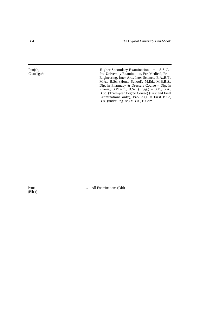Punjab, ... Higher Secondary Examination = S.S.C. Chandigarh Pre-University Examination, Pre-Medical, Pre-Engineering, Inter Arts, Inter Science, B.A..B.T., M.A., B.Sc. (Hons. School), M.Ed., M.B.B.S., Dip. in Pharmacy & Dressers Course = Dip. in Pharm., B.Pharm., B.Sc. (Engg.) = B.E., B.A., B.Sc. (Three-year Degree Course) (First and Final Examinations only), Pre-Engg. = First B.Sc, B.A. (under Reg. 8d) = B.A., B.Com.

(Bihar)

Patna ... All Examinations (Old)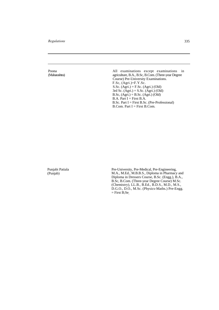Poona (Maharashtra) All examinations except examinations in agriculture, B.A., B.Sc, B.Com. (Three-year Degree Course) Pre-University Examinations. F.Sc, (Agri.)=F.Y.Sc. S.Sc.  $(Agri.) = F.Sc. (Agri.)$  (Old) 3rd Sc. (Agri.) = S.Sc. (Agri.) (Old) B.Sc,  $(Agri.) = B.Sc. (Agri.)$  (Old)  $B.A.$  Part  $I =$  First  $B.A.$ B.Sc. Part I = First B.Sc. (Pre-Professional) B.Com. Part I = First B.Com.

Punjabi Patiala (Punjab)

Pre-University, Pre-Medical, Pre-Engineering, M.A., M.Ed., M.B.B.S., Diploma in Pharmacy and Diploma in Dressers Course, B.Sc. (Engg.), B.A., B.Sc, B.Com. (Three-year Degree Course) M.Sc. (Chemistry), LL.B., B.Ed., B.D.S., M.D., M.S., D.G.O., D.O., M.Sc. (Physics-Maths.) Pre-Engg.  $=$  First B;Se<sub>;</sub>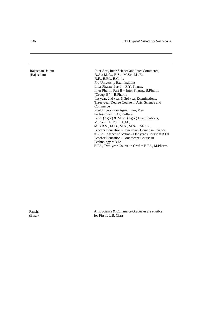| Rajasthan, Jaipur | Inter Arts, Inter Science and Inter Commerce,             |
|-------------------|-----------------------------------------------------------|
| (Rajasthan)       | B.A.; M.A., B.Sc, M.Sc, LL.B.                             |
|                   | B.E., B.Ed., B.Com.                                       |
|                   | <b>Pre-University Examinations</b>                        |
|                   | Inter Pharm. Part $I = F.Y$ . Pharm.                      |
|                   | Inter Pharm. Part $II =$ Inter Pharm., B. Pharm.          |
|                   | $(Group 'B') = B.Pharm.$                                  |
|                   | 1st year, 2nd year & 3rd year Examinations:               |
|                   | Three-year Degree Course in Arts, Science and             |
|                   | Commerce                                                  |
|                   | Pre-University in Agriculture, Pre-                       |
|                   | Professional in Agriculture                               |
|                   | B.Sc. (Agri.) & M.Sc. (Agri.) Examinations,               |
|                   | M.Com., M.Ed., LL.M.,                                     |
|                   | M.B.B.S., M.D., M.S., M.Sc. (Mcd.)                        |
|                   | Teacher Education - Four years' Course in Science         |
|                   | $=$ B.Ed. Teacher Education - One year's Course $=$ B.Ed. |
|                   | Teacher Education - Four Years' Course in                 |
|                   | $Technology = B.Ed.$                                      |
|                   | B.Ed., Two-year Course in Craft = B.Ed., M.Pharm.         |

Ranchi (Bihar)

Arts, Science & Commerce Graduates are eligible for First LL.B. Class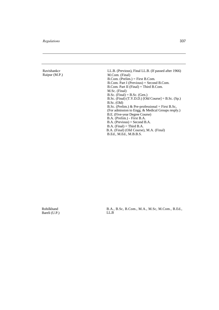| Ravishankcr   | LL.B. (Previous), Final LL.B. (If passed after 1966)  |
|---------------|-------------------------------------------------------|
| Raipur (M.P.) | M.Com. (Final)                                        |
|               | $B_{\rm}$ Com. (Prelim.) = First B.Com.               |
|               | $B. Com. Part I (Previous) = Second B. Com.$          |
|               | $B_{\rm}$ Com. Part II (Final) = Third B.Com.         |
|               | M.Sc. (Final)                                         |
|               | $B.Sc.$ (Final) = B.Sc. (Gen.)                        |
|               | B.Sc. (Final) $(T.Y.D.D.)$ [Old Course] = B.Sc. (Sp.) |
|               | $B.Sc.$ (Old)                                         |
|               | B.Sc. (Prelim.) & Pre-professional = First B.Sc.      |
|               | (For admission to Engg. & Medical Groups resply.)     |
|               | B.E. (Five-year Degree Course)                        |
|               | B.A. (Prelim.) - First B.A.                           |
|               | $B.A.$ (Previous) = Second B.A.                       |
|               | $B.A.$ (Final) = Third $B.A.$                         |
|               | B.A. (Final) (Old Course), M.A. (Final)               |
|               | B.Ed., M.Ed., M.B.B.S.                                |

Rohilkhand Bareli (U.P.) B.A., B.Sc, B.Com., M.A., M.Sc, M.Com., B.Ed., LL.B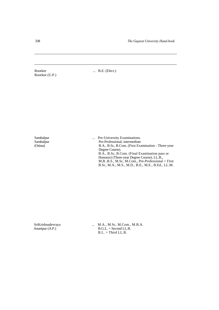Roorkee ... B.E. (Elect.) Roorkee (U.P.)

Sambalpur ... Pre-University Examinations.<br>
Sambalpur Pre-Professional, intermediate Sambalpur Pre-Professional, intermediate<br>
(Orissa) B.A., B.Sc, B.Com. (First Example 2014) B.A., B.Sc, B.Com. (First Examination - Three-year Degree Course). B.A., B.Sc, B.Com. (Final Examination pass or Honours) (Three-year Degree Course), LL.B., M.B..B.S., M.Sc, M.Com., Pre-Professional = First B.Sc, M.A., M.S., M.D., B.E., M.E., B.Ed., LL.M.

SriKrishnadevraya ... M.A., M.Sc, M.Com., M.B.A.<br>Anantpur (A.P.) <br>B.G.L. = Second LL.B.  $B.G.L. = Second LL.B.$  $B.L. = Third LL.B.$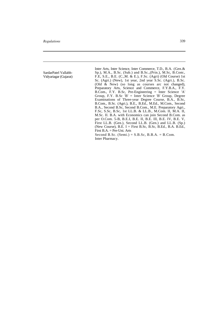SardarPatel Vallabh-Vidyariagar (Gujarat) Inter Arts, Inter Science, Inter Commerce, T.D., B.A. (Gen.& Sp.), M.A., B.Sc. (Sub.) and B.Sc.,(Prin.), M.Sc, B.Com:, F.E, S.E., B.E. (C.,M. & E.), F.Sc. (Agri) (Old Course) 1st Sc. (Agri.) (New), 1st year, 2nd year S.Sc. (Agri.), B.Sc. (Old & New) (so long as courses arc not changed), Preparatory Arts, Science and Commerce, F.Y.B.A., F.Y. B.Com., F.Y. B.Sc, Pre-Engineering = Inter Science 'A' Group, F.Y. B.Sc  $B' =$  Inter Science 'B' Group, Degree Examinations of Three-year Degree Course, B.A., B.Sc, B.Com., B.Sc. (Agri.), B.E., B.Ed., M.Ed., M.Com., Second B.A., Second B.Sc, Second B.Com., M.E. Preparatory Agri., F.Sc, S.Sc, B.Sc, 1st LL.B. & LL.B., M.Com. II, M.A. II, M.Sc. II. B.A. with Economics can join Second B.Com. as per O.Com. 5-B, B.E.I, B.E. II, B.E. Ill, B.E. IV, B.E. V, First LL.B. (Gen.), Second LL.B. (Gen.) and LL.B. (Sp.) (New Course),  $B.E. I = First B.Sc, B.Sc, B.Ed., B.A. B.Ed.,$ First B.A. = Pre-Uni. Arts Second B.Sc. (Semi.) =  $S.B.Sc, B.B.A. = B.Com$ . Inter Pharmacy.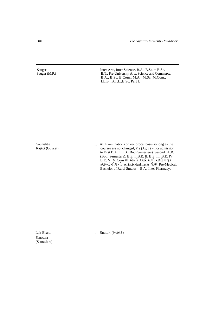| Saugar                                | Inter Arts, Inter Science, B.A., B.Sc. = $B.$ Sc.                                                                                                                                                                                                                                                                                                                                                           |
|---------------------------------------|-------------------------------------------------------------------------------------------------------------------------------------------------------------------------------------------------------------------------------------------------------------------------------------------------------------------------------------------------------------------------------------------------------------|
| Saugar (M.P.)                         | $\cdots$<br>B.T;, Pre-University Arts, Science and Commerce,<br>B.A., B.Sc, B.Com., M.A., M.Sc, M.Com.,<br>LL.B., B.T.L., B.Sc. Part I.                                                                                                                                                                                                                                                                     |
| <b>Saurashtra</b><br>Rajkot (Gujarat) | All Examinations on reciprocal basis so long as the<br>$\cdots$<br>courses are not changed, Pre $(Agri.)$ = For admission<br>to First B.A., LL.B. (Both Semesters), Second LL.B.<br>(Both Semesters), B.E. I, B.E. II, B.E. III, B.E. IV,<br>B.E. V, M.Com માં એક કે વધારે સત્રો રાખી મંજૂર<br>કરાવ્યાં હોય તો on individual merits જોવાં Pre-Medical,<br>Bachelor of Rural Studies = B.A., Inter Pharmacy. |

Sanosara (Saurashtra)

Lok-Bharti ... Snatak (स्नारात )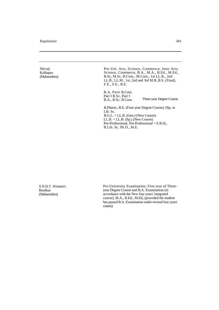Shivaji Kolhapur (Maharashtra) Pre-Uni. Arts, Science, Commerce, Inter Arts, Science, Commerce, B.A., M.A., B.Ed., M.Ed., B.Sc, M.Sc, B.Com., M.Com., 1st LL.B., 2nd LL.B., LL.M., 1st, 2nd and 3rd M.B.,B.S. (Final), F.E., S.E., B.E.

B.A, Parti B.Com. Part I B.Sc, Part I<br>B.A., B.Sc, B.Com. Three-year Degree Course

B.Pharm., B.E. (Four-year Degree Course), Dip. in Lib. Sc. B.G.L. = LL.B. (Gen.) (New Course)  $LL.B. = LL.B.$  (Sp.) (New Course) Pre-Professional, Pre-Professional = F.B.Sc, B.Lib. Sc, Ph.D., M.E.

S.N.D.T. Women's Bombay (Maharashtra)

Pre-University Examination, First year of Threeyear Degree Course and B.A. Examination (in accordance with the New four years' integrated course), M.A., B.Ed., M.Ed, (provided the student has passed B.A. Examination under revised four years' course)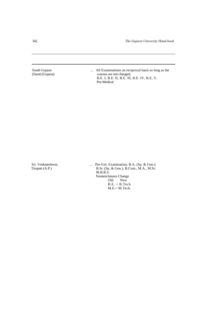South Gujarat ... All Examinations on reciprocal basis so long as the (Surat) (Gujarat) ... All Examinations on reciprocal basis so long as the courses are not changed. courses are not changed. B.E. I, B.E. II, B.E. Ill, B.E. IV, B.E. V, Pre-Medical

Sri. Venkateshwar, ... Pre-Uni. Examination, B.A. (Sp. & Gen.), Tirupati (A.P.) B.Sc (Sp. & Gen.), B.Com., M.A., M.Sc. B.Sc (Sp. & Gen.), B.Com., M.A., M.Sc. M.B.B.S. Nomenclatures Change Old New  $B.E. = B.Tech$ M.E.= M.Tech.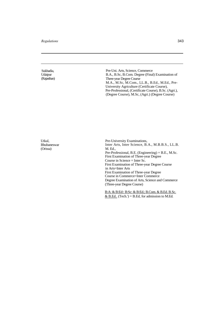Sukhadia, Udaipur (Rajasthan) Pre-Uni. Arts, Science, Commerce B.A., B.Sc, B.Com. Degree (Final) Examination of Three-year Degree Course M.A., M.Sc, M.Com., LL.B., B.Ed., M.Ed., Pre-University Agriculture (Certificate Course), Pre-Professional, (Certificate Course), B.Sc. (Agri.), (Degree Course), M.Sc, (Agri.) (Degree Course) Utkal, Bhubaneswar (Orissa) Pre-University Examinations, Inter Arts, Inter Science, B.A., M.B.B.S., LL.B. M. Ed., Pre-Professional, B.E. (Engineering) = B.E., M.Sc. First Examination of Three-year Degree Course in Science = Inter Sc. First Examination of Three-year Degree Course in Arts=Inter Arts First Examination of Three-year Degree Course in Commerce=Inter Commerce Degree Examination of Arts, Science and Commerce (Three-year Degree Course) B:A: & B:Ed:: B:Sc: & B:Ed.; B.Com. & B.Ed. B.Sc.  $&$  B.Ed.. (Tech.') = B.Ed, for admission to M.Ed.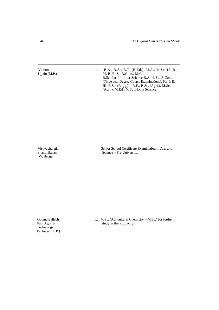Vikram, ... B.A., B.Sc, B.T. (B.Ed.), M.A., M.Sc, LL.B.<br>Ujjain (M.P.) M.B.B.S., B.Com., M.Com. M. B. B. S., B.Com., M.Com. B.Sc. Part I = Inter Science B.A., B.Sc, B.Com. (Three year Degree Course Examinations), Part I, II, III. B.Sc. (Engg.) = B.E., B.Sc. (Agri.), M.Sc. (Agri.), M.Ed., M.Sc, Home Science.

(W. Bengal)

Vishvabharati, ... Senior School Certificate Examination in Arts and Shantiniketan Science = Pre-University.  $Science = Pre-University.$ 

Technology, Pantnagar (U.P.)

Govind Ballabh ... M.Sc. (Agricultural Chemistry = M.Sc.) for further<br>Pant Agri. & study in that sub. only. study in that sub. only.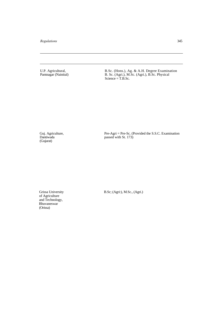U.P. Agricultural, B.Sc. (Hons.), Ag. & A.H. Degree Examination Pantnagar (Nainital) B. Sc. (Agri.), M.Sc. (Agri.), B.Sc. Physical  $Science = T.B.Sc.$ 

Guj. Agriculture,<br>Dantiwada<br>(Gujarat)

Guj. Agriculture, **Pre-Agri** = Pre-Agri = Pre-Sc. (Provided the S.S.C. Examination Dantiwada passed with St. 173)

of Agriculture and Technology, **Bhuvaneswar** (Orissa)

Grissa University B.Sc; (Agri:), M.Sc., (Agri.)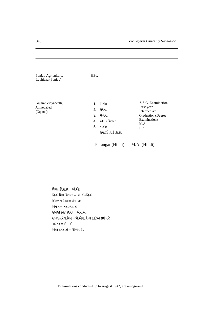| 1<br>Punjab Agriculture,<br>Ludhiana (Punjab) | B.Ed.                                                                                                   |                                                                                                               |
|-----------------------------------------------|---------------------------------------------------------------------------------------------------------|---------------------------------------------------------------------------------------------------------------|
| Gujarat Vidyapeeth,<br>Ahmedabad<br>(Gujarat) | વિનીત<br>1.<br>2.<br>પ્રથમા<br>3.<br>મધ્યમા<br>સ્નાતક વિશારદ<br>4.<br>પારંગત<br>5.<br>સમાજવિદ્યા વિશારદ | S.S.C. Examination<br>First year<br>Intermediate<br><b>Graduation</b> (Degree<br>Examination)<br>M.A.<br>B.A. |
|                                               | Parangat (Hindi) = M.A. (Hindi)                                                                         |                                                                                                               |

શિક્ષણ વિશારદ $=$  બી.એડ હિન્દી શિક્ષાવિશારદ $=$  બી.એડ હિન્દી શિક્ષણ પારંગત $=$ એમ.એડ વિનીત $=$ એસ.એસ.સી. સમાજવિદ્યા પારંગત $=$ એમ.એ.  $R$ સમાજકાર્ય પારંગત $=$  પી.એચ.ડી.ના સંશોધન કાર્ય માટે પારંગત $=$ એમ.એ. વિદ્યાવાચસ્પતિ $=$  પીએચ. $\Omega$ .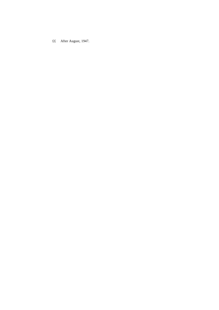££ After August, 1947.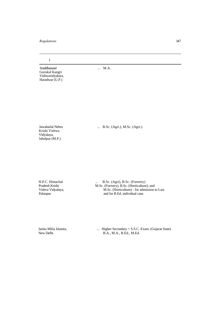1

Sraddhanand ... M.A. Gurukul Kangri Vishwavidyalaya, Haradwar (U.P.)

Krishi Vishwa Vidyalaya, Jabalpur (M.P.)

Jawaharlal Nehru ... B.Sc. (Agri.), M.Sc. (Agri.).

H.P.C. Himachal ... B.Sc. (Agri), B.Sc. (Forestry) Pradesh Krishi M.Sc. (Forestry), B.Sc. (Horticulture), and Vishva Vidyalaya, M.Sc. (Horticulture) - for admission to Law Palanpur and for B.Ed, individual case. and for B.Ed, individual case.

Jamia Milia Islamia, ... Higher Secondary = S.S.C. Exam. (Gujarat State)<br>New Delhi<br> $B.A., M.A., B.Ed., M.Ed.$ B.A., M.A., B.Ed., M.Ed.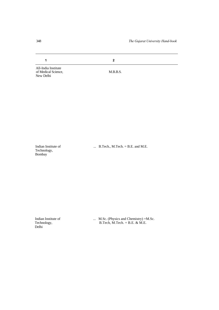**1 2**

All-India Institute of Medical Science, M.B.B.S. New Delhi

Technology, Bombay

Indian Institute of ... B.Tech., M.Tech. = B.E. and M.E.

Delhi

Indian Institute of ... M.Sc. (Physics and Chemistry) =M.Sc.<br>Technology, B.Tech, M.Tech. = B.E. & M.E.  $B.Tech, M.Tech. = B.E. & M.E.$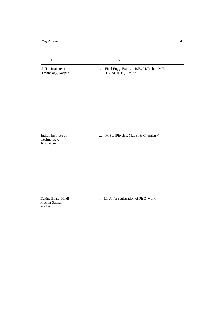1 2

Indian Institute of ... Final Engg. Exam. = B.E., M.Tech. = M.E.<br>Technology, Kanpur (C, M. & E.) M.Sc.  $(C, M. \& E.)$  M.Sc.

Technology, Khadakpur

Indian Institute of ... M.Sc. (Physics, Maths. & Chemistry).

Prachar Sabha, Madras

Daxina Bharat Hindi ... M. A. for registration of Ph.D. work.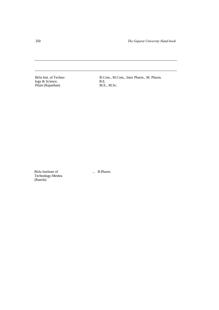logy & Science, B.E. Pilani (Rajasthan) M.E., M.Sc.

B.Com., M.Com., Inter Pharm., M. Pharm.<br>B.E.

Birla Institute of ... B.Pharm. Technology-Meshra (Ranchi)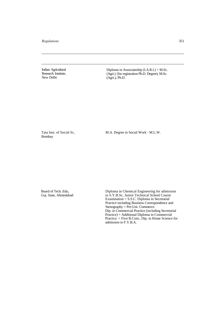Indian Agricultural Research Institute, New Delhi

Diploma in Associateship (I.A.R.I.) = M.Sc. (Agri.) {for registration Ph.D. Degree), M.Sc. (Agri.), Ph.D.

Tata Inst. of Social Sc, Bombay

M.A. Degree in Social Work - M.L.W.

Board of Tech. Edu, Guj. State, Ahmedabad

Diploma in Chemical Engineering for admission to S.Y.B.Sc, Junior Technical School Course Examination = S.S.C. Diploma in Secretarial Practice including Business Correspondence and Stenography = Pre-Uni. Commerce. Dip. in Commercial Practice (including Secretarial Practice) = Additional Diploma in Commercial Practice. = First B.Com., Dip. in Home Science for admission to F.Y.B.A.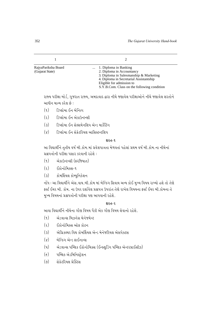| RajyaPariksha Board<br>(Gujarat State) | 1. Diploma in Banking<br>2. Diploma in Accountancy<br>3. Diploma in Salesmanship & Marketing<br>4. Diploma in Secretarial Assistantship<br>Eligible for admission to<br>S.Y.B.Com. Class on the following condition |
|----------------------------------------|---------------------------------------------------------------------------------------------------------------------------------------------------------------------------------------------------------------------|

રાજ્ય પરીક્ષા બોર્ડ, ગુજરાત રાજ્ય, અમદાવાદ દ્વારા નીચે જણાવેલ પરીક્ષાઓને નીચે જણાવેલ શરતોને આધીન માન્ય કરેલ છે :

- (૧) ડિપ્લોમા ઈન બેન્કિંગ
- (૨) ડિપ્લોમા ઈન એકાઉન્ટન્સી
- $(s)$   $\sim$  ડિપ્લોમા ઈન સેલ્સમેનશિપ એન્ડ માર્કેટિંગ
- $(x)$   $\alpha$   $\Omega$ પ્લોમા ઈન સેક્રેટરિયલ આસિસ્ટન્ટશિપ

## **þhík-1**

આ વિદ્યાર્થીને તૃતીય વર્ષ બી.કોમ.માં પ્રવેશપાત્રતા મેળવતાં પહેલાં પ્રથમ વર્ષ બી.કોમ.ના નીચેનાં પ્રશ્નપત્રોની પરીક્ષા પસાર કરવાની રહેશે :

- $(9)$  *એકાઉન્ટન્સી (ફરજિયાત)*
- (૨) ઈકોનોમિક્સ-૧
- (૩) કોમર્શિયલ કોમ્યુનિકેશન

નોંધ : આ વિદ્યાર્થીને એસ.વાય.બી.કોમ માં બેન્કિંગ સિવાય અન્ય કોઈ મુખ્ય વિષય રાખ્યો હશે તો તેણે કર્સ્ટ ઈયર બી. કોમ. ના ઉપર દર્શાવેલ પ્રશ્નપત્ર ઉપરાંત તેણે રાખેલ વિષયના કર્સ્ટ ઈયર બી.કોમના તે મુખ્ય વિષયનાં પ્રશ્નપત્રોની પરીક્ષા પણ આપવાની રહેશે.

# **þhík-2**

આવા વિઘાર્થીને નીચેના ગૌણ વિષય પૈકી એક ગૌણ વિષય લેવાનો રહેશે.

- $(1)$  એડવાન્સ બિઝનેસ મેનેજમેન્ટ
- $\Omega$   $\Omega$ kkal puls size
- (3) એગ્રિકલ્ચર વિથ કોમર્શિયલ એન્ડ મેનેજરિયલ એસપેક્ટસ
- (૪) બેન્કિંગ એન્ડ ફાઈનાન્સ
- (૫) એડવાન્સ પબ્લિક ઈકોનોમિક્સ (ઈન્ક્લુડિંગ પબ્લિક એન્ટરપ્રાઈસીઝ)
- $(\epsilon)$  યબ્લિક એડમિનિસ્ટ્રેશન
- $(9)$  Akapuer Machen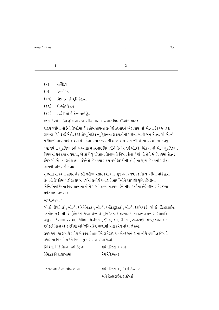1 2

- $(\zeta)$  માર્કેટિંગ
- $(e)$  ઈન્સ્યૌરન્સ
- $(90)$  બિઝનેસ કોમ્યુનિકેશન્સ
- $(qq)$   $q\overline{q}$ -ઓપરેશન
- $(92)$  des red des des des

કક્ત ડિપ્લોમા ઈન હોમ સાયન્સ પરીક્ષા પસાર કરનાર વિદ્યાર્થીઓને માટે :

<u>રાજ્ય પરીક્ષા બોર્ડની ડિપ્લોમા ઈન હોમ સાયન્સ ઉત્તીર્ણ કરનારને એક વાય બી.એ.ના (૧) જનરલ</u> સાયન્સ (૨) ફર્સ્ટ એઈડ (૩) કોમ્યુનિટિવ ન્યુટ્રિશનનાં પ્રશ્નપત્રોની પરીક્ષા આપી અને સેકન્ડ બી.એ.ની પરીક્ષાની સાથે સાથે અથવા તે પહેલાં પસાર કરવાની શરતે એસ.વાય.બી.એ.માં પ્રવેશપાત્ર ગણવું. ત્રણ વર્ષના ગૃહવિજ્ઞાનનો અભ્યાસક્રમ કરનાર વિદ્યાર્થીને દ્વિતીય વર્ષ બી.એ. (સેકન્ડ બી.એ.) ગૃહવિજ્ઞાન વિષયમાં પ્રવેશપાત્ર ગણવા, જો કોઈ ગૃહવિજ્ઞાન સિવાયનો વિષય લેવા ઇચ્છે તો તેને જે વિષયમાં સેકન્ડ ઈયર બી.એ. માં પ્રવેશ લેવા ઈચ્છે તે વિષયમાં પ્રથમ વર્ષ (ફર્સ્ટ બી.એ.) ના મુખ્ય વિષયની પરીક્ષા આપવી અનિવાર્ય ગણાશે.

ગુજરાત રાજ્યની હાયર સેકન્ડરી પરીક્ષા પસાર કર્યા બાદ ગુજરાત રાજ્ય ટેકનિકલ પરીક્ષા બોર્ડ દ્વારા લેવાતી ડિપ્લોમા પરીક્ષા પ્રથમ વર્ગમાં ઉત્તીર્ણ થનાર વિદ્યાર્થીઓને આપણી યુનિવર્સિટીના એન્જિનિયરિંગના વિદ્યાશાખાના જે તે પદવી અભ્યાસક્રમમાં (જે નીચે દર્શાવ્યા છે) ત્રીજા સેમેસ્ટરમાં  $y$ वेशपात्र ગણવા $\cdot$ :

અભ્યાસક્રમો :

બી.ઈ. (સિવિલ), બી.ઈ. (મિકેનિકલ), બી.ઈ. (ઈલેક્ટીકલ), બી.ઈ. (કેમિકલ), બી.ઈ. (ટેક્સટાઈલ ટેકનોલોજી), બી.ઈ. (ઈલેક્ટ્રોનિક્સ એન્ડ કોમ્યુનિકેશન્સ) અભ્યાસક્રમમાં દાખલ થનાર વિદ્યાર્થીએ અનુક્રમે ડિપ્લોમાં પરીક્ષા, સિવિલ, મિકેનિકલ, ઈલેક્ટ્રીકલ, કેમિકલ, ટેક્સટાઈલ મેન્યુફેક્ચર્સ અને ઈલેક્ટ્રોનિક્સ એન્ડ રેડિયો એન્જિનિયરિંગ શાળામાં પાસ કરેલ હોવી જોઈએ.

ઉપર જણાવ્યા પ્રમાણે પ્રવેશ મેળવેલ વિદ્યાર્થીએ સેમેસ્ટર ૧ (એક) અને ૨ ના નીચે દર્શાવેલ વિષયો વધારાના વિષયો તરીકે નિયમાનુસાર પાસ કરવા પડશે.

| સિવિલ, મિકેનિક્સ, ઇલેક્ટ્રિકલ | મેથેમેટિક્સ-૧ અને            |
|-------------------------------|------------------------------|
| કેમિકલ વિદ્યાશાખામાં          | મેથેમેટિક્સ-૨                |
| ટેક્સટાઈલ ટેકનોલોજી શાખામાં   | મેથેમેટિક્સ-૧, મેથેમેટિક્સ-૨ |
|                               | અને ટેક્સટાઈલ ફાઈબર્સ        |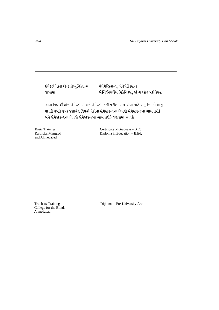ઈલેક્ટ્રોનિક્સ એન્ડ કોમ્યુનિકેશન્સ મેથેમેટિક્સ-૧, મેથેમેટિક્સ-૨

શાખામાં kt *અન્જિ*નિયરિંગ મિકેનિક્સ, સ્ટ્રેન્થ ઓફ મટીરિયલ

આવા વિદ્યાર્થીઓને સેમેસ્ટર-૩ અને સેમેસ્ટર-૪ની પરીક્ષા પાસ કરવા માટે ચાલુ નિયમો લાગુ પાડતી વખતે ઉપર જણાવેલ વિષયો પૈકીના સેમેસ્ટર-૧ના વિષયો સેમેસ્ટર-૩ના ભાગ તરીકે અને સેમેસ્ટર-૨ના વિષયો સેમેસ્ટર-૪ના ભાગ તરીકે ગણવામાં આવશે.

and Ahmedabad

Basic Training Certificate of Graduate = B.Ed.<br>
Rajpipla, Mangrol Diploma in Education = B.Ed. Diploma in Education  $=$  B.Ed,

College for the Blind, Ahmedabad

Teachers' Training Diploma = Pre-University Arts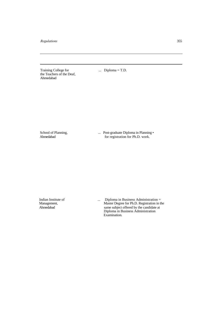Training College for ... Diploma = T.D. the Teachers of the Deaf, Ahmedabad

School of Planning, ... Post-graduate Diploma in Planning • Ahmedabad for registration for Ph.D. work. for registration for Ph.D. work.

Indian Institute of ... Diploma in Business Administration = Management, Master Degree for Ph.D. Registration in the Ahmedabad same subject offered by the candidate at Diploma in Business Administration Examination.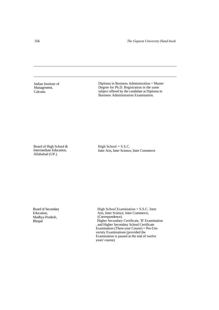Indian Institute of Management, **Calcutta** 

Diploma in Business Administration = Master Degree for Ph.D. Registration in the same subject offered by the candidate at Diploma in Business Administration Examination.

Board of High School & Intermediate Education, Allahabad (UP.)

High School  $=$  S.S.C. Inter Arts, Inter Science, Inter Commerce

Board of Secondary Education, Madhya Pradesh, Bhopal

High School Examination = S.S.C. Inter Arts, Inter Science, Inter Commerce, (Correspondence). Higher Secondary Certificate, 'B' Examination . and Higher Secondary School Certificate Examination (Three-year Course) = Pre-University Examinations (provided the Examination is passed at the end of twelve years' course).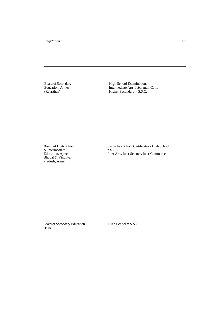Board of Secondary High School Examination.<br>
Education, Ajmer High School Examination.<br>
Intermediate Arts, I.Sc, and Education, Ajmer<br>
Intermediate Arts, I.Sc, and I.Com.<br>
Intermediate Arts, I.Sc, and I.Com.<br>
Higher Secondary = S.S.C. Higher Secondary  $=$  S.S.C.

& Intermediate<br>Education, Ajmer Bhopal & Vindhya Pradesh, Ajmer

Board of High School Secondary School Certificate or High School  $E = S.S.C.  
Inter Arts, Inter Science, Inter Commerce$ 

Board of Secondary Education, High School = S.S.C. Delhi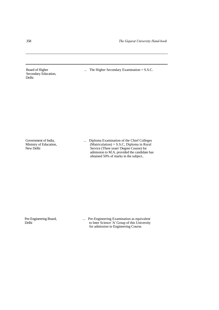Secondary Education, Delhi

Board of Higher ... The Higher Secondary Examination = S.S.C.

Government of India, ... ... Diploma Examination of the Chief Colleges Ministry of Education, (Matriculation) = S.S.C, Diploma in Rural New Delhi Service (Three years' Degree Course) for admission to M.A. provided the candidate has obtained 50% of marks in the subject..

Pre-Engineering Board, ... Pre-Engineering Examination as equivalent Delhi<br>to Inter Science 'A' Group of this University to Inter Science 'A' Group of this University for admission to Engineering Course.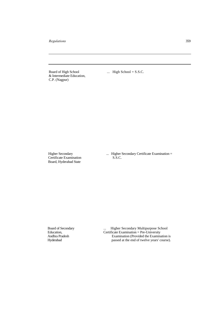Board of High School ... High School = S.S.C. & Intermediate Education, C.P. (Nagpur)

Certificate Examination Board, Hyderabad State

Higher Secondary ... Higher Secondary Certificate Examination = Certificate Examination = S.S.C.

Board of Secondary **Example 20** 11 **Example 21** 11 **Higher Secondary Multipurpose School** Education, Certificate Examination = Pre-University Andhra Pradesh Examination (Provided the Examination is Hyderabad passed at the end of twelve years' course). passed at the end of twelve years' course).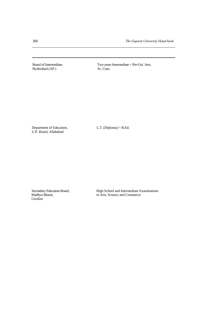Hyderabad (AP.)

Board of Intermediate, Two years Intermediate = Pre-Uni. Arts, Hyderabad (AP.) Sc, Com.

Department of Education, L.T. (Diploma) = B.Ed. U.P. Board, Allahabad

Gwalior

Secondary Education Board, High School and Intermediate Examinations<br>Madhya Bharat, in Arts, Science and Commerce in Arts, Science and Commerce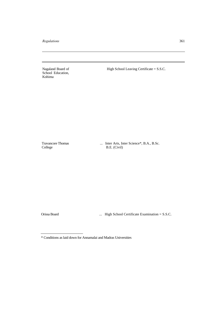Nagaland Board of School Education, Kohima

High School Leaving Certificate = S.S.C.

Travancore Thomas College

... Inter Arts, Inter Science\*, B.A., B.Sc. B.E. (Civil)

Orissa Board ... High School Certificate Examination = S.S.C.

<sup>\*</sup> Conditions as laid down for Annamalai and Madras Universities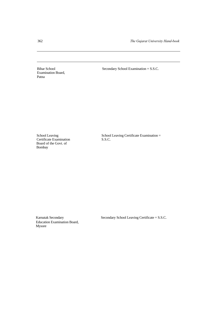Examination Board, Patna

Bihar School Secondary School Examination = S.S.C.

School Leaving<br>Certificate Examination Board of the Govt. of Bombay

School Leaving Certificate Examination = S.S.C.

Education Examination Board, Mysore

Karnatak Secondary Secondary Secondary School Leaving Certificate = S.S.C.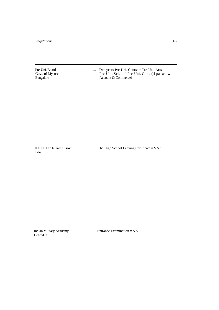Pre-Uni. Board, ... Two years Pre-Uni. Course = Pre-Uni. Arts, Govt. of Mysore **Pre-Uni. Sci. and Pre-Uni.** Com. (if passed with Govt. of Mysore Pre-Uni. Sci. and Pre-<br>Bangalore Account & Commerce)

India

H.E.H. The Nizam's Govt., ... The High School Leaving Certificate = S.S.C.

Dehradun

Indian Military Academy, ... Entrance Examination = S.S.C.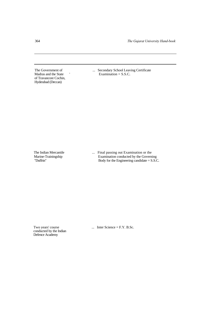of Travancore Cochin, Hyderabad (Deccan)

The Government of ... Secondary School Leaving Certificate<br>Madras and the State ... Secondary School Leaving Certificate<br>Examination = S.S.C.  $Examination = S.S.C.$ 

The Indian Mercantile ... Final passing out Examination or the Marine-Trainingship Examination conducted by the Governi Marine-Trainingship Examination conducted by the Governing<br>
"Duffrin" Body for the Engineering candidate = S.S.C Body for the Engineering candidate  $=$  S.S.C.

conducted by the Indian Defence Academy

Two years' course ... Inter Science = F.Y. B.Sc.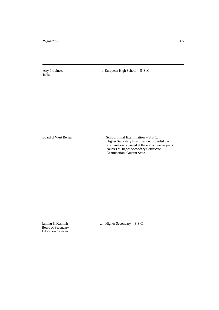India

Any Province, ... European High School = S .S .C.

Board of West Bengal ... School Final Examination = S.S.C. Higher Secondary Exarnination (provided the examination is passed at the end of twelve years' course) = Higher Secondary Certificate Examination, Gujarat State.

Board of Secondary Education, Srinagar

Jammu & Kashmir ... Higher Secondary = S.S.C.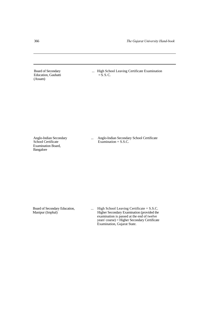Education, Gauhatti (Assam)

Board of Secondary ... High School Leaving Certificate Examination<br>Education, Gauhatti  $=$  S. S. C.

Examination Board, Bangalore

Anglo-Indian Secondary ... Anglo-Indian Secondary School Certificate<br>
School Certificate<br>
Examination = S.S.C. Examination  $=$  S.S.C.

Board of Secondary Education, .... High School Leaving Certificate = S.S.C.<br>Manipur (Imphal) Higher Secondary Examination (provided the Higher Secondary Examination (provided the examination is passed at the end of twelve years' course) = Higher Secondary Certificate Examination, Gujarat State.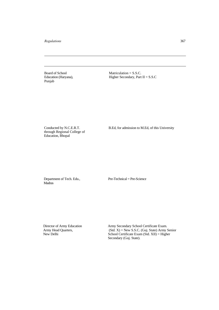Punjab

Board of School Matriculation = S.S.C. Education (Haryana), Higher Secondary, Part II = S.S.C

through Regional College of Education, Bhopal

Conducted by N.C.E.R.T. B.Ed, for admission to M.Ed, of this University

**Madras** 

Department of Tech. Edu., Pre-Technical = Pre-Science

Director of Army Education Army Secondary School Certificate Exam. Army Head Quarters, (Std. X) = New S.S.C. (Guj. State) Army Senior<br>New Delhi<br>School Certificate Exam (Std. XII) = Higher  $School$  Certificate Exam  $(Std. XII) = Higher$ Secondary (Guj. State).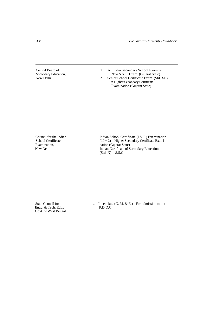Central Board of ... 1. All India Secondary School Exam. =<br>Secondary Education, New S.S.C. Exam. (Gujarat State) Secondary Education, New S.S.C. Exam. (Gujarat State)<br>New Delhi<br>2. Senior School Certificate Exam. (Std. Senior School Certificate Exam. (Std. XII) = Higher Secondary Certificate Examination (Gujarat State)

Council for the Indian ... Indian School Certificate (I.S.C.) Examination School Certificate  $(10+2)$  = Higher Secondary Certificate Exami- $(10 + 2)$  = Higher Secondary Certificate Exami-Examination, nation (Gujarat State)<br>New Delhi<br>Indian Certificate of S Indian Certificate of Secondary Education  $(Std. X) = S.S.C.$ 

Engg. & Tech. Edu., Govt. of West Bengal

State Council for ... Licenciate (C, M. & E.) - For admission to 1st<br>Engg. & Tech. Edu., P.D.D.C.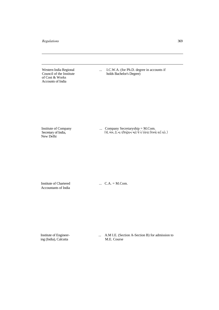of Cost & Works Accounts of India

Western India Regional ... I.C.W.A. (for Ph.D. degree in accounts if Council of the Institute holds Bachelor's Degree) holds Bachelor's Degree)

Secretary of India,<br>New Delhi

Institute of Company ... Company Secretaryship = M.Com. Secretary of India, (Ãke.yu[.ze.Lkk hrsMxÙuþLk {kxu su íku hu÷uðtx rð»kÞku ÷E þfu.)

Accountants of India

Institute of Chartered ... C.A. = M.Com.

ing (India), Calcutta

Institute of Engineer- ... A.M I.E. (Section A-Section B) for admission to ing (India), Calcutta M.E. Course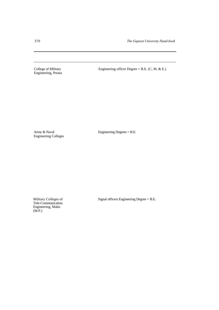Engineering, Poona

College of Military Engineering officer Degree = B.E. (C, M. & E.)

Engineering Colleges

Army & Naval Engineering Degrees = B.E.

Tele-Communication Engineering, Mahu (M.P.)

Military Colleges of Signal officers Engineering Degree = B.E.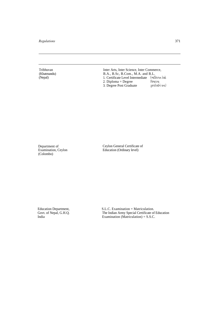Tribhuvan (Khatmandu) (Nepal)

Inter Arts, Inter Science, Inter Commerce, B.A., B.Sc, B.Com., M.A. and B.L. 1. Certificate Level Intermediate (વ્યક્તિગત કેસો 2. Diploma = Degree <br>
3. Degree Post Graduate  $\frac{2}{3}$   $\frac{4}{3}$   $\frac{4}{3}$   $\frac{1}{6}$   $\frac{3}{4}$   $\frac{1}{6}$   $\frac{1}{6}$   $\frac{1}{6}$   $\frac{1}{6}$   $\frac{1}{6}$   $\frac{1}{6}$   $\frac{1}{6}$   $\frac{1}{6}$   $\frac{1}{6}$   $\frac{1}{6}$   $\frac{1}{6}$   $\frac{1}{6}$   $\frac{1$ 3. Degree Post Graduate

Department of Examination, Ceylon (Colombo)

Ceylon General Certificate of Education (Ordinary level)

Education Department, Govt. of Nepal, G.H.Q. India

S.L.C. Examination = Matriculation. The Indian Army Special Certificate of Education Examination (Matriculation) = S.S.C.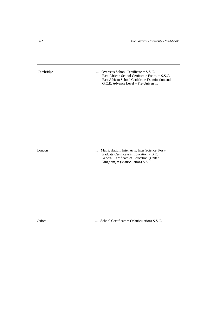Cambridge ... Overseas School Certificate = S.S.C. East African School Certificate Exam. = S.S.C. East African School Certificate Examination and G.C.E. Advance Level = Pre-University London ... Matriculation, Inter Arts, Inter Science, Postgraduate Certificate in Education = B.Ed. General Certificate of Education (United Kingdom) = (Matriculation) S.S.C.

Oxford ... School Certificate = (Matriculation) S.S.C.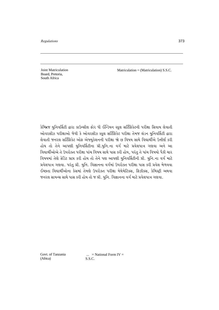Joint Matriculation Board, Pretoria, South Africa

Matriculation = (Matriculation) S.S.C.

કેમ્બ્રિજ યુનિવર્સિટી દ્વારા કાઉન્સીલ ફોર ધી ઈન્ડિયન સ્કુલ સર્ટિફિકેટની પરીક્ષા સિવાય લેવાતી ઓવરસીઝ પરીક્ષાઓ જેવી કે ઓવરસીઝ સ્કૂલ સર્ટિફિકેટ પરીક્ષા તેમજ લંડન યુનિવર્સિટી દ્વારા લેવાતી જનરલ સર્ટિફિકેટ ઓફ એજ્યુકેશનની પરીક્ષા જો છ વિષય સાથે વિદ્યાર્થીએ ઉત્તીર્ણ કરી હોય તો તેને આપણી યુનિવર્સિટીના પ્રી.યુનિ.ના વર્ગ માટે પ્રવેશપાત્ર ગણવા અને આ વિદ્યાર્થીઓએ તે ઉપરોક્ત પરીક્ષા પાંચ વિષય સાથે પાસ કરી હોય, પરંતુ તે પાંચ વિષયો પૈકી ચાર વિષયમાં તેણે ક્રેડિટ પ્રાપ્ત કરી હોય તો તેને પણ આપણી યુનિવર્સિટીની પ્રી. યુનિ.ના વર્ગ માટે <u>પ્રવેશપાત્ર ગણવા. પરંતુ પ્રી. યુનિ. વિજ્ઞાનના વર્ગમાં ઉપરોક્ત પરીક્ષા પાસ કરી પ્રવેશ મેળવવા</u> ઈચ્છતા વિદ્યાર્થીઓના કેસમાં તેમણે ઉપરોક્ત પરીક્ષા મેથેમેટિક્સ, ફિઝીક્સ, કેમિસ્ટ્રી અથવા જનરલ સાયન્સ સાથે પાસ કરી હોય તો જ પ્રી. યુનિ. વિજ્ઞાનના વર્ગ માટે પ્રવેશપાત્ર ગણવા.

Govt. of Tanzania (Africa)

 $\ldots$  = National Form IV = S.S.C.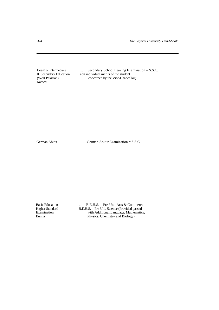Karachi

Board of Intermediate ... Secondary School Leaving Examination = S.S.C. & Secondary Education (on individual merits of the student & Secondary Education (on individual merits of the student (West Pakistan), concerned by the Vice-Chancel concerned by the Vice-Chancellor)

German Abitur ... German Abitur Examination = S.S.C.

Basic Education ... B.E.H.S. = Pre-Uni. Arts & Commerce<br>Higher Standard B.E.H.S. = Pre-Uni. Science (Provided passed Higher Standard B.E.H.S. = Pre-Uni. Science (Provided passed Examination, with Additional Language, Mathematic Examination, with Additional Language, Mathematics,<br>Burma Physics. Chemistry and Biology). Physics, Chemistry and Biology).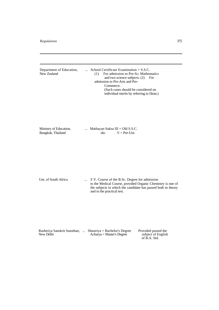| Department of Education,<br>New Zealand     | $\cdots$ | School Certificate Examination $=$ S.S.C.<br>For admission to Pre-Sc; Mathematics<br>(1)<br>and two science subjects. (2)<br>For<br>admission to Pre-Arts and Pre-<br>Commerce.<br>(Such cases should be considered on<br>individual merits by referring to Dean.) |
|---------------------------------------------|----------|--------------------------------------------------------------------------------------------------------------------------------------------------------------------------------------------------------------------------------------------------------------------|
| Ministry of Education,<br>Bangkok, Thailand |          | Mathayan Suksa III = Old S.S.C.<br>$V = Pre-I Ini$ .<br>$-do-$                                                                                                                                                                                                     |
| Uni. of South Africa                        | $\cdots$ | F.Y. Course of the B.Sc. Degree for admission<br>to the Medical Course, provided Organic Chemistry is one of<br>the subjects in which the candidate has passed both in theory<br>and in the practical test.                                                        |
| New Delhi                                   |          | Rashtriya Sanskrit Sansthan,  Shastriya = Bachelor's Degree<br>Provided passed the<br>subject of English<br>Acharya = Master's Degree<br>of B.A. Std.                                                                                                              |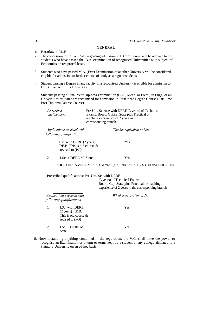## GENERAL

- 1. Baratlaw  $=$  LL.B.
- 2. The concession for R.Com. 5-B, regarding admission to B.Com. course will be allowed to the students who have passed the. B.A. examination of recognised Universities with subject of Economics on reciprocal basis.
- 3. Students who have passed M.A, (Ext;) Examination of another University will be considered eligible for admission to further course of study as a regular students.
- 4. Student passing a Degree in any faculty of a recognised University is eligible for admission to LL.B. Course of this University.
- 5. Students passing a Final Year Diploma Examination (Civil, Mech. or Elect.) in Engg. of all Universities or States are recognised for admission to First Year Degree Course (Part-lime Post-Diploma Degree Course).

| Prescribed<br>qualifications                                                        | corresponding branch. | Pre-Uni. Science with DERE (3 years) of Technical<br>Exams. Board, Gujarat State plus Practical or<br>teaching experience of 2 years in the |
|-------------------------------------------------------------------------------------|-----------------------|---------------------------------------------------------------------------------------------------------------------------------------------|
| <i>Applications received with</i><br>following qualifications:                      |                       | Whether equivalent or Not                                                                                                                   |
| I.Sc. with DERE (2 years)<br>1.<br>T:E.B. This is old course $&$<br>revised to (PO) |                       | Yes.                                                                                                                                        |
| 2.<br>I.Sc. $+$ DERE M. State                                                       |                       | Yes                                                                                                                                         |
|                                                                                     |                       | <hc-u.h1?1 &y4?1="" *hld="" 5?cuhl="" [c .tl.l?ll="" ^="" h="">U°il cU.3-3-39&lt;1l =M CHC-11H1?1</hc-u.h1?1>                               |
| Prescribed qualifications: Pre-Uni. Sc. with DERE                                   |                       | (3 years) of Technical Exams.<br>Board, Guj, State plus Practical or teaching<br>experience of 2 years in the corresponding branch          |
| Applications received with<br>following qualifications                              |                       | Whether equivalent or Not                                                                                                                   |
|                                                                                     |                       |                                                                                                                                             |

|                             | L.Sc. with DERE<br>$(2 \text{ years})$ T.E.B.<br>This is old course $\&$<br>revised to (PO) | Yes |
|-----------------------------|---------------------------------------------------------------------------------------------|-----|
| $\mathcal{D}_{\mathcal{L}}$ | $I.Sc. + DERE M.$<br>State                                                                  | Yes |

6. Notwithstanding anything contained in the regulation, the V.C. shall have the power to recognise an Examination or a term or terms kept by a student at any college affiliated to a Statutory University on an ad-hoc basis.